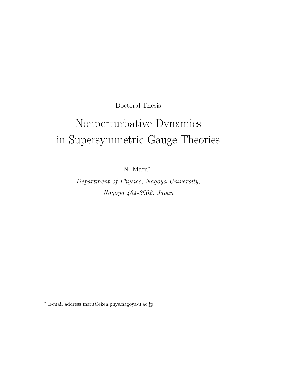Doctoral Thesis

# Nonperturbative Dynamics  $\mathbf{F}$  in  $\mathbf{F}$  in  $\mathbf{F}$  and  $\mathbf{F}$  is defined to the orientation of  $\mathbf{F}$

N. Maru<sup>∗</sup>

Department of Physics, Nagoya University, Nagoya 464-8602, Japan

∗ E-mail address maru@eken.phys.nagoya-u.ac.jp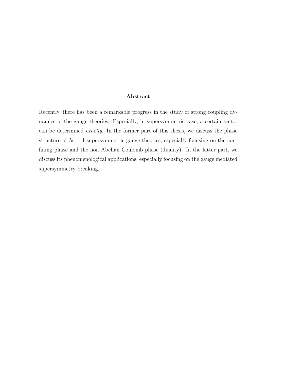#### **Abstract**

Recently, there has been a remarkable progress in the study of strong coupling dynamics of the gauge theories. Especially, in supersymmetric case, a certain sector can be determined exactly. In the former part of this thesis, we discuss the phase structure of  $\mathcal{N}=1$  supersymmetric gauge theories, especially focusing on the confining phase and the non Abelian Coulomb phase (duality). In the latter part, we discuss its phenomenological applications, especially focusing on the gauge mediated supersymmetry breaking.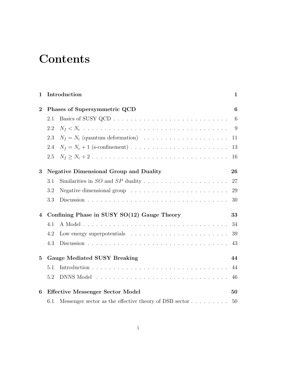## **Contents**

| $\mathbf{1}$                                 | Introduction                                  |                                                                                     |                 |  |  |
|----------------------------------------------|-----------------------------------------------|-------------------------------------------------------------------------------------|-----------------|--|--|
| $\overline{2}$                               | Phases of Supersymmetric QCD                  |                                                                                     |                 |  |  |
|                                              | 2.1                                           |                                                                                     | $6\phantom{.}6$ |  |  |
|                                              | 2.2                                           |                                                                                     | - 9             |  |  |
|                                              | 2.3                                           | $N_f = N_c$ (quantum deformation)                                                   | 11              |  |  |
|                                              | 2.4                                           |                                                                                     | 13              |  |  |
|                                              | 2.5                                           |                                                                                     | 16              |  |  |
| 3                                            | <b>Negative Dimensional Group and Duality</b> |                                                                                     |                 |  |  |
|                                              | 3.1                                           |                                                                                     |                 |  |  |
|                                              | 3.2                                           | Negative dimensional group $\ldots \ldots \ldots \ldots \ldots \ldots \ldots$       | 29              |  |  |
|                                              | 3.3                                           |                                                                                     | 30              |  |  |
| 4                                            | Confining Phase in SUSY SO(12) Gauge Theory   |                                                                                     |                 |  |  |
|                                              | 4.1                                           |                                                                                     | 34              |  |  |
|                                              | 4.2                                           |                                                                                     | 39              |  |  |
|                                              | 4.3                                           |                                                                                     | 43              |  |  |
| $\bf{5}$                                     | <b>Gauge Mediated SUSY Breaking</b>           |                                                                                     |                 |  |  |
|                                              | 5.1                                           |                                                                                     | 44              |  |  |
|                                              | 5.2                                           |                                                                                     | 46              |  |  |
| <b>Effective Messenger Sector Model</b><br>6 |                                               |                                                                                     |                 |  |  |
|                                              | 6.1                                           | Messenger sector as the effective theory of DSB sector $\dots \dots \dots \dots$ 50 |                 |  |  |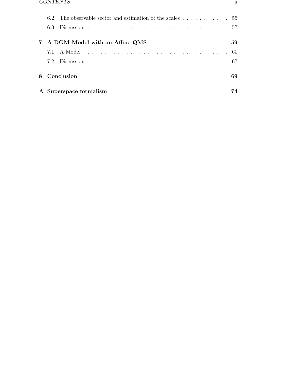| 6.3                              |                        |    |  |
|----------------------------------|------------------------|----|--|
| 7 A DGM Model with an Affine QMS |                        |    |  |
|                                  |                        |    |  |
|                                  |                        |    |  |
| 8 Conclusion                     |                        | 69 |  |
|                                  | A Superspace formalism | 74 |  |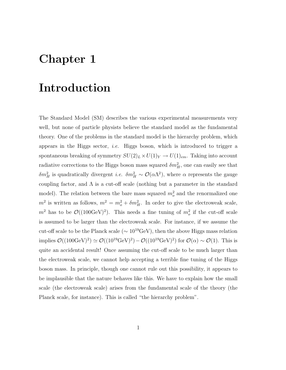### **Chapter 1**

### **Introduction**

The Standard Model (SM) describes the various experimental measurements very well, but none of particle physists believe the standard model as the fundamental theory. One of the problems in the standard model is the hierarchy problem, which appears in the Higgs sector, *i.e.* Higgs boson, which is introduced to trigger a spontaneous breaking of symmetry  $SU(2)_L \times U(1)_Y \to U(1)_{em}$ . Taking into account radiative corrections to the Higgs boson mass squared  $\delta m_H^2$ , one can easily see that  $\delta m_H^2$  is quadratically divergent *i.e.*  $\delta m_H^2 \sim \mathcal{O}(\alpha \Lambda^2)$ , where  $\alpha$  represents the gauge coupling factor, and  $\Lambda$  is a cut-off scale (nothing but a parameter in the standard model). The relation between the bare mass squared  $m_o^2$  and the renormalized one  $m^2$  is written as follows,  $m^2 = m_o^2 + \delta m_H^2$ . In order to give the electroweak scale,  $m^2$  has to be  $\mathcal{O}((100 \text{GeV})^2)$ . This needs a fine tuning of  $m_o^2$  if the cut-off scale is assumed to be larger than the electroweak scale. For instance, if we assume the cut-off scale to be the Planck scale ( $\sim 10^{19} \text{GeV}$ ), then the above Higgs mass relation implies  $\mathcal{O}((100 \text{GeV})^2) \simeq \mathcal{O}((10^{19} \text{GeV})^2) - \mathcal{O}((10^{19} \text{GeV})^2)$  for  $\mathcal{O}(\alpha) \sim \mathcal{O}(1)$ . This is quite an accidental result! Once assuming the cut-off scale to be much larger than the electroweak scale, we cannot help accepting a terrible fine tuning of the Higgs boson mass. In principle, though one cannot rule out this possibility, it appears to be implausible that the nature behaves like this. We have to explain how the small scale (the electroweak scale) arises from the fundamental scale of the theory (the Planck scale, for instance). This is called "the hierarchy problem".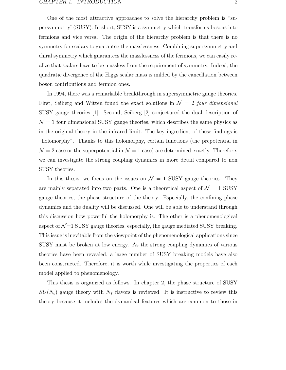One of the most attractive approaches to solve the hierarchy problem is "supersymmetry"(SUSY). In short, SUSY is a symmetry which transforms bosons into fermions and vice versa. The origin of the hierarchy problem is that there is no symmetry for scalars to guarantee the masslessness. Combining supersymmetry and chiral symmetry which guarantees the masslessness of the fermions, we can easily realize that scalars have to be massless from the requirement of symmetry. Indeed, the quadratic divergence of the Higgs scalar mass is milded by the cancellation between boson contributions and fermion ones.

In 1994, there was a remarkable breakthrough in supersymmetric gauge theories. First, Seiberg and Witten found the exact solutions in  $\mathcal{N} = 2$  four dimensional SUSY gauge theories [1]. Second, Seiberg [2] conjectured the dual description of  $\mathcal{N} = 1$  four dimensional SUSY gauge theories, which describes the same physics as in the original theory in the infrared limit. The key ingredient of these findings is "holomorphy". Thanks to this holomorphy, certain functions (the prepotential in  $\mathcal{N}=2$  case or the superpotential in  $\mathcal{N}=1$  case) are determined exactly. Therefore, we can investigate the strong coupling dynamics in more detail compared to non SUSY theories.

In this thesis, we focus on the issues on  $\mathcal{N} = 1$  SUSY gauge theories. They are mainly separated into two parts. One is a theoretical aspect of  $\mathcal{N} = 1$  SUSY gauge theories, the phase structure of the theory. Especially, the confining phase dynamics and the duality will be discussed. One will be able to understand through this discussion how powerful the holomorphy is. The other is a phenomenological aspect of  $\mathcal{N}=1$  SUSY gauge theories, especially, the gauge mediated SUSY breaking. This issue is inevitable from the viewpoint of the phenomenological applications since SUSY must be broken at low energy. As the strong coupling dynamics of various theories have been revealed, a large number of SUSY breaking models have also been constructed. Therefore, it is worth while investigating the properties of each model applied to phenomenology.

This thesis is organized as follows. In chapter 2, the phase structure of SUSY  $SU(N_c)$  gauge theory with  $N_f$  flavors is reviewed. It is instructive to review this theory because it includes the dynamical features which are common to those in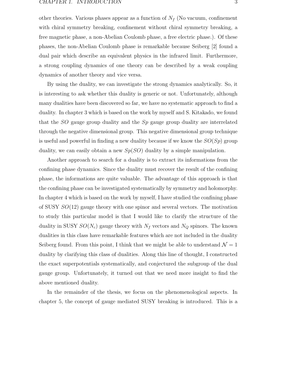other theories. Various phases appear as a function of  $N_f$  (No vacuum, confinement with chiral symmetry breaking, confinement without chiral symmetry breaking, a free magnetic phase, a non-Abelian Coulomb phase, a free electric phase.). Of these phases, the non-Abelian Coulomb phase is remarkable because Seiberg [2] found a dual pair which describe an equivalent physics in the infrared limit. Furthermore, a strong coupling dynamics of one theory can be described by a weak coupling dynamics of another theory and vice versa.

By using the duality, we can investigate the strong dynamics analytically. So, it is interesting to ask whether this duality is generic or not. Unfortunately, although many dualities have been discovered so far, we have no systematic approach to find a duality. In chapter 3 which is based on the work by myself and S. Kitakado, we found that the  $SO$  gauge group duality and the  $Sp$  gauge group duality are interrelated through the negative dimensional group. This negative dimensional group technique is useful and powerful in finding a new duality because if we know the  $SO(Sp)$  group duality, we can easily obtain a new  $Sp(SO)$  duality by a simple manipulation.

Another approach to search for a duality is to extract its informations from the confining phase dynamics. Since the duality must recover the result of the confining phase, the informations are quite valuable. The advantage of this approach is that the confining phase can be investigated systematically by symmetry and holomorphy. In chapter 4 which is based on the work by myself, I have studied the confining phase of SUSY  $SO(12)$  gauge theory with one spinor and several vectors. The motivation to study this particular model is that I would like to clarify the structure of the duality in SUSY  $SO(N_c)$  gauge theory with  $N_f$  vectors and  $N_Q$  spinors. The known dualities in this class have remarkable features which are not included in the duality Seiberg found. From this point, I think that we might be able to understand  $\mathcal{N} = 1$ duality by clarifying this class of dualities. Along this line of thought, I constructed the exact superpotentials systematically, and conjectured the subgroup of the dual gauge group. Unfortunately, it turned out that we need more insight to find the above mentioned duality.

In the remainder of the thesis, we focus on the phenomenological aspects. In chapter 5, the concept of gauge mediated SUSY breaking is introduced. This is a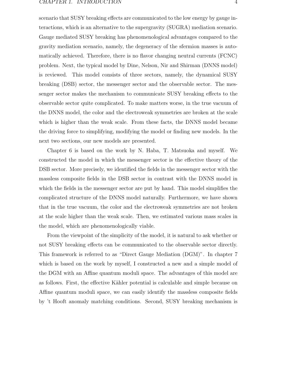scenario that SUSY breaking effects are communicated to the low energy by gauge interactions, which is an alternative to the supergravity (SUGRA) mediation scenario. Gauge mediated SUSY breaking has phenomenological advantages compared to the gravity mediation scenario, namely, the degeneracy of the sfermion masses is automatically achieved. Therefore, there is no flavor changing neutral currents (FCNC) problem. Next, the typical model by Dine, Nelson, Nir and Shirman (DNNS model) is reviewed. This model consists of three sectors, namely, the dynamical SUSY breaking (DSB) sector, the messenger sector and the observable sector. The messenger sector makes the mechanism to communicate SUSY breaking effects to the observable sector quite complicated. To make matters worse, in the true vacuum of the DNNS model, the color and the electroweak symmetries are broken at the scale which is higher than the weak scale. From these facts, the DNNS model became the driving force to simplifying, modifying the model or finding new models. In the next two sections, our new models are presented.

Chapter 6 is based on the work by N. Haba, T. Matsuoka and myself. We constructed the model in which the messenger sector is the effective theory of the DSB sector. More precisely, we identified the fields in the messenger sector with the massless composite fields in the DSB sector in contrast with the DNNS model in which the fields in the messenger sector are put by hand. This model simplifies the complicated structure of the DNNS model naturally. Furthermore, we have shown that in the true vacuum, the color and the electroweak symmetries are not broken at the scale higher than the weak scale. Then, we estimated various mass scales in the model, which are phenomenologically viable.

From the viewpoint of the simplicity of the model, it is natural to ask whether or not SUSY breaking effects can be communicated to the observable sector directly. This framework is referred to as "Direct Gauge Mediation (DGM)". In chapter 7 which is based on the work by myself, I constructed a new and a simple model of the DGM with an Affine quantum moduli space. The advantages of this model are as follows. First, the effective Kähler potential is calculable and simple because on Affine quantum moduli space, we can easily identify the massless composite fields by 't Hooft anomaly matching conditions. Second, SUSY breaking mechanism is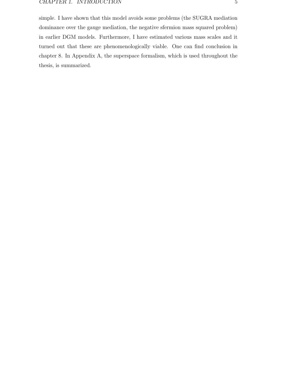simple. I have shown that this model avoids some problems (the SUGRA mediation dominance over the gauge mediation, the negative sfermion mass squared problem) in earlier DGM models. Furthermore, I have estimated various mass scales and it turned out that these are phenomenologically viable. One can find conclusion in chapter 8. In Appendix A, the superspace formalism, which is used throughout the thesis, is summarized.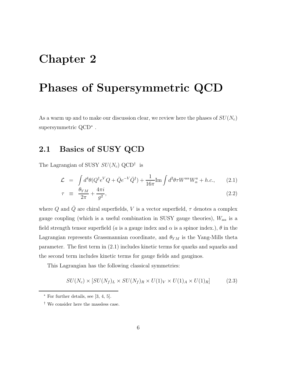### **Chapter 2**

### **Phases of Supersymmetric QCD**

As a warm up and to make our discussion clear, we review here the phases of  $SU(N_c)$ supersymmetric QCD<sup>∗</sup> .

#### **2.1 Basics of SUSY QCD**

The Lagrangian of SUSY  $SU(N_c)$  QCD<sup>†</sup> is

$$
\mathcal{L} = \int d^4\theta (Q^\dagger e^V Q + \bar{Q}e^{-V} \bar{Q}^\dagger) + \frac{1}{16\pi} \text{Im} \int d^2\theta \tau W^{a\alpha} W^a_\alpha + h.c., \qquad (2.1)
$$

$$
\tau \equiv \frac{\theta_{YM}}{2\pi} + \frac{4\pi i}{g^2},\tag{2.2}
$$

where Q and  $\overline{Q}$  are chiral superfields, V is a vector superfield,  $\tau$  denotes a complex gauge coupling (which is a useful combination in SUSY gauge theories),  $W_{a\alpha}$  is a field strength tensor superfield (a is a gauge index and  $\alpha$  is a spinor index.),  $\theta$  in the Lagrangian represents Grassmannian coordinate, and  $\theta_{YM}$  is the Yang-Mills theta parameter. The first term in (2.1) includes kinetic terms for quarks and squarks and the second term includes kinetic terms for gauge fields and gauginos.

This Lagrangian has the following classical symmetries:

$$
SU(N_c) \times [SU(N_f)_L \times SU(N_f)_R \times U(1)_V \times U(1)_A \times U(1)_R] \tag{2.3}
$$

 $*$  For further details, see [3, 4, 5].

<sup>†</sup> We consider here the massless case.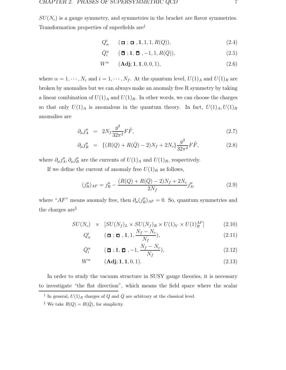$SU(N_c)$  is a gauge symmetry, and symmetries in the bracket are flavor symmetries. Transformation properties of superfields are‡

$$
Q^i_\alpha \qquad (\Box; \Box, 1, 1, 1, R(Q)), \qquad (2.4)
$$

$$
\overline{Q}_i^{\alpha} \qquad (\overline{\mathbf{\Xi}}; \mathbf{1}, \overline{\mathbf{\Xi}}, -1, 1, R(\overline{Q})), \qquad (2.5)
$$

$$
W^{\alpha} \qquad (\mathbf{Adj}; \mathbf{1}, \mathbf{1}, 0, 0, 1), \tag{2.6}
$$

where  $\alpha = 1, \dots, N_c$  and  $i = 1, \dots, N_f$ . At the quantum level,  $U(1)_A$  and  $U(1)_R$  are broken by anomalies but we can always make an anomaly free R symmetry by taking a linear combination of  $U(1)_A$  and  $U(1)_R$ . In other words, we can choose the charges so that only  $U(1)_A$  is anomalous in the quantum theory. In fact,  $U(1)_A, U(1)_R$ anomalies are

$$
\partial_{\mu} j_A^{\mu} = 2N_f \frac{g^2}{32\pi^2} F\tilde{F}, \qquad (2.7)
$$

$$
\partial_{\mu} j_R^{\mu} = \{ (R(Q) + R(\bar{Q}) - 2)N_f + 2N_c \} \frac{g^2}{32\pi^2} F\tilde{F}, \qquad (2.8)
$$

where  $\partial_{\mu} j_A^{\mu}$ ,  $\partial_{\mu} j_R^{\mu}$  are the currents of  $U(1)_A$  and  $U(1)_R$ , respectively.

If we define the current of anomaly free  $U(1)_R$  as follows,

$$
(j_R^{\mu})_{AF} = j_R^{\mu} - \frac{(R(Q) + R(\bar{Q}) - 2)N_f + 2N_c}{2N_f} j_A^{\mu}, \qquad (2.9)
$$

where " $AF$ " means anomaly free, then  $\partial_{\mu} (j_R^{\mu})_{AF} = 0$ . So, quantum symmetries and the charges are§

$$
SU(N_c) \times [SU(N_f)_L \times SU(N_f)_R \times U(1)_V \times U(1)_R^{AF}] \tag{2.10}
$$

$$
Q_{\alpha}^{i} \qquad (\Box; \Box, 1, 1, \frac{N_{f} - N_{c}}{N_{f}}), \qquad (2.11)
$$

$$
\bar{Q}_i^{\alpha} \qquad (\boldsymbol{\bar{\mathbf{\Box}}}; \mathbf{1}, \boldsymbol{\bar{\mathbf{\Box}}}, -1, \frac{N_f - N_c}{N_f}), \qquad (2.12)
$$

$$
W^{\alpha} \qquad (\mathbf{Adj}; \mathbf{1}, \mathbf{1}, 0, 1). \tag{2.13}
$$

In order to study the vacuum structure in SUSY gauge theories, it is necessary to investigate "the flat direction", which means the field space where the scalar

<sup>&</sup>lt;sup>‡</sup> In general,  $U(1)_R$  charges of Q and  $\overline{Q}$  are arbitrary at the classical level.

<sup>&</sup>lt;sup>§</sup> We take  $R(Q) = R(\bar{Q})$ , for simplicity.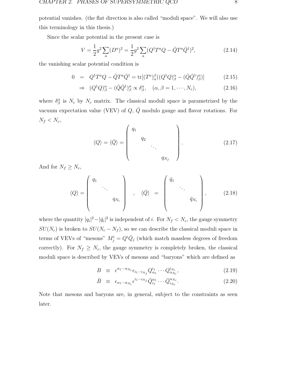potential vanishes. (the flat direction is also called "moduli space". We will also use this terminology in this thesis.)

Since the scalar potential in the present case is

$$
V = \frac{1}{2}g^2 \sum_{a} (D^a)^2 = \frac{1}{2}g^2 \sum_{a} (Q^{\dagger} T^a Q - \bar{Q} T^a \bar{Q}^{\dagger})^2, \tag{2.14}
$$

the vanishing scalar potential condition is

$$
0 = Q^{\dagger} T^a Q - \bar{Q} T^a \bar{Q}^{\dagger} = \text{tr}[(T^a)_{\alpha}^{\beta} ((Q^{\dagger} Q)_{\beta}^{\alpha} - (\bar{Q} \bar{Q}^{\dagger})_{\beta}^{\alpha})] \tag{2.15}
$$

$$
\Rightarrow (Q^{\dagger}Q)^{\alpha}_{\beta} - (\bar{Q}\bar{Q}^{\dagger})^{\alpha}_{\beta} \propto \delta^{\alpha}_{\beta}, \quad (\alpha, \beta = 1, \cdots, N_c), \tag{2.16}
$$

where  $\delta^\alpha_\beta$  is  $N_c$  by  $N_c$  matrix. The classical moduli space is parametrized by the vacuum expectation value (VEV) of  $Q$ ,  $\overline{Q}$  modulo gauge and flavor rotations. For  $N_f < N_c$ 

$$
\langle Q \rangle = \langle \bar{Q} \rangle = \begin{pmatrix} q_1 & & & \\ & q_2 & & \\ & & \ddots & \\ & & & q_{N_f} \end{pmatrix} .
$$
 (2.17)

And for  $N_f \geq N_c$ ,

$$
\langle Q \rangle = \begin{pmatrix} q_1 & & & \\ & \ddots & & \\ & & q_{N_c} & \\ & & & q_{N_c} \end{pmatrix} , \quad \langle \bar{Q} \rangle = \begin{pmatrix} \bar{q}_1 & & & \\ & \ddots & & \\ & & \bar{q}_{N_c} & \\ & & & \bar{q}_{N_c} \end{pmatrix}, \quad (2.18)
$$

where the quantity  $|q_i|^2 - |\bar{q}_i|^2$  is independent of i. For  $N_f \langle N_c \rangle$ , the gauge symmetry  $SU(N_c)$  is broken to  $SU(N_c - N_f)$ , so we can describe the classical moduli space in terms of VEVs of "mesons"  $M_j^i = Q^i \overline{Q}_j$  (which match massless degrees of freedom correctly). For  $N_f \geq N_c$ , the gauge symmetry is completely broken, the classical moduli space is described by VEVs of mesons and "baryons" which are defined as

$$
B \equiv \epsilon^{\alpha_1 \cdots \alpha_{N_c}} \epsilon_{i_1 \cdots i_{N_f}} Q_{\alpha_1}^{i_1} \cdots Q_{\alpha_{N_c}}^{i_{N_c}}, \qquad (2.19)
$$

$$
\bar{B} \equiv \epsilon_{\alpha_1 \cdots \alpha_{N_c}} \epsilon^{i_1 \cdots i_{N_f}} \bar{Q}_{i_1}^{\alpha_1} \cdots \bar{Q}_{i_{N_c}}^{\alpha_{N_c}}.
$$
\n(2.20)

Note that mesons and baryons are, in general, subject to the constraints as seen later.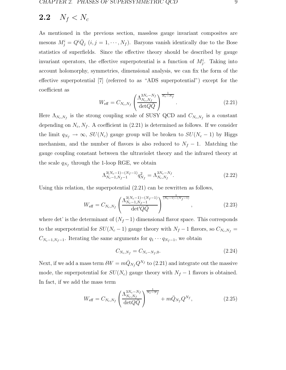### **2.2**  $N_f < N_c$

As mentioned in the previous section, massless gauge invariant composites are mesons  $M_j^i = Q^i \overline{Q}_j$   $(i, j = 1, \dots, N_f)$ . Baryons vanish identically due to the Bose statistics of superfields. Since the effective theory should be described by gauge invariant operators, the effective superpotential is a function of  $M_j^i$ . Taking into account holomorphy, symmetries, dimensional analysis, we can fix the form of the effective superpotential [7] (referred to as "ADS superpotential") except for the coefficient as

$$
W_{\text{eff}} = C_{N_c, N_f} \left( \frac{\Lambda_{N_c, N_f}^{3N_c - N_f}}{\det Q \bar{Q}} \right)^{\frac{1}{N_c - N_f}}.
$$
 (2.21)

Here  $\Lambda_{N_c,N_f}$  is the strong coupling scale of SUSY QCD and  $C_{N_c,N_f}$  is a constant depending on  $N_c, N_f$ . A coefficient in (2.21) is determined as follows. If we consider the limit  $q_{N_f} \to \infty$ ,  $SU(N_c)$  gauge group will be broken to  $SU(N_c-1)$  by Higgs mechanism, and the number of flavors is also reduced to  $N_f - 1$ . Matching the gauge coupling constant between the ultraviolet theory and the infrared theory at the scale  $q_{N_f}$  through the 1-loop RGE, we obtain

$$
\Lambda_{N_c-1,N_f-1}^{3(N_c-1)-(N_f-1)} q_{N_f}^2 = \Lambda_{N_c,N_f}^{3N_c-N_f}.
$$
\n(2.22)

Using this relation, the superpotential (2.21) can be rewritten as follows,

$$
W_{\text{eff}} = C_{N_c, N_f} \left( \frac{\Lambda_{N_c-1, N_f-1}^{3(N_c-1)-(N_f-1)}}{\det' Q \bar{Q}} \right)^{\frac{1}{(N_c-1)-(N_f-1)}}, \qquad (2.23)
$$

where det' is the determinant of  $(N_f-1)$  dimensional flavor space. This corresponds to the superpotential for  $SU(N_c-1)$  gauge theory with  $N_f-1$  flavors, so  $C_{N_c,N_f}$  =  $C_{N_c-1,N_f-1}$ . Iterating the same arguments for  $q_1 \cdots q_{N_f-1}$ , we obtain

$$
C_{N_c,N_f} = C_{N_c - N_f,0}.\tag{2.24}
$$

Next, if we add a mass term  $\delta W = m\bar{Q}_{N_f}Q^{N_f}$  to (2.21) and integrate out the massive mode, the superpotential for  $SU(N_c)$  gauge theory with  $N_f - 1$  flavors is obtained. In fact, if we add the mass term

$$
W_{\text{eff}} = C_{N_c, N_f} \left( \frac{\Lambda_{N_c, N_f}^{3N_c - N_f}}{\det Q \bar{Q}} \right)^{\frac{1}{N_c - N_f}} + m \bar{Q}_{N_f} Q^{N_f}, \qquad (2.25)
$$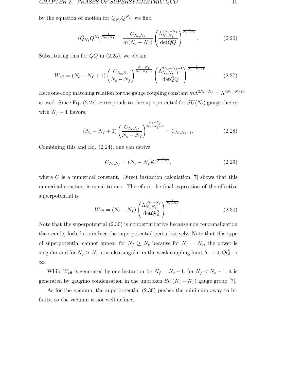by the equation of motion for  $\bar{Q}_{N_f}Q^{N_f}$ , we find

$$
(\bar{Q}_{N_f} Q^{N_f})^{\frac{1}{N_c - N_f}} = \frac{C_{N_c, N_f}}{m(N_c - N_f)} \left(\frac{\Lambda_{N_c, N_f}^{3N_c - N_f}}{\det \bar{Q}Q}\right)^{\frac{1}{N_c - N_f}}.
$$
(2.26)

Substituting this for  $\bar{Q}Q$  in (2.25), we obtain

$$
W_{\text{eff}} = (N_c - N_f + 1) \left( \frac{C_{N_c, N_f}}{N_c - N_f} \right)^{\frac{N_c - N_f}{N_c - N_f + 1}} \left( \frac{\Lambda_{N_c, N_f - 1}^{3N_c - N_f + 1}}{\det \bar{Q} Q} \right)^{\frac{1}{N_c - N_f + 1}}.
$$
 (2.27)

Here one-loop matching relation for the gauge coupling constant  $m\Lambda^{3N_c-N_f} = \Lambda^{3N_c-N_f+1}$ is used. Since Eq. (2.27) corresponds to the superpotential for  $SU(N_c)$  gauge theory with  $N_f - 1$  flavors,

$$
(N_c - N_f + 1) \left( \frac{C_{N_c, N_f}}{N_c - N_f} \right)^{\frac{N_c - N_f}{N_c - N_f + 1}} = C_{N_c, N_f - 1}.
$$
 (2.28)

Combining this and Eq. (2.24), one can derive

$$
C_{N_c,N_f} = (N_c - N_f)C^{\frac{1}{N_c - N_f}},\tag{2.29}
$$

where  $C$  is a numerical constant. Direct instanton calculation  $[7]$  shows that this numerical constant is equal to one. Therefore, the final expression of the effective superpotential is

$$
W_{\text{eff}} = (N_c - N_f) \left( \frac{\Lambda_{N_c, N_f}^{3N_c - N_f}}{\det Q \bar{Q}} \right)^{\frac{1}{N_c - N_f}}.
$$
\n(2.30)

Note that the superpotential (2.30) is nonperturbative because non renormalization theorem [6] forbids to induce the superpotential perturbatively. Note that this type of superpotential cannot appear for  $N_f \geq N_c$  because for  $N_f = N_c$ , the power is singular and for  $N_f > N_c$ , it is also singular in the weak coupling limit  $\Lambda \to 0$ ,  $Q\bar{Q} \to$ ∞.

While  $W_{\text{eff}}$  is generated by one instanton for  $N_f = N_c - 1$ , for  $N_f < N_c - 1$ , it is generated by gaugino condensation in the unbroken  $SU(N_c - N_f)$  gauge group [7].

As for the vacuum, the superpotential (2.30) pushes the minimum away to infinity, so the vacuum is not well-defined.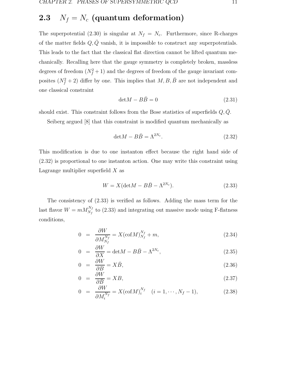### **2.3**  $N_f = N_c$  (quantum deformation)

The superpotential (2.30) is singular at  $N_f = N_c$ . Furthermore, since R-charges of the matter fields  $Q, \bar{Q}$  vanish, it is impossible to construct any superpotentials. This leads to the fact that the classical flat direction cannot be lifted quantum mechanically. Recalling here that the gauge symmetry is completely broken, massless degrees of freedom  $(N_f^2 + 1)$  and the degrees of freedom of the gauge invariant composites  $(N_f^2 + 2)$  differ by one. This implies that  $M, B, \overline{B}$  are not independent and one classical constraint

$$
\det M - B\bar{B} = 0 \tag{2.31}
$$

should exist. This constraint follows from the Bose statistics of superfields  $Q, \bar{Q}$ .

Seiberg argued [8] that this constraint is modified quantum mechanically as

$$
\det M - B\bar{B} = \Lambda^{2N_c}.
$$
 (2.32)

This modification is due to one instanton effect because the right hand side of (2.32) is proportional to one instanton action. One may write this constraint using Lagrange multiplier superfield  $X$  as

$$
W = X(\text{det}M - B\bar{B} - \Lambda^{2N_c}).\tag{2.33}
$$

The consistency of (2.33) is verified as follows. Adding the mass term for the last flavor  $W = m M_{N_f}^{N_f}$  to (2.33) and integrating out massive mode using F-flatness conditions,

$$
0 = \frac{\partial W}{\partial M_{N_f}^{N_f}} = X(\text{cof}M)_{N_f}^{N_f} + m,\tag{2.34}
$$

$$
0 = \frac{\partial W}{\partial X} = \det M - B\bar{B} - \Lambda^{2N_c}, \qquad (2.35)
$$

$$
0 = \frac{\partial W}{\partial B} = X\bar{B},\tag{2.36}
$$

$$
0 = \frac{\partial W}{\partial \bar{B}} = XB,\tag{2.37}
$$

$$
0 = \frac{\partial W}{\partial M_i^{N_f}} = X(\text{cof}M)_i^{N_f} \quad (i = 1, \cdots, N_f - 1), \tag{2.38}
$$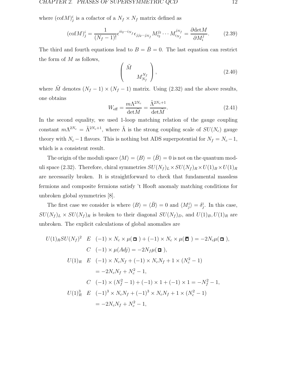where  $(\text{cof}M)^i_j$  is a cofactor of a  $N_f \times N_f$  matrix defined as

$$
(\text{cof}M)^i_j = \frac{1}{(N_f - 1)!} \epsilon^{i i_2 \cdots i_{N_f}} \epsilon_{j j_2 \cdots j_{N_f}} M^{j_2}_{i_2} \cdots M^{j_{N_f}}_{i_{N_f}} = \frac{\partial \text{det}M}{\partial M^j_i}.
$$
 (2.39)

The third and fourth equations lead to  $B = \overline{B} = 0$ . The last equation can restrict the form of  $M$  as follows,

$$
\left(\begin{array}{c}\tilde{M} \\ M_{N_f}^{N_f}\end{array}\right),\tag{2.40}
$$

where  $\tilde{M}$  denotes  $(N_f - 1) \times (N_f - 1)$  matrix. Using (2.32) and the above results, one obtains

$$
W_{\text{eff}} = \frac{m\Lambda^{2N_c}}{\det \tilde{M}} = \frac{\tilde{\Lambda}^{2N_c+1}}{\det \tilde{M}}.
$$
\n(2.41)

In the second equality, we used 1-loop matching relation of the gauge coupling constant  $m\Lambda^{2N_c} = \tilde{\Lambda}^{2N_c+1}$ , where  $\tilde{\Lambda}$  is the strong coupling scale of  $SU(N_c)$  gauge theory with  $N_c - 1$  flavors. This is nothing but ADS superpotential for  $N_f = N_c - 1$ , which is a consistent result.

The origin of the moduli space  $\langle M \rangle = \langle B \rangle = \langle \bar{B} \rangle = 0$  is not on the quantum moduli space (2.32). Therefore, chiral symmetries  $SU(N_f)_L\times SU(N_f)_R\times U(1)_B\times U(1)_R$ are necessarily broken. It is straightforward to check that fundamental massless fermions and composite fermions satisfy 't Hooft anomaly matching conditions for unbroken global symmetries [8].

The first case we consider is where  $\langle B \rangle = \langle \bar{B} \rangle = 0$  and  $\langle M_j^i \rangle = \delta_j^i$ . In this case,  $SU(N_f)_L \times SU(N_f)_R$  is broken to their diagonal  $SU(N_f)_D$ , and  $U(1)_B, U(1)_R$  are unbroken. The explicit calculations of global anomalies are

$$
U(1)_R SU(N_f)^2 \quad E \quad (-1) \times N_c \times \mu(\Box) + (-1) \times N_c \times \mu(\Box) = -2N_c \mu(\Box),
$$
  
\n
$$
C \quad (-1) \times \mu(Adj) = -2N_f \mu(\Box),
$$
  
\n
$$
U(1)_R \quad E \quad (-1) \times N_c N_f + (-1) \times N_c N_f + 1 \times (N_c^2 - 1)
$$
  
\n
$$
= -2N_c N_f + N_c^2 - 1,
$$
  
\n
$$
C \quad (-1) \times (N_f^2 - 1) + (-1) \times 1 + (-1) \times 1 = -N_f^2 - 1,
$$
  
\n
$$
U(1)_R^3 \quad E \quad (-1)^3 \times N_c N_f + (-1)^3 \times N_c N_f + 1 \times (N_c^2 - 1)
$$
  
\n
$$
= -2N_c N_f + N_c^2 - 1,
$$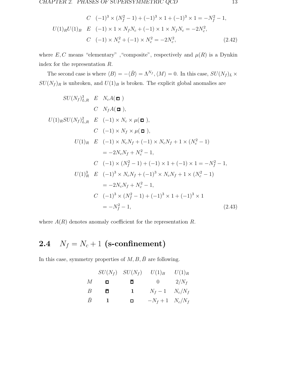CHAPTER 2. PHASES OF SUPERSYMMETRIC QCD 13

$$
C \quad (-1)^3 \times (N_f^2 - 1) + (-1)^3 \times 1 + (-1)^3 \times 1 = -N_f^2 - 1,
$$
  
\n
$$
U(1)_R U(1)_B \quad E \quad (-1) \times 1 \times N_f N_c + (-1) \times 1 \times N_f N_c = -2N_c^2,
$$
  
\n
$$
C \quad (-1) \times N_c^2 + (-1) \times N_c^2 = -2N_c^2,
$$
\n(2.42)

where  $E, C$  means "elementary", "composite", respectively and  $\mu(R)$  is a Dynkin index for the representation R.

The second case is where  $\langle B \rangle = -\langle \bar{B} \rangle = \Lambda^{N_f}, \langle M \rangle = 0$ . In this case,  $SU(N_f)_L \times$  $SU({\cal N}_f)_R$  is unbroken, and  $U(1)_B$  is broken. The explicit global anomalies are

$$
SU(N_f)_{L,R}^3 \t E N_c A(\mathbf{u})
$$
  
\n
$$
C N_f A(\mathbf{u}),
$$
  
\n
$$
U(1)_R SU(N_f)_{L,R}^2 \t E (-1) \times N_c \times \mu(\mathbf{u}),
$$
  
\n
$$
C (-1) \times N_f \times \mu(\mathbf{u}),
$$
  
\n
$$
U(1)_R \t E (-1) \times N_c N_f + (-1) \times N_c N_f + 1 \times (N_c^2 - 1)
$$
  
\n
$$
= -2N_c N_f + N_c^2 - 1,
$$
  
\n
$$
C (-1) \times (N_f^2 - 1) + (-1) \times 1 + (-1) \times 1 = -N_f^2 - 1,
$$
  
\n
$$
U(1)_R^3 \t E (-1)^3 \times N_c N_f + (-1)^3 \times N_c N_f + 1 \times (N_c^2 - 1)
$$
  
\n
$$
= -2N_c N_f + N_c^2 - 1,
$$
  
\n
$$
C (-1)^3 \times (N_f^2 - 1) + (-1)^3 \times 1 + (-1)^3 \times 1
$$
  
\n
$$
= -N_f^2 - 1,
$$
  
\n(2.43)

where  $A(R)$  denotes anomaly coefficient for the representation R.

### **2.4**  $N_f = N_c + 1$  **(s-confinement)**

In this case, symmetry properties of  $M, B, \overline{B}$  are following.

|           |                | $SU(N_f)$ $SU(N_f)$ $U(1)_B$ |                    | $U(1)_R$ |
|-----------|----------------|------------------------------|--------------------|----------|
| М         | П              | $\Box$                       | 0 $2/N_f$          |          |
| B         | П              | 1                            | $N_f-1$ $N_c/N_f$  |          |
| $\bar{B}$ | $\overline{1}$ | $\Box$                       | $-N_f+1$ $N_c/N_f$ |          |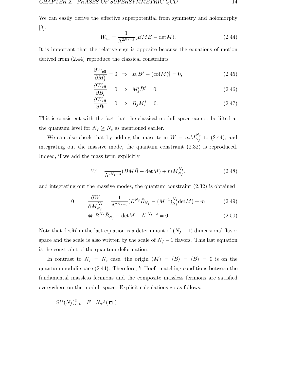We can easily derive the effective superpotential from symmetry and holomorphy [8]:

$$
W_{\text{eff}} = \frac{1}{\Lambda^{2N_f - 3}} (BM\bar{B} - \det M). \tag{2.44}
$$

It is important that the relative sign is opposite because the equations of motion derived from (2.44) reproduce the classical constraints

$$
\frac{\partial W_{\text{eff}}}{\partial M_j^i} = 0 \Rightarrow B_i \bar{B}^j - (\text{cof}M)_i^j = 0,
$$
\n(2.45)

$$
\frac{\partial W_{\text{eff}}}{\partial B_i} = 0 \Rightarrow M^i_j \bar{B}^j = 0,
$$
\n(2.46)

$$
\frac{\partial W_{\text{eff}}}{\partial \bar{B}^i} = 0 \Rightarrow B_j M_i^j = 0.
$$
\n(2.47)

This is consistent with the fact that the classical moduli space cannot be lifted at the quantum level for  $N_f \geq N_c$  as mentioned earlier.

We can also check that by adding the mass term  $W = mM_{N_f}^{N_f}$  to (2.44), and integrating out the massive mode, the quantum constraint (2.32) is reproduced. Indeed, if we add the mass term explicitly

$$
W = \frac{1}{\Lambda^{2N_f - 3}} (BM\bar{B} - \det M) + m M_{N_f}^{N_f},
$$
\n(2.48)

and integrating out the massive modes, the quantum constraint (2.32) is obtained

$$
0 = \frac{\partial W}{\partial M_{N_f}^{N_f}} = \frac{1}{\Lambda^{2N_f - 3}} (B^{N_f} \bar{B}_{N_f} - (M^{-1})_{N_f}^{N_f} \det M) + m \tag{2.49}
$$

$$
\Leftrightarrow B^{N_f} \bar{B}_{N_f} - \det M + \Lambda^{2N_f - 2} = 0. \tag{2.50}
$$

Note that detM in the last equation is a determinant of  $(N_f - 1)$  dimensional flavor space and the scale is also written by the scale of  $N_f - 1$  flavors. This last equation is the constraint of the quantum deformation.

In contrast to  $N_f = N_c$  case, the origin  $\langle M \rangle = \langle B \rangle = \langle \bar{B} \rangle = 0$  is on the quantum moduli space (2.44). Therefore, 't Hooft matching conditions between the fundamental massless fermions and the composite massless fermions are satisfied everywhere on the moduli space. Explicit calculations go as follows,

$$
SU(N_f)^3_{L,R} \quad E \quad N_c A(\Box)
$$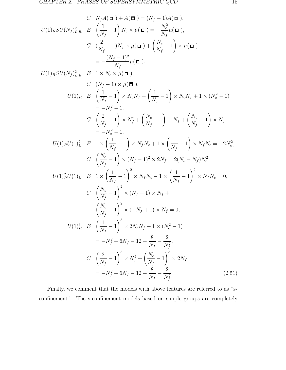$$
C \quad N_f A(\mathbf{u}) + A(\mathbf{u}) = (N_f - 1)A(\mathbf{u}),
$$
  
\n
$$
U(1)_R SU(N_f)_{L,R}^2 \quad E \quad \left(\frac{1}{N_f} - 1\right) N_e \times \mu(\mathbf{u}) = -\frac{N_e^2}{N_f} \mu(\mathbf{u}),
$$
  
\n
$$
C \quad \left(\frac{2}{N_f} - 1\right) N_f \times \mu(\mathbf{u}) + \left(\frac{N_e}{N_f} - 1\right) \times \mu(\mathbf{u})
$$
  
\n
$$
= -\frac{(N_f - 1)^2}{N_f} \mu(\mathbf{u}),
$$
  
\n
$$
U(1)_B SU(N_f)_{L,R}^2 \quad E \quad 1 \times N_e \times \mu(\mathbf{u}),
$$
  
\n
$$
C \quad (N_f - 1) \times \mu(\mathbf{u}),
$$
  
\n
$$
U(1)_R \quad E \quad \left(\frac{1}{N_f} - 1\right) \times N_e N_f + \left(\frac{1}{N_f} - 1\right) \times N_e N_f + 1 \times (N_e^2 - 1)
$$
  
\n
$$
= -N_e^2 - 1,
$$
  
\n
$$
C \quad \left(\frac{2}{N_f} - 1\right) \times N_f^2 + \left(\frac{N_e}{N_f} - 1\right) \times N_f + \left(\frac{N_e}{N_f} - 1\right) \times N_f
$$
  
\n
$$
= -N_e^2 - 1,
$$
  
\n
$$
U(1)_R U(1)_B^2 \quad E \quad 1 \times \left(\frac{1}{N_f} - 1\right) \times N_f N_e + 1 \times \left(\frac{1}{N_f} - 1\right) \times N_f N_e = -2N_e^2,
$$
  
\n
$$
C \quad \left(\frac{N_e}{N_f} - 1\right) \times (N_f - 1)^2 \times 2N_f = 2(N_e - N_f)N_e^2,
$$
  
\n
$$
U(1)_R^2 U(1)_B \quad E \quad 1 \times \left(\frac{1}{N_f} - 1\right)^2 \times N_f N_e - 1 \times \left(\frac{1}{N_f} - 1\right)^2 \times N_f N_e = 0,
$$
  
\n
$$
C \quad \
$$

Finally, we comment that the models with above features are referred to as "sconfinement". The s-confinement models based on simple groups are completely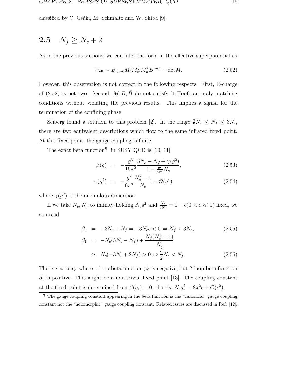classified by C. Csáki, M. Schmaltz and W. Skiba  $[9]$ .

### **2.5**  $N_f \geq N_c + 2$

As in the previous sections, we can infer the form of the effective superpotential as

$$
W_{\text{eff}} \sim B_{ij\cdots k} M_l^i M_m^j M_n^k \bar{B}^{lmn} - \det M. \tag{2.52}
$$

However, this observation is not correct in the following respects. First, R-charge of (2.52) is not two. Second,  $M, B, \bar{B}$  do not satisfy 't Hooft anomaly matching conditions without violating the previous results. This implies a signal for the termination of the confining phase.

Seiberg found a solution to this problem [2]. In the range  $\frac{3}{2}N_c \leq N_f \leq 3N_c$ , there are two equivalent descriptions which flow to the same infrared fixed point. At this fixed point, the gauge coupling is finite.

The exact beta function<sup> $\P$ </sup> in SUSY QCD is [10, 11]

$$
\beta(g) = -\frac{g^3}{16\pi^2} \frac{3N_c - N_f + \gamma(g^2)}{1 - \frac{g^2}{8\pi^2} N_c},
$$
\n(2.53)

$$
\gamma(g^2) = -\frac{g^2}{8\pi^2} \frac{N_c^2 - 1}{N_c} + \mathcal{O}(g^4), \tag{2.54}
$$

where  $\gamma(g^2)$  is the anomalous dimension.

If we take  $N_c$ ,  $N_f$  to infinity holding  $N_c g^2$  and  $\frac{N_f}{3N_c} = 1 - \epsilon (0 < \epsilon \ll 1)$  fixed, we can read

$$
\beta_0 = -3N_c + N_f = -3N_c \epsilon < 0 \Leftrightarrow N_f < 3N_c, \\
\beta_1 = -N_c(3N_c - N_f) + \frac{N_f(N_c^2 - 1)}{N_c} \tag{2.55}
$$

$$
\simeq N_c(-3N_c+2N_f) > 0 \Leftrightarrow \frac{3}{2}N_c < N_f. \tag{2.56}
$$

There is a range where 1-loop beta function  $\beta_0$  is negative, but 2-loop beta function  $\beta_1$  is positive. This might be a non-trivial fixed point [13]. The coupling constant at the fixed point is determined from  $\beta(g_*)=0$ , that is,  $N_c g_*^2 = 8\pi^2 \epsilon + \mathcal{O}(\epsilon^2)$ .

<sup>¶</sup> The gauge coupling constant appearing in the beta function is the "canonical" gauge coupling constant not the "holomorphic" gauge coupling constant. Related issues are discussed in Ref. [12].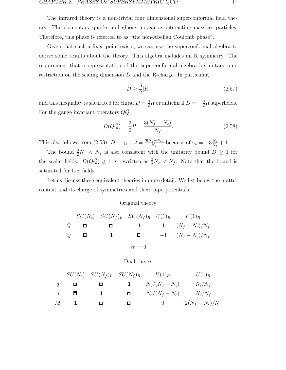The infrared theory is a non-trivial four dimensional superconformal field theory. The elementary quarks and gluons appear as interacting massless particles. Therefore, this phase is referred to as "the non-Abelian Coulomb phase".

Given that such a fixed point exists, we can use the superconformal algebra to derive some results about the theory. This algebra includes an R symmetry. The requirement that a representation of the superconformal algebra be unitary puts restriction on the scaling dimension  $D$  and the R-charge. In particular,

$$
D \ge \frac{3}{2}|R|\tag{2.57}
$$

and this inequality is saturated for chiral  $D = \frac{3}{2}R$  or antichiral  $D = -\frac{3}{2}R$  superfields. For the gauge invariant operators  $QQ$ ,

$$
D(Q\bar{Q}) = \frac{3}{2}R = \frac{3(N_f - N_c)}{N_f}.
$$
\n(2.58)

This also follows from (2.53),  $D = \gamma_* + 2 = \frac{3(N_f - N_c)}{N_f}$  because of  $\gamma_* = -3\frac{N_c}{N_f} + 1$ .

The bound  $\frac{3}{2}N_c \le N_f$  is also consistent with the unitarity bound  $D \ge 1$  for the scalar fields.  $D(Q\overline{Q}) \geq 1$  is rewritten as  $\frac{3}{2}N_c < N_f$ . Note that the bound is saturated for free fields.

Let us discuss these equivalent theories in more detail. We list below the matter content and its charge of symmetries and their superpotentials.

#### Original theory

$$
SU(N_c) \quad SU(N_f)_L \quad SU(N_f)_R \quad U(1)_B \qquad U(1)_R
$$
\n
$$
Q \qquad \Box \qquad \Box \qquad \Box \qquad \Box \qquad \Box \qquad \Box \qquad \Box \qquad (N_f - N_c)/N_f
$$
\n
$$
\overline{Q} \qquad \overline{\Box} \qquad \qquad \Box \qquad \Box \qquad \Box \qquad \Box \qquad (N_f - N_c)/N_f
$$
\n
$$
W = 0
$$

Dual theory

| $SU(N_c)$ | $SU(N_f)_L$  | $SU(N_f)_R$ | $U(1)_B$     | $U(1)_R$          |                    |
|-----------|--------------|-------------|--------------|-------------------|--------------------|
| $q$       | $\Box$       | $\Box$      | $1$          | $N_c/(N_f - N_c)$ | $N_c/N_f$          |
| $\bar{q}$ | $\bar{\Box}$ | $1$         | $\Box$       | $N_c/(N_f - N_c)$ | $N_c/N_f$          |
| $M$       | $1$          | $\Box$      | $\bar{\Box}$ | $0$               | $2(N_f - N_c)/N_f$ |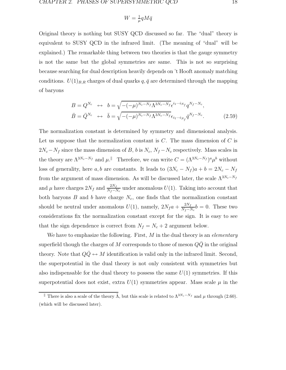$$
W = \frac{1}{\mu} q M \bar{q}
$$

Original theory is nothing but SUSY QCD discussed so far. The "dual" theory is equivalent to SUSY QCD in the infrared limit. (The meaning of "dual" will be explained.) The remarkable thing between two theories is that the gauge symmetry is not the same but the global symmetries are same. This is not so surprising because searching for dual description heavily depends on 't Hooft anomaly matching conditions.  $U(1)_{B,R}$  charges of dual quarks  $q, \bar{q}$  are determined through the mapping of baryons

$$
B = Q^{N_c} \leftrightarrow b = \sqrt{-(-\mu)^{N_c - N_f} \Lambda^{3N_c - N_f}} \epsilon^{i_1 \cdots i_{N_f}} q^{N_f - N_c},
$$
  

$$
\bar{B} = \bar{Q}^{N_c} \leftrightarrow \bar{b} = \sqrt{-(-\mu)^{N_c - N_f} \Lambda^{3N_c - N_f}} \epsilon_{i_1 \cdots i_{N_f}} \bar{q}^{N_f - N_c}.
$$
(2.59)

The normalization constant is determined by symmetry and dimensional analysis. Let us suppose that the normalization constant is  $C$ . The mass dimension of  $C$  is  $2N_c-N_f$  since the mass dimension of B, b is  $N_c$ ,  $N_f-N_c$  respectively. Mass scales in the theory are  $\Lambda^{3N_c-N_f}$  and  $\mu$ .<sup>||</sup> Therefore, we can write  $C = (\Lambda^{3N_c-N_f})^a \mu^b$  without loss of generality, here a, b are constants. It leads to  $(3N_c - N_f)a + b = 2N_c - N_f$ from the argument of mass dimension. As will be discussed later, the scale  $\Lambda^{3N_c-N_f}$ and  $\mu$  have charges  $2N_f$  and  $\frac{2N_f}{N_f - N_c}$  under anomalous  $U(1)$ . Taking into account that both baryons  $B$  and  $b$  have charge  $N_c$ , one finds that the normalization constant should be neutral under anomalous  $U(1)$ , namely,  $2N_f a + \frac{2N_f}{N_f - N_c} b = 0$ . These two considerations fix the normalization constant except for the sign. It is easy to see that the sign dependence is correct from  $N_f = N_c + 2$  argument below.

We have to emphasize the following. First,  $M$  in the dual theory is an *elementary* superfield though the charges of M corresponds to those of meson  $Q\overline{Q}$  in the original theory. Note that  $Q\bar{Q} \leftrightarrow M$  identification is valid only in the infrared limit. Second, the superpotential in the dual theory is not only consistent with symmetries but also indispensable for the dual theory to possess the same  $U(1)$  symmetries. If this superpotential does not exist, extra  $U(1)$  symmetries appear. Mass scale  $\mu$  in the

<sup>&</sup>lt;u>F</u> There is also a scale of the theory  $\tilde{\Lambda}$ , but this scale is related to  $\Lambda^{3N_c-N_f}$  and  $\mu$  through (2.60). (which will be discussed later).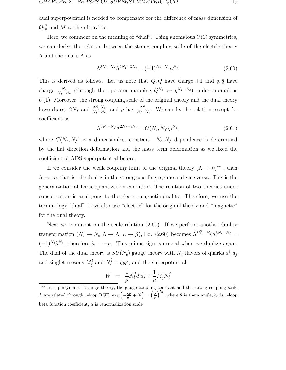dual superpotential is needed to compensate for the difference of mass dimension of  $QQ$  and M at the ultraviolet.

Here, we comment on the meaning of "dual". Using anomalous  $U(1)$  symmetries, we can derive the relation between the strong coupling scale of the electric theory  $\Lambda$  and the dual's  $\Lambda$  as

$$
\Lambda^{3N_c - N_f} \tilde{\Lambda}^{2N_f - 3N_c} = (-1)^{N_f - N_c} \mu^{N_f}.
$$
\n(2.60)

This is derived as follows. Let us note that  $Q, \overline{Q}$  have charge +1 and  $q, \overline{q}$  have charge  $\frac{N_c}{N_f - N_c}$  (through the operator mapping  $Q^{N_c} \leftrightarrow q^{N_f - N_c}$ ) under anomalous  $U(1)$ . Moreover, the strong coupling scale of the original theory and the dual theory have charge  $2N_f$  and  $\frac{2N_fN_c}{N_f-N_c}$ , and  $\mu$  has  $\frac{2N_f}{N_f-N_c}$ . We can fix the relation except for coefficient as

$$
\Lambda^{3N_c - N_f} \tilde{\Lambda}^{2N_f - 3N_c} = C(N_c, N_f) \mu^{N_f}, \qquad (2.61)
$$

where  $C(N_c, N_f)$  is a dimensionless constant.  $N_c, N_f$  dependence is determined by the flat direction deformation and the mass term deformation as we fixed the coefficient of ADS superpotential before.

If we consider the weak coupling limit of the original theory  $(\Lambda \to 0)^{**}$ , then  $\tilde{\Lambda} \to \infty$ , that is, the dual is in the strong coupling regime and vice versa. This is the generalization of Dirac quantization condition. The relation of two theories under consideration is analogous to the electro-magnetic duality. Therefore, we use the terminology "dual" or we also use "electric" for the original theory and "magnetic" for the dual theory.

Next we comment on the scale relation (2.60). If we perform another duality transformation  $(N_c \to \tilde{N}_c, \Lambda \to \tilde{\Lambda}, \mu \to \tilde{\mu})$ , Eq. (2.60) becomes  $\tilde{\Lambda}^{3\tilde{N}_c - N_f} \Lambda^{3N_c - N_f}$  $(-1)^{N_c}\tilde{\mu}^{N_f}$ , therefore  $\tilde{\mu} = -\mu$ . This minus sign is crucial when we dualize again. The dual of the dual theory is  $SU(N_c)$  gauge theory with  $N_f$  flavors of quarks  $d^i$ ,  $\bar{d}^{\dagger}_{\bar{j}}$ and singlet mesons  $M^i_{\bar{j}}$  and  $N^{\bar{j}}_i = q_i q^{\bar{j}}$ , and the superpotential

$$
W \;\;=\;\; \frac{1}{\tilde{\mu}} N_i^{\bar{j}} d^i \bar{d}_{\bar{j}} + \frac{1}{\mu} M_{\bar{j}}^i N_i^{\bar{j}}
$$

<sup>∗∗</sup> In supersymmetric gauge theory, the gauge coupling constant and the strong coupling scale A are related through 1-loop RGE, exp  $\left(-\frac{8\pi}{g^2} + i\theta\right) = \left(\frac{Λ}{μ}\right)^{b_0}$ , where θ is theta angle,  $b_0$  is 1-loop beta function coefficient,  $\mu$  is renormalization scale.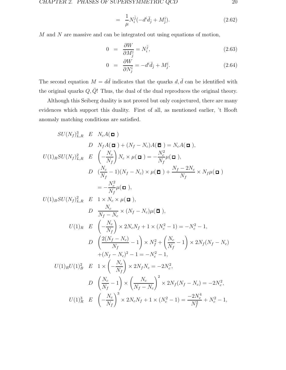$$
= \frac{1}{\mu} N_i^{\bar{j}} (-d^i \bar{d}_{\bar{j}} + M_{\bar{j}}^i). \tag{2.62}
$$

 $M$  and  $N$  are massive and can be integrated out using equations of motion,

$$
0 = \frac{\partial W}{\partial M_{\bar{j}}^i} = N_i^{\bar{j}},\tag{2.63}
$$

$$
0 = \frac{\partial W}{\partial N_j^{\bar{i}}} = -d^i \bar{d}_{\bar{j}} + M_{\bar{j}}^i.
$$
 (2.64)

The second equation  $M = d\bar{d}$  indicates that the quarks  $d, \bar{d}$  can be identified with the original quarks  $Q, \overline{Q}!$  Thus, the dual of the dual reproduces the original theory.

Although this Seiberg duality is not proved but only conjectured, there are many evidences which support this duality. First of all, as mentioned earlier, 't Hooft anomaly matching conditions are satisfied.

$$
SU(N_f)_{L,R}^3 \t E N_c A(\Box)
$$
  
\n
$$
D N_f A(\Box) + (N_f - N_c) A(\overline{\Box}) = N_c A(\Box),
$$
  
\n
$$
U(1)_{R} SU(N_f)_{L,R}^2 \t E \left(-\frac{N_c}{N_f}\right) N_c \times \mu(\Box) = -\frac{N_c^2}{N_f} \mu(\Box),
$$
  
\n
$$
D \left(\frac{N_c}{N_f} - 1\right) (N_f - N_c) \times \mu(\overline{\Box}) + \frac{N_f - 2N_c}{N_f} \times N_f \mu(\overline{\Box})
$$
  
\n
$$
= -\frac{N_c^2}{N_f} \mu(\Box),
$$
  
\n
$$
U(1)_{B} SU(N_f)_{L,R}^2 \t E \t 1 \times N_c \times \mu(\Box),
$$
  
\n
$$
D \frac{N_c}{N_f - N_c} \times (N_f - N_c) \mu(\overline{\Box}),
$$
  
\n
$$
U(1)_{R} \t E \left(-\frac{N_c}{N_f}\right) \times 2N_c N_f + 1 \times (N_c^2 - 1) = -N_c^2 - 1,
$$
  
\n
$$
D \left(\frac{2(N_f - N_c)}{N_f} - 1\right) \times N_f^2 + \left(\frac{N_c}{N_f} - 1\right) \times 2N_f (N_f - N_c)
$$
  
\n
$$
+ (N_f - N_c)^2 - 1 = -N_c^2 - 1,
$$
  
\n
$$
U(1)_{R} U(1)_B^2 \t E \t 1 \times \left(-\frac{N_c}{N_f}\right) \times 2N_f N_c = -2N_c^2,
$$
  
\n
$$
D \left(\frac{N_c}{N_f} - 1\right) \times \left(\frac{N_c}{N_f - N_c}\right)^2 \times 2N_f (N_f - N_c) = -2N_c^2,
$$
  
\n
$$
U(1)_R^3 \t E \t (-\frac{N_c}{N_f})^3 \times 2N_c N_f + 1 \times (N_c^2 - 1) = -\frac{2N_c^4}{N_f^2} + N_c^2 - 1,
$$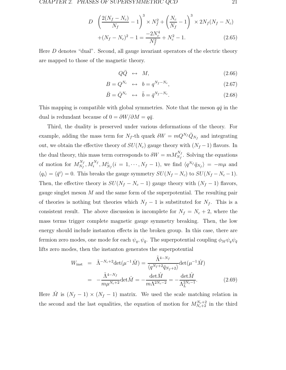$$
D \left(\frac{2(N_f - N_c)}{N_f} - 1\right)^3 \times N_f^2 + \left(\frac{N_c}{N_f} - 1\right)^3 \times 2N_f(N_f - N_c) + (N_f - N_c)^2 - 1 = \frac{-2N_c^4}{N_f^2} + N_c^2 - 1.
$$
 (2.65)

Here D denotes "dual". Second, all gauge invariant operators of the electric theory are mapped to those of the magnetic theory.

$$
Q\bar{Q} \ \leftrightarrow \ M,\tag{2.66}
$$

$$
B = Q^{N_c} \leftrightarrow b = q^{N_f - N_c}, \tag{2.67}
$$

$$
\bar{B} = \bar{Q}^{N_c} \leftrightarrow \bar{b} = \bar{q}^{N_f - N_c}.
$$
\n(2.68)

This mapping is compatible with global symmetries. Note that the meson  $q\bar{q}$  in the dual is redundant because of  $0 = \partial W / \partial M = q\overline{q}$ .

Third, the duality is preserved under various deformations of the theory. For example, adding the mass term for  $N_f$ -th quark  $\delta W = mQ^{N_f}\overline{Q}_{N_f}$  and integrating out, we obtain the effective theory of  $SU(N_c)$  gauge theory with  $(N_f - 1)$  flavors. In the dual theory, this mass term corresponds to  $\delta W = m M_{N_f}^{N_f}$ . Solving the equations of motion for  $M_{N_f}^{N_f}, M_i^{N_f}, M_{N_f}^i (i = 1, \dots, N_f - 1)$ , we find  $\langle q^{N_f} \bar{q}_{N_f} \rangle = -m\mu$  and  $\langle q_i \rangle = \langle \bar{q}^i \rangle = 0$ . This breaks the gauge symmetry  $SU(N_f - N_c)$  to  $SU(N_f - N_c - 1)$ . Then, the effective theory is  $SU(N_f - N_c - 1)$  gauge theory with  $(N_f - 1)$  flavors, gauge singlet meson M and the same form of the superpotential. The resulting pair of theories is nothing but theories which  $N_f - 1$  is substituted for  $N_f$ . This is a consistent result. The above discussion is incomplete for  $N_f = N_c + 2$ , where the mass terms trigger complete magnetic gauge symmetry breaking. Then, the low energy should include instanton effects in the broken group. In this case, there are fermion zero modes, one mode for each  $\psi_q$ ,  $\psi_{\bar{q}}$ . The superpotential coupling  $\phi_M \psi_q \psi_{\bar{q}}$ lifts zero modes, then the instanton generates the superpotential

$$
W_{\text{inst}} = \tilde{\Lambda}^{-N_c+2} \det(\mu^{-1} \hat{M}) = \frac{\tilde{\Lambda}^{4-N_f}}{\langle q^{N_f+2} \bar{q}_{N_f+2} \rangle} \det(\mu^{-1} \hat{M})
$$

$$
= -\frac{\tilde{\Lambda}^{4-N_f}}{m \mu^{N_c+2}} \det \hat{M} = -\frac{\det \hat{M}}{m \Lambda^{2N_c-2}} = -\frac{\det \hat{M}}{\Lambda_L^{2N_c-1}}.
$$
(2.69)

Here  $\hat{M}$  is  $(N_f - 1) \times (N_f - 1)$  matrix. We used the scale matching relation in the second and the last equalities, the equation of motion for  $M_{N_c+2}^{N_c+2}$  in the third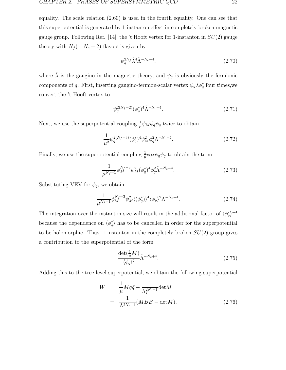equality. The scale relation (2.60) is used in the fourth equality. One can see that this superpotential is generated by 1-instanton effect in completely broken magnetic gauge group. Following Ref. [14], the 't Hooft vertex for 1-instanton in  $SU(2)$  gauge theory with  $N_f (= N_c + 2)$  flavors is given by

$$
\psi_q^{2N_f} \tilde{\lambda}^4 \tilde{\Lambda}^{-N_c - 4},\tag{2.70}
$$

where  $\tilde{\lambda}$  is the gaugino in the magnetic theory, and  $\psi_q$  is obviously the fermionic components of q. First, inserting gaugino-fermion-scalar vertex  $\psi_q \tilde{\lambda} \phi_q^*$  four times, we convert the 't Hooft vertex to

$$
\psi_q^{2(N_f-2)}(\phi_q^*)^4\tilde{\Lambda}^{-N_c-4}.\tag{2.71}
$$

Next, we use the superpotential coupling  $\frac{1}{\mu} \psi_M \phi_q \psi_{\bar{q}}$  twice to obtain

$$
\frac{1}{\mu^2} \psi_q^{2(N_f - 3)} (\phi_q^*)^4 \psi_M^2 \phi_q^2 \tilde{\Lambda}^{-N_c - 4}.
$$
\n(2.72)

Finally, we use the superpotential coupling  $\frac{1}{\mu}\phi_M \psi_q \psi_q$  to obtain the term

$$
\frac{1}{\mu^{N_f - 1}} \phi_M^{N_f - 3} \psi_M^2 (\phi_q^*)^4 \phi_q^2 \tilde{\Lambda}^{-N_c - 4}.
$$
\n(2.73)

Substituting VEV for  $\phi_q$ , we obtain

$$
\frac{1}{\mu^{N_f - 1}} \phi_M^{N_f - 3} \psi_M^2 \langle (\phi_q^*) \rangle^4 \langle \phi_q \rangle^2 \tilde{\Lambda}^{-N_c - 4}.
$$
 (2.74)

The integration over the instanton size will result in the additional factor of  $\langle \phi_q^* \rangle^{-4}$ because the dependence on  $\langle \phi_q^* \rangle$  has to be cancelled in order for the superpotential to be holomorphic. Thus, 1-instanton in the completely broken  $SU(2)$  group gives a contribution to the superpotential of the form

$$
\frac{\det(\frac{1}{\mu}M)}{\langle\phi_q\rangle^2}\tilde{\Lambda}^{-N_c+4}.\tag{2.75}
$$

Adding this to the tree level superpotential, we obtain the following superpotential

$$
W = \frac{1}{\mu} M q \bar{q} - \frac{1}{\Lambda_L^{2N_c - 1}} \text{det} M
$$
  
= 
$$
\frac{1}{\Lambda^{2N_c - 1}} (MB\bar{B} - \text{det} M),
$$
 (2.76)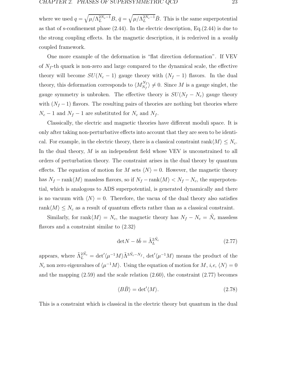where we used  $q = \sqrt{\mu/\Lambda_L^{2N_c-1}}B$ ,  $\bar{q} = \sqrt{\mu/\Lambda_L^{2N_c-1}}\bar{B}$ . This is the same superpotential as that of s-confinement phase (2.44). In the electric description, Eq.(2.44) is due to the strong coupling effects. In the magnetic description, it is rederived in a *weakly* coupled framework.

One more example of the deformation is "flat direction deformation". If VEV of  $N_f$ -th quark is non-zero and large compared to the dynamical scale, the effective theory will become  $SU(N_c - 1)$  gauge theory with  $(N_f - 1)$  flavors. In the dual theory, this deformation corresponds to  $\langle M_{N_f}^{N_f} \rangle \neq 0$ . Since M is a gauge singlet, the gauge symmetry is unbroken. The effective theory is  $SU(N_f - N_c)$  gauge theory with  $(N_f - 1)$  flavors. The resulting pairs of theories are nothing but theories where  $N_c - 1$  and  $N_f - 1$  are substituted for  $N_c$  and  $N_f$ .

Classically, the electric and magnetic theories have different moduli space. It is only after taking non-perturbative effects into account that they are seen to be identical. For example, in the electric theory, there is a classical constraint rank $\langle M \rangle \leq N_c$ . In the dual theory, M is an independent field whose VEV is unconstrained to all orders of perturbation theory. The constraint arises in the dual theory by quantum effects. The equation of motion for M sets  $\langle N \rangle = 0$ . However, the magnetic theory has  $N_f - \text{rank}\langle M \rangle$  massless flavors, so if  $N_f - \text{rank}\langle M \rangle < N_f - N_c$ , the superpotential, which is analogous to ADS superpotential, is generated dynamically and there is no vacuum with  $\langle N \rangle = 0$ . Therefore, the vacua of the dual theory also satisfies rank $\langle M \rangle \leq N_c$  as a result of quantum effects rather than as a classical constraint.

Similarly, for rank $\langle M \rangle = N_c$ , the magnetic theory has  $N_f - N_c = \tilde{N}_c$  massless flavors and a constraint similar to (2.32)

$$
\det N - b\bar{b} = \tilde{\Lambda}_L^{2\tilde{N}_c} \tag{2.77}
$$

appears, where  $\tilde{\Lambda}_L^{2\tilde{N}_c} = det \langle \mu^{-1} M \rangle \tilde{\Lambda}^{3\tilde{N}_c - N_f}$ ,  $det' \langle \mu^{-1} M \rangle$  means the product of the  $N_c$  non zero eigenvalues of  $\langle \mu^{-1}M \rangle$ . Using the equation of motion for  $M$ , i,e,  $\langle N \rangle = 0$ and the mapping  $(2.59)$  and the scale relation  $(2.60)$ , the constraint  $(2.77)$  becomes

$$
\langle B\bar{B}\rangle = \det'\langle M\rangle. \tag{2.78}
$$

This is a constraint which is classical in the electric theory but quantum in the dual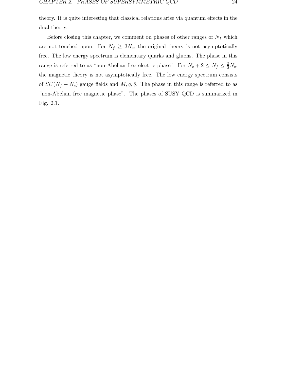theory. It is quite interesting that classical relations arise via quantum effects in the dual theory.

Before closing this chapter, we comment on phases of other ranges of  $N_f$  which are not touched upon. For  $N_f \geq 3N_c$ , the original theory is not asymptotically free. The low energy spectrum is elementary quarks and gluons. The phase in this range is referred to as "non-Abelian free electric phase". For  $N_c + 2 \le N_f \le \frac{3}{2}N_c$ , the magnetic theory is not asymptotically free. The low energy spectrum consists of  $SU(N_f - N_c)$  gauge fields and  $M, q, \bar{q}$ . The phase in this range is referred to as "non-Abelian free magnetic phase". The phases of SUSY QCD is summarized in Fig. 2.1.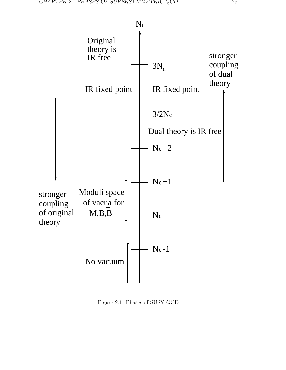

Figure 2.1: Phases of SUSY QCD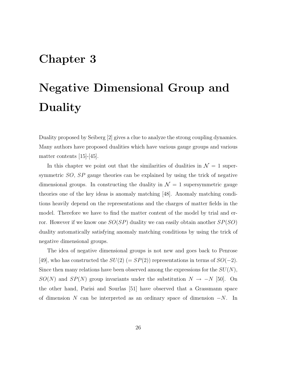## **Chapter 3**

# **Negative Dimensional Group and Duality**

Duality proposed by Seiberg [2] gives a clue to analyze the strong coupling dynamics. Many authors have proposed dualities which have various gauge groups and various matter contents [15]-[45].

In this chapter we point out that the similarities of dualities in  $\mathcal{N} = 1$  supersymmetric SO, SP gauge theories can be explained by using the trick of negative dimensional groups. In constructing the duality in  $\mathcal{N}=1$  supersymmetric gauge theories one of the key ideas is anomaly matching [48]. Anomaly matching conditions heavily depend on the representations and the charges of matter fields in the model. Therefore we have to find the matter content of the model by trial and error. However if we know one  $SO(SP)$  duality we can easily obtain another  $SP(SO)$ duality automatically satisfying anomaly matching conditions by using the trick of negative dimensional groups.

The idea of negative dimensional groups is not new and goes back to Penrose [49], who has constructed the  $SU(2)$  (=  $SP(2)$ ) representations in terms of  $SO(-2)$ . Since then many relations have been observed among the expressions for the  $SU(N)$ ,  $SO(N)$  and  $SP(N)$  group invariants under the substitution  $N \rightarrow -N$  [50]. On the other hand, Parisi and Sourlas [51] have observed that a Grassmann space of dimension N can be interpreted as an ordinary space of dimension  $-N$ . In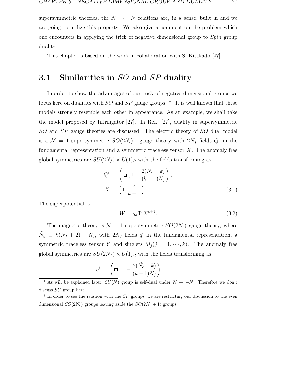supersymmetric theories, the  $N \rightarrow -N$  relations are, in a sense, built in and we are going to utilize this property. We also give a comment on the problem which one encounters in applying the trick of negative dimensional group to Spin group duality.

This chapter is based on the work in collaboration with S. Kitakado [47].

#### **3.1 Similarities in** SO **and** SP **duality**

In order to show the advantages of our trick of negative dimensional groups we focus here on dualities with  $SO$  and  $SP$  gauge groups.  $*$  It is well known that these models strongly resemble each other in appearance. As an example, we shall take the model proposed by Intriligator [27]. In Ref. [27], duality in supersymmetric SO and SP gauge theories are discussed. The electric theory of SO dual model is a  $\mathcal{N} = 1$  supersymmetric  $SO(2N_c)^{\dagger}$  gauge theory with  $2N_f$  fields  $Q^i$  in the fundamental representation and a symmetric traceless tensor  $X$ . The anomaly free global symmetries are  $SU(2N_f) \times U(1)_R$  with the fields transforming as

$$
Q^{i} \qquad \left(\Box_{1}, 1 - \frac{2(N_{c} - k)}{(k+1)N_{f}}\right),
$$

$$
X \qquad \left(1, \frac{2}{k+1}\right). \tag{3.1}
$$

The superpotential is

$$
W = g_k \text{Tr} X^{k+1}.
$$
\n(3.2)

The magnetic theory is  $\mathcal{N} = 1$  supersymmetric  $SO(2N_c)$  gauge theory, where  $\tilde{N}_c \equiv k(N_f + 2) - N_c$ , with  $2N_f$  fields  $q^i$  in the fundamental representation, a symmetric traceless tensor Y and singlets  $M_j$  ( $j = 1, \dots, k$ ). The anomaly free global symmetries are  $SU(2N_f) \times U(1)_R$  with the fields transforming as

$$
q^{i} \qquad \left(\boldsymbol{\overline{\Box}}\, , 1 - \frac{2(\tilde{N}_{c} - k)}{(k+1)N_{f}}\right),
$$

<sup>&</sup>lt;sup>\*</sup> As will be explained later,  $SU(N)$  group is self-dual under  $N \rightarrow -N$ . Therefore we don't discuss  $SU$  group here.

<sup>&</sup>lt;sup>†</sup> In order to see the relation with the  $SP$  groups, we are restricting our discussion to the even dimensional  $SO(2N_c)$  groups leaving aside the  $SO(2N_c+1)$  groups.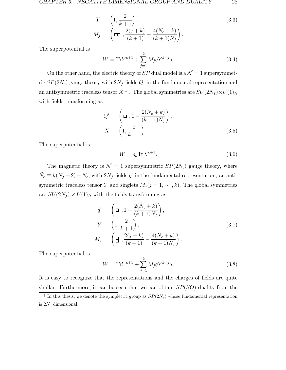$$
Y \qquad \left(1, \frac{2}{k+1}\right),
$$
\n
$$
M_j \qquad \left(\Box \quad, \frac{2(j+k)}{(k+1)} - \frac{4(N_c-k)}{(k+1)N_f}\right).
$$
\n
$$
(3.3)
$$

The superpotential is

$$
W = \text{Tr}Y^{k+1} + \sum_{j=1}^{k} M_j q Y^{k-j} q.
$$
 (3.4)

On the other hand, the electric theory of  $SP$  dual model is a  $\mathcal{N}=1$  supersymmetric  $SP(2N_c)$  gauge theory with  $2N_f$  fields  $Q^i$  in the fundamental representation and an antisymmetric traceless tensor  $X^{\ddagger}$ . The global symmetries are  $SU(2N_f) \times U(1)_R$ with fields transforming as

$$
Q^{i} \qquad \left(\Box, 1 - \frac{2(N_c + k)}{(k+1)N_f}\right),
$$
  

$$
X \qquad \left(1, \frac{2}{k+1}\right).
$$
 (3.5)

The superpotential is

$$
W = g_k \text{Tr} X^{k+1}.
$$
\n(3.6)

The magnetic theory is  $\mathcal{N} = 1$  supersymmetric  $SP(2N_c)$  gauge theory, where  $\tilde{N}_c \equiv k(N_f - 2) - N_c$ , with  $2N_f$  fields  $q^i$  in the fundamental representation, an antisymmetric traceless tensor Y and singlets  $M_j$  ( $j = 1, \dots, k$ ). The global symmetries are  $SU(2N_f) \times U(1)_R$  with the fields transforming as

$$
q^{i} \qquad \left(\boldsymbol{\overline{\mathbf{a}}}, 1 - \frac{2(\tilde{N}_{c} + k)}{(k+1)N_{f}}\right),
$$
\n
$$
Y \qquad \left(1, \frac{2}{k+1}\right),
$$
\n
$$
M_{j} \qquad \left(\boldsymbol{\overline{\mathbf{H}}}, \frac{2(j+k)}{(k+1)} - \frac{4(N_{c} + k)}{(k+1)N_{f}}\right).
$$
\n
$$
(3.7)
$$

The superpotential is

$$
W = \text{Tr} Y^{k+1} + \sum_{j=1}^{k} M_j q Y^{k-j} q.
$$
 (3.8)

It is easy to recognize that the representations and the charges of fields are quite similar. Furthermore, it can be seen that we can obtain  $SP(SO)$  duality from the

<sup>&</sup>lt;sup>‡</sup> In this thesis, we denote the symplectic group as  $SP(2N_c)$  whose fundamental representation is  $2N_c$  dimensional.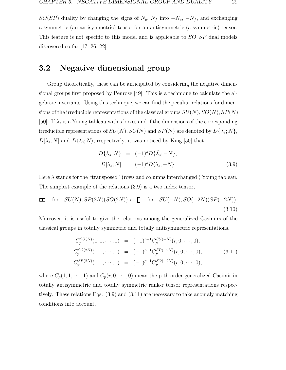$SO(SP)$  duality by changing the signs of  $N_c$ ,  $N_f$  into  $-N_c$ ,  $-N_f$ , and exchanging a symmetric (an antisymmetric) tensor for an antisymmetric (a symmetric) tensor. This feature is not specific to this model and is applicable to SO, SP dual models discovered so far [17, 26, 22].

#### **3.2 Negative dimensional group**

Group theoretically, these can be anticipated by considering the negative dimensional groups first proposed by Penrose [49]. This is a technique to calculate the algebraic invariants. Using this technique, we can find the peculiar relations for dimensions of the irreducible representations of the classical groups  $SU(N),SO(N),SP(N)$ [50]. If  $\lambda_s$  is a Young tableau with s boxes and if the dimensions of the corresponding irreducible representations of  $SU(N)$ ,  $SO(N)$  and  $SP(N)$  are denoted by  $D\{\lambda_s; N\}$ ,  $D[\lambda_s; N]$  and  $D(\lambda_s; N)$ , respectively, it was noticed by King [50] that

$$
D\{\lambda_s; N\} = (-1)^s D\{\tilde{\lambda}_s; -N\},
$$
  
\n
$$
D[\lambda_s; N] = (-1)^s D\langle \tilde{\lambda}_s; -N \rangle.
$$
\n(3.9)

Here  $\tilde{\lambda}$  stands for the "transposed" (rows and columns interchanged) Young tableau. The simplest example of the relations (3.9) is a two index tensor,

$$
\Box \text{ for } SU(N), SP(2N)(SO(2N)) \leftrightarrow \text{B for } SU(-N), SO(-2N)(SP(-2N)).
$$
\n(3.10)

Moreover, it is useful to give the relations among the generalized Casimirs of the classical groups in totally symmetric and totally antisymmetric representations.

$$
C_p^{SU(N)}(1,1,\dots,1) = (-1)^{p-1} C_p^{SU(-N)}(r,0,\dots,0),
$$
  
\n
$$
C_p^{SO(2N)}(1,1,\dots,1) = (-1)^{p-1} C_p^{SP(-2N)}(r,0,\dots,0),
$$
  
\n
$$
C_p^{SP(2N)}(1,1,\dots,1) = (-1)^{p-1} C_p^{SO(-2N)}(r,0,\dots,0),
$$
\n(3.11)

where  $C_p(1, 1, \dots, 1)$  and  $C_p(r, 0, \dots, 0)$  mean the p-th order generalized Casimir in totally antisymmetric and totally symmetric rank-r tensor representations respectively. These relations Eqs. (3.9) and (3.11) are necessary to take anomaly matching conditions into account.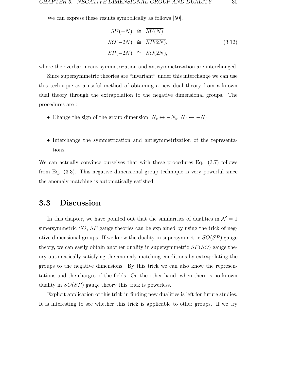We can express these results symbolically as follows [50],

$$
SU(-N) \cong \overline{SU(N)},
$$
  
\n
$$
SO(-2N) \cong \overline{SP(2N)},
$$
  
\n
$$
SP(-2N) \cong \overline{SO(2N)},
$$
  
\n(3.12)

where the overbar means symmetrization and antisymmetrization are interchanged.

Since supersymmetric theories are "invariant" under this interchange we can use this technique as a useful method of obtaining a new dual theory from a known dual theory through the extrapolation to the negative dimensional groups. The procedures are :

- Change the sign of the group dimension,  $N_c \leftrightarrow -N_c,\, N_f \leftrightarrow -N_f.$
- Interchange the symmetrization and antisymmetrization of the representations.

We can actually convince ourselves that with these procedures Eq. (3.7) follows from Eq. (3.3). This negative dimensional group technique is very powerful since the anomaly matching is automatically satisfied.

#### **3.3 Discussion**

In this chapter, we have pointed out that the similarities of dualities in  $\mathcal{N} = 1$ supersymmetric SO, SP gauge theories can be explained by using the trick of negative dimensional groups. If we know the duality in supersymmetric  $SO(SP)$  gauge theory, we can easily obtain another duality in supersymmetric  $SP(SO)$  gauge theory automatically satisfying the anomaly matching conditions by extrapolating the groups to the negative dimensions. By this trick we can also know the representations and the charges of the fields. On the other hand, when there is no known duality in  $SO(SP)$  gauge theory this trick is powerless.

Explicit application of this trick in finding new dualities is left for future studies. It is interesting to see whether this trick is applicable to other groups. If we try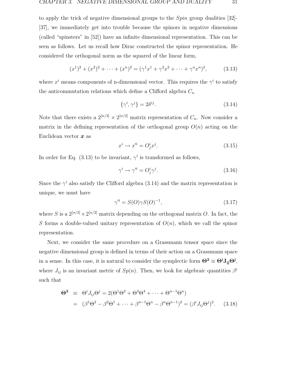to apply the trick of negative dimensional groups to the Spin group dualities [32]- [37], we immediately get into trouble because the spinors in negative dimensions (called "spinsters" in [52]) have an infinite dimensional representation. This can be seen as follows. Let us recall how Dirac constructed the spinor representation. He considered the orthogonal norm as the squared of the linear form,

$$
(x1)2 + (x2)2 + \dots + (xn)2 = (\gamma1x1 + \gamma2x2 + \dots + \gammanxn)2,
$$
 (3.13)

where  $x^i$  means components of n-dimensional vector. This requires the  $\gamma^i$  to satisfy the anticommutation relations which define a Clifford algebra  $C_n$ 

$$
\{\gamma^i, \gamma^j\} = 2\delta^{ij}.\tag{3.14}
$$

Note that there exists a  $2^{[n/2]} \times 2^{[n/2]}$  matrix representation of  $C_n$ . Now consider a matrix in the defining representation of the orthogonal group  $O(n)$  acting on the Euclidean vector *x* as

$$
x^i \to x'^i = O^i_j x^j. \tag{3.15}
$$

In order for Eq. (3.13) to be invariant,  $\gamma^{i}$  is transformed as follows,

$$
\gamma^i \to \gamma'^i = O^i_j \gamma^j. \tag{3.16}
$$

Since the  $\gamma^i$  also satisfy the Clifford algebra (3.14) and the matrix representation is unique, we must have

$$
\gamma'^i = S(O)\gamma S(O)^{-1},\tag{3.17}
$$

where S is a  $2^{[n/2]} \times 2^{[n/2]}$  matrix depending on the orthogonal matrix O. In fact, the S forms a double-valued unitary representation of  $O(n)$ , which we call the spinor representation.

Next, we consider the same procedure on a Grassmann tensor space since the negative dimensional group is defined in terms of their action on a Grassmann space in a sense. In this case, it is natural to consider the symplectic form  $\Theta^2 \equiv \Theta^i J_{ij} \Theta^j$ , where  $J_{ij}$  is an invariant metric of  $Sp(n)$ . Then, we look for algebraic quantities  $\beta^i$ such that

$$
\Theta^2 \equiv \Theta^i J_{ij} \Theta^j = 2(\Theta^1 \Theta^2 + \Theta^3 \Theta^4 + \dots + \Theta^{n-1} \Theta^n)
$$
  
= 
$$
(\beta^1 \Theta^2 - \beta^2 \Theta^1 + \dots + \beta^{n-1} \Theta^n - \beta^n \Theta^{n-1})^2 = (\beta^i J_{ij} \Theta^j)^2.
$$
 (3.18)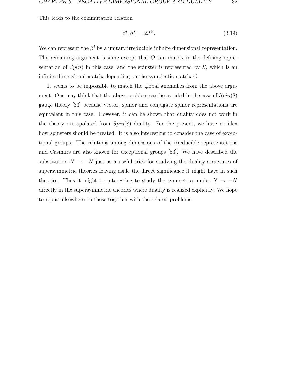This leads to the commutation relation

$$
[\beta^i, \beta^j] = 2J^{ij}.\tag{3.19}
$$

We can represent the  $\beta^i$  by a unitary irreducible infinite dimensional representation. The remaining argument is same except that  $O$  is a matrix in the defining representation of  $Sp(n)$  in this case, and the spinster is represented by S, which is an infinite dimensional matrix depending on the symplectic matrix O.

It seems to be impossible to match the global anomalies from the above argument. One may think that the above problem can be avoided in the case of  $Spin(8)$ gauge theory [33] because vector, spinor and conjugate spinor representations are equivalent in this case. However, it can be shown that duality does not work in the theory extrapolated from  $Spin(8)$  duality. For the present, we have no idea how spinsters should be treated. It is also interesting to consider the case of exceptional groups. The relations among dimensions of the irreducible representations and Casimirs are also known for exceptional groups [53]. We have described the substitution  $N \to -N$  just as a useful trick for studying the duality structures of supersymmetric theories leaving aside the direct significance it might have in such theories. Thus it might be interesting to study the symmetries under  $N \rightarrow -N$ directly in the supersymmetric theories where duality is realized explicitly. We hope to report elsewhere on these together with the related problems.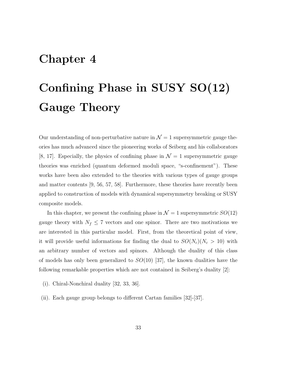### **Chapter 4**

# **Confining Phase in SUSY SO(12) Gauge Theory**

Our understanding of non-perturbative nature in  $\mathcal{N}=1$  supersymmetric gauge theories has much advanced since the pioneering works of Seiberg and his collaborators [8, 17]. Especially, the physics of confining phase in  $\mathcal{N}=1$  supersymmetric gauge theories was enriched (quantum deformed moduli space, "s-confinement"). These works have been also extended to the theories with various types of gauge groups and matter contents [9, 56, 57, 58]. Furthermore, these theories have recently been applied to construction of models with dynamical supersymmetry breaking or SUSY composite models.

In this chapter, we present the confining phase in  $\mathcal{N} = 1$  supersymmetric  $SO(12)$ gauge theory with  $N_f \leq 7$  vectors and one spinor. There are two motivations we are interested in this particular model. First, from the theoretical point of view, it will provide useful informations for finding the dual to  $SO(N_c)(N_c > 10)$  with an arbitrary number of vectors and spinors. Although the duality of this class of models has only been generalized to  $SO(10)$  [37], the known dualities have the following remarkable properties which are not contained in Seiberg's duality [2]:

- (i). Chiral-Nonchiral duality [32, 33, 36].
- (ii). Each gauge group belongs to different Cartan families [32]-[37].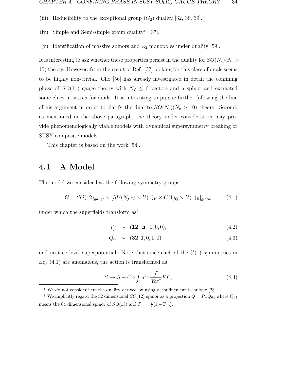- (iii). Reducibility to the exceptional group  $(G_2)$  duality [32, 38, 39].
- (iv). Simple and Semi-simple group duality<sup>∗</sup> [37].
- (v). Identification of massive spinors and  $Z_2$  monopoles under duality [59].

It is interesting to ask whether these properties persist in the duality for  $SO(N_c)(N_c >$ 10) theory. However, from the result of Ref. [37] looking for this class of duals seems to be highly non-trivial. Cho [56] has already investigated in detail the confining phase of  $SO(11)$  gauge theory with  $N_f \leq 6$  vectors and a spinor and extracted some clues in search for duals. It is interesting to pursue further following the line of his argument in order to clarify the dual to  $SO(N_c)(N_c > 10)$  theory. Second, as mentioned in the above paragraph, the theory under consideration may provide phenomenologically viable models with dynamical supersymmetry breaking or SUSY composite models.

This chapter is based on the work [54].

#### **4.1 A Model**

The model we consider has the following symmetry groups

$$
G = SO(12)_{gauge} \times [SU(N_f)_V \times U(1)_V \times U(1)_Q \times U(1)_R]_{global} \tag{4.1}
$$

under which the superfields transform  $as<sup>†</sup>$ 

$$
V_{\mu}^{i} \sim (12, \Box, 1, 0, 0), \qquad (4.2)
$$

$$
Q_{\alpha} \sim (32, 1, 0, 1, 0) \tag{4.3}
$$

and no tree level superpotential. Note that since each of the  $U(1)$  symmetries in Eq. (4.1) are anomalous, the action is transformed as

$$
S \to S - C\alpha \int d^4x \frac{g^2}{32\pi^2} F\tilde{F},\qquad(4.4)
$$

<sup>∗</sup> We do not consider here the duality derived by using deconfinement technique [23].

<sup>&</sup>lt;sup>†</sup> We implicitly regard the 32 dimensional  $SO(12)$  spinor as a projection  $Q = P_{-}Q_{64}$  where  $Q_{64}$ means the 64 dimensional spinor of  $SO(13)$  and  $P_ - = \frac{1}{2}(1 - \Gamma_{13})$ .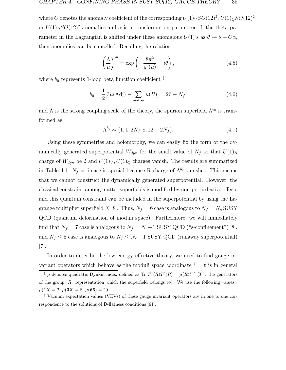where C denotes the anomaly coefficient of the corresponding  $U(1)_V SO(12)^2$ ,  $U(1)_Q SO(12)^2$ or  $U(1)<sub>R</sub>SO(12)<sup>2</sup>$  anomalies and  $\alpha$  is a transformation parameter. If the theta parameter in the Lagrangian is shifted under these anomalous  $U(1)$ 's as  $\theta \to \theta + C\alpha$ , then anomalies can be cancelled. Recalling the relation

$$
\left(\frac{\Lambda}{\mu}\right)^{b_0} = \exp\left(-\frac{8\pi^2}{g^2(\mu)} + i\theta\right),\tag{4.5}
$$

where  $b_0$  represents 1-loop beta function coefficient  $\ddot{\ddot{\ } }$ 

$$
b_0 = \frac{1}{2} [3\mu(\text{Adj}) - \sum_{\text{matter}} \mu(R)] = 26 - N_f,
$$
 (4.6)

and  $\Lambda$  is the strong coupling scale of the theory, the spurion superfield  $\Lambda^{b_0}$  is transformed as

$$
\Lambda^{b_0} \sim (1, 1, 2N_f, 8, 12 - 2N_f). \tag{4.7}
$$

Using these symmetries and holomorphy, we can easily fix the form of the dynamically generated superpotential  $W_{dyn}$  for the small value of  $N_f$  so that  $U(1)_R$ charge of  $W_{dyn}$  be 2 and  $U(1)_V, U(1)_Q$  charges vanish. The results are summarized in Table 4.1.  $N_f = 6$  case is special because R charge of  $\Lambda^{b_0}$  vanishes. This means that we cannot construct the dynamically generated superpotential. However, the classical constraint among matter superfields is modified by non-perturbative effects and this quantum constraint can be included in the superpotential by using the Lagrange multiplier superfield X [8]. Thus,  $N_f = 6$  case is analogous to  $N_f = N_c$  SUSY QCD (quantum deformation of moduli space). Furthermore, we will immediately find that  $N_f = 7$  case is analogous to  $N_f = N_c + 1$  SUSY QCD ("s-confinement") [8], and  $N_f \leq 5$  case is analogous to  $N_f \leq N_c - 1$  SUSY QCD (runaway superpotential) [7].

In order to describe the low energy effective theory, we need to find gauge invariant operators which behave as the moduli space coordinate  $\frac{8}{3}$ . It is in general

<sup>&</sup>lt;sup>‡</sup>  $\mu$  denotes quadratic Dynkin index defined as Tr  $T^a(R)T^b(R) = \mu(R)\delta^{ab}$  ( $T^a$ : the generators of the group,  $R$ : representation which the superfield belongs to). We use the following values :  $\mu(12) = 2, \ \mu(32) = 8, \ \mu(66) = 20.$ 

<sup>§</sup> Vacuum expectation values (VEVs) of these gauge invariant operators are in one to one correspondence to the solutions of D-flatness conditions [61].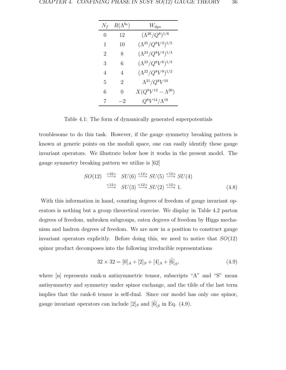| $N_f$            | $R(\Lambda^{b_0})$ | $W_{dyn}$                     |
|------------------|--------------------|-------------------------------|
| $\left( \right)$ | 12                 | $(\Lambda^{26}/Q^8)^{1/6}$    |
| 1                | 10                 | $(\Lambda^{25}/Q^8V^2)^{1/5}$ |
| 2                | 8                  | $(\Lambda^{24}/Q^8V^4)^{1/4}$ |
| 3                | 6                  | $(\Lambda^{23}/Q^8V^6)^{1/3}$ |
| 4                | 4                  | $(\Lambda^{22}/Q^8V^8)^{1/2}$ |
| 5                | 2                  | $\Lambda^{21}/Q^8V^{10}$      |
| 6                | 0                  | $X(Q^{8}V^{12}-\Lambda^{20})$ |
| 7                | -2                 | $Q^8V^{14}/\Lambda^{19}$      |

Table 4.1: The form of dynamically generated superpotentials

troublesome to do this task. However, if the gauge symmetry breaking pattern is known at generic points on the moduli space, one can easily identify these gauge invariant operators. We illustrate below how it works in the present model. The gauge symmetry breaking pattern we utilize is [62]

$$
SO(12) \xrightarrow{\langle 32 \rangle} SU(6) \xrightarrow{\langle 12 \rangle} SU(5) \xrightarrow{\langle 12 \rangle} SU(4)
$$
  

$$
\xrightarrow{\langle 12 \rangle} SU(3) \xrightarrow{\langle 12 \rangle} SU(2) \xrightarrow{\langle 12 \rangle} 1.
$$
 (4.8)

With this information in hand, counting degrees of freedom of gauge invariant operators is nothing but a group theoretical exercise. We display in Table 4.2 parton degrees of freedom, unbroken subgroups, eaten degrees of freedom by Higgs mechanism and hadron degrees of freedom. We are now in a position to construct gauge invariant operators explicitly. Before doing this, we need to notice that  $SO(12)$ spinor product decomposes into the following irreducible representations

$$
32 \times 32 = [0]_A + [2]_S + [4]_A + [\tilde{6}]_S, \tag{4.9}
$$

where [n] represents rank-n antisymmetric tensor, subscripts "A" and "S" mean antisymmetry and symmetry under spinor exchange, and the tilde of the last term implies that the rank-6 tensor is self-dual. Since our model has only one spinor, gauge invariant operators can include [2]<sub>S</sub> and [ $\tilde{6}$ ]<sub>S</sub> in Eq. (4.9).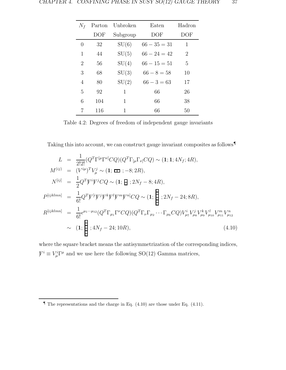| $N_f$            |     | Parton Unbroken | Eaten          | Hadron |
|------------------|-----|-----------------|----------------|--------|
|                  | DOF | Subgroup        | DOF            | DOF    |
| $\left( \right)$ | 32  | SU(6)           | $66 - 35 = 31$ | 1      |
| 1                | 44  | SU(5)           | $66 - 24 = 42$ | 2      |
| 2                | 56  | SU(4)           | $66 - 15 = 51$ | 5      |
| 3                | 68  | SU(3)           | $66 - 8 = 58$  | 10     |
| 4                | 80  | SU(2)           | $66 - 3 = 63$  | 17     |
| 5                | 92  | 1               | 66             | 26     |
| 6                | 104 | 1               | 66             | 38     |
|                  | 116 | 1               | 66             | 50     |

Table 4.2: Degrees of freedom of independent gauge invariants

Taking this into account, we can construct gauge invariant composites as follows¶

$$
L = \frac{1}{2!2!} (Q^T \Gamma^{[\mu} \Gamma^{\nu]} CQ) (Q^T \Gamma_{[\mu} \Gamma_{\nu]} CQ) \sim (1; 1; 4N_f; 4R),
$$
  
\n
$$
M^{(ij)} = (V^{i\mu})^T V^j_{\mu} \sim (1; \mathbf{m}; -8; 2R),
$$
  
\n
$$
N^{[ij]} = \frac{1}{2} Q^T V^i V^j CQ \sim (1; \mathbf{H}; 2N_f - 8; 4R),
$$
  
\n
$$
P^{[ijklmn]} = \frac{1}{6!} Q^T V^{[i} V^j V^k V^l V^m V^{n]} CQ \sim (1; \mathbf{H}; 2N_f - 24; 8R),
$$
  
\n
$$
R^{[ijklmn]} = \frac{1}{6!} \epsilon^{\mu_1 \cdots \mu_{12}} (Q^T \Gamma_{\mu_1} \Gamma^{\nu} CQ) (Q^T \Gamma_{\nu} \Gamma_{\mu_2} \cdots \Gamma_{\mu_6} CQ) V^i_{\mu_7} V^j_{\mu_8} V^l_{\mu_9} V^m_{\mu_{10}} V^m_{\mu_{12}} \sim (1; \mathbf{H}; 4N_f - 24; 10R),
$$
  
\n(4.10)

where the square bracket means the antisymmetrization of the corresponding indices,  $\mathcal{V}^i \equiv V^i_\mu \Gamma^\mu$  and we use here the following SO(12) Gamma matrices,

 $\blacksquare$  The representations and the charge in Eq. (4.10) are those under Eq. (4.11).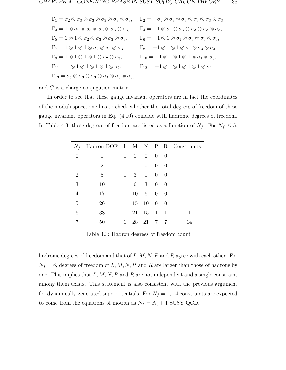$\Gamma_1 = \sigma_2 \otimes \sigma_3 \otimes \sigma_3 \otimes \sigma_3 \otimes \sigma_3 \otimes \sigma_3$ ,  $\Gamma_2 = -\sigma_1 \otimes \sigma_3 \otimes \sigma_3 \otimes \sigma_3 \otimes \sigma_3 \otimes \sigma_3$  $\Gamma_3 = 1 \otimes \sigma_2 \otimes \sigma_3 \otimes \sigma_3 \otimes \sigma_3 \otimes \sigma_3, \qquad \Gamma_4 = -1 \otimes \sigma_1 \otimes \sigma_3 \otimes \sigma_3 \otimes \sigma_3 \otimes \sigma_3,$  $\Gamma_5 = 1 \otimes 1 \otimes \sigma_2 \otimes \sigma_3 \otimes \sigma_3 \otimes \sigma_3, \qquad \Gamma_6 = -1 \otimes 1 \otimes \sigma_1 \otimes \sigma_3 \otimes \sigma_3 \otimes \sigma_3,$  $\Gamma_7 = 1 \otimes 1 \otimes 1 \otimes \sigma_2 \otimes \sigma_3 \otimes \sigma_3, \qquad \Gamma_8 = -1 \otimes 1 \otimes 1 \otimes \sigma_1 \otimes \sigma_3 \otimes \sigma_3,$  $\Gamma_9 = 1 \otimes 1 \otimes 1 \otimes 1 \otimes \sigma_2 \otimes \sigma_3,$   $\Gamma_{10} = -1 \otimes 1 \otimes 1 \otimes 1 \otimes \sigma_1 \otimes \sigma_3,$  $\Gamma_{11} = 1 \otimes 1 \otimes 1 \otimes 1 \otimes 1 \otimes \sigma_2, \qquad \Gamma_{12} = -1 \otimes 1 \otimes 1 \otimes 1 \otimes \sigma_1,$  $\Gamma_{13} = \sigma_3 \otimes \sigma_3 \otimes \sigma_3 \otimes \sigma_3 \otimes \sigma_3$ 

and C is a charge conjugation matrix.

In order to see that these gauge invariant operators are in fact the coordinates of the moduli space, one has to check whether the total degrees of freedom of these gauge invariant operators in Eq. (4.10) coincide with hadronic degrees of freedom. In Table 4.3, these degrees of freedom are listed as a function of  $N_f$ . For  $N_f \leq 5$ ,

| $N_f$          | Hadron DOF L M N P R Constraints |              |              |                |                |          |       |
|----------------|----------------------------------|--------------|--------------|----------------|----------------|----------|-------|
| $\theta$       | 1                                | $\mathbf{1}$ | $\theta$     | $\theta$       | $\theta$       | 0        |       |
| 1              | 2                                | $\mathbf{1}$ | $\mathbf{1}$ | $\overline{0}$ | $\overline{0}$ | $\theta$ |       |
| $\overline{2}$ | 5                                | $\mathbf{1}$ | 3            | $\mathbf{1}$   | $\overline{0}$ | $\theta$ |       |
| 3              | 10                               | $\mathbf{1}$ | 6            | 3              | $\theta$       | $\theta$ |       |
| 4              | 17                               | $\mathbf{1}$ | 10           | 6              | $\theta$       | $\Omega$ |       |
| 5              | 26                               | $\mathbf{1}$ |              | 15 10          | $\overline{0}$ | $\Omega$ |       |
| 6              | 38                               | $\mathbf{1}$ | 21           | 15             | $\overline{1}$ | -1       | -1    |
|                | 50                               |              | 28           | 21             | 7              | 7        | $-14$ |

Table 4.3: Hadron degrees of freedom count

hadronic degrees of freedom and that of  $L, M, N, P$  and  $R$  agree with each other. For  $N_f = 6$ , degrees of freedom of L, M, N, P and R are larger than those of hadrons by one. This implies that  $L, M, N, P$  and R are not independent and a single constraint among them exists. This statement is also consistent with the previous argument for dynamically generated superpotentials. For  $N_f = 7$ , 14 constraints are expected to come from the equations of motion as  $N_f = N_c + 1$  SUSY QCD.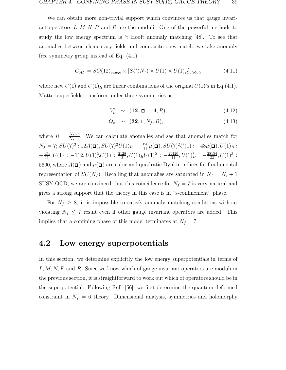We can obtain more non-trivial support which convinces us that gauge invariant operators  $L, M, N, P$  and R are the moduli. One of the powerful methods to study the low energy spectrum is 't Hooft anomaly matching [48]. To see that anomalies between elementary fields and composite ones match, we take anomaly free symmetry group instead of Eq. (4.1)

$$
G_{AF} = SO(12)_{gauge} \times [SU(N_f) \times U(1) \times U(1)_R]_{global}, \tag{4.11}
$$

where new  $U(1)$  and  $U(1)<sub>R</sub>$  are linear combinations of the original  $U(1)$ 's in Eq.(4.1). Matter superfields transform under these symmetries as

$$
V_{\mu}^{i} \sim (12, \Box, -4, R), \qquad (4.12)
$$

$$
Q_{\alpha} \sim (\mathbf{32}, \mathbf{1}, N_f, R), \tag{4.13}
$$

where  $R = \frac{N_f - 6}{N_f + 4}$ . We can calculate anomalies and see that anomalies match for  $N_f = 7; SU(7)^3 : 12A(\Box), SU(7)^2U(1)_R : -\frac{120}{11}\mu(\Box), SU(7)^2U(1) : -48\mu(\Box), U(1)_R :$  $-\frac{434}{11}, U(1) : -112, U(1)_R^2U(1) : \frac{2128}{121}, U(1)_RU(1)^2 : -\frac{29120}{11}, U(1)_R^3 : -\frac{28154}{1331}, U(1)^3 :$ 5600, where  $A(\square)$  and  $\mu(\square)$  are cubic and quadratic Dynkin indices for fundamental representation of  $SU(N_f)$ . Recalling that anomalies are saturated in  $N_f = N_c + 1$ SUSY QCD, we are convinced that this coincidence for  $N_f = 7$  is very natural and gives a strong support that the theory in this case is in "s-confinement" phase.

For  $N_f \geq 8$ , it is impossible to satisfy anomaly matching conditions without violating  $N_f \leq 7$  result even if other gauge invariant operators are added. This implies that a confining phase of this model terminates at  $N_f = 7$ .

#### **4.2 Low energy superpotentials**

In this section, we determine explicitly the low energy superpotentials in terms of  $L, M, N, P$  and R. Since we know which of gauge invariant operators are moduli in the previous section, it is straightforward to work out which of operators should be in the superpotential. Following Ref. [56], we first determine the quantum deformed constraint in  $N_f = 6$  theory. Dimensional analysis, symmetries and holomorphy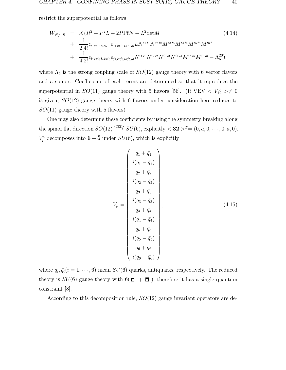restrict the superpotential as follows

$$
W_{N_f=6} = X(R^2 + P^2L + 2PPfN + L^2 \text{det}M
$$
\n
$$
+ \frac{1}{2!4!} \epsilon_{i_1 i_2 i_3 i_4 i_5 i_6} \epsilon_{j_1 j_2 j_3 j_4 j_5 j_6} L N^{i_1 j_1} N^{i_2 j_2} M^{i_3 j_3} M^{i_4 j_4} M^{i_5 j_5} M^{i_6 j_6}
$$
\n
$$
+ \frac{1}{4!2!} \epsilon_{i_1 i_2 i_3 i_4 i_5 i_6} \epsilon_{j_1 j_2 j_3 j_4 j_5 j_6} N^{i_1 j_1} N^{i_2 j_2} N^{i_3 j_3} N^{i_4 j_4} M^{i_5 j_5} M^{i_6 j_6} - \Lambda_6^{20},
$$
\n
$$
(4.14)
$$

where  $\Lambda_6$  is the strong coupling scale of  $SO(12)$  gauge theory with 6 vector flavors and a spinor. Coefficients of each terms are determined so that it reproduce the superpotential in  $SO(11)$  gauge theory with 5 flavors [56]. (If VEV  $\langle V_{12}^6 \rangle \neq 0$ is given,  $SO(12)$  gauge theory with 6 flavors under consideration here reduces to  $SO(11)$  gauge theory with 5 flavors)

One may also determine these coefficients by using the symmetry breaking along the spinor flat direction  $SO(12) \stackrel{\leq 32}{\longrightarrow} SU(6)$ , explicitly  $< 32 >^T=(0, a, 0, \dots, 0, a, 0)$ .  $V^i_\mu$  decomposes into  $\mathbf{6} + \mathbf{\bar{6}}$  under  $SU(6)$ , which is explicitly

$$
V_{\mu} = \begin{pmatrix} q_{1} + \bar{q}_{1} \\ i(q_{1} - \bar{q}_{1}) \\ q_{2} + \bar{q}_{2} \\ i(q_{2} - \bar{q}_{2}) \\ q_{3} + \bar{q}_{3} \\ i(q_{3} - \bar{q}_{3}) \\ q_{4} + \bar{q}_{4} \\ i(q_{4} - \bar{q}_{4}) \\ q_{5} + \bar{q}_{5} \\ i(q_{5} - \bar{q}_{5}) \\ q_{6} + \bar{q}_{6} \\ i(q_{6} - \bar{q}_{6}) \end{pmatrix},
$$
\n(4.15)

where  $q_i, \bar{q}_i(i = 1, \dots, 6)$  mean  $SU(6)$  quarks, antiquarks, respectively. The reduced theory is  $SU(6)$  gauge theory with  $6(\Box + \overline{\Box})$ , therefore it has a single quantum constraint [8].

According to this decomposition rule,  $SO(12)$  gauge invariant operators are de-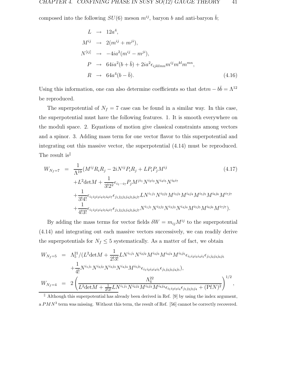composed into the following  $SU(6)$  meson  $m^{ij}$ , baryon b and anti-baryon  $\bar{b}$ ;

$$
L \rightarrow 12a^4,
$$
  
\n
$$
M^{ij} \rightarrow 2(m^{ij} + m^{ji}),
$$
  
\n
$$
N^{[ij]} \rightarrow -4ia^2(m^{ij} - m^{ji}),
$$
  
\n
$$
P \rightarrow 64ia^2(b + \bar{b}) + 2ia^2 \epsilon_{ijklmn} m^{ij} m^{kl} m^{mn},
$$
  
\n
$$
R \rightarrow 64a^4(b - \bar{b}).
$$
\n(4.16)

Using this information, one can also determine coefficients so that det $m - b\bar{b} = \Lambda^{12}$ be reproduced.

The superpotential of  $N_f = 7$  case can be found in a similar way. In this case, the superpotential must have the following features. 1. It is smooth everywhere on the moduli space. 2. Equations of motion give classical constraints among vectors and a spinor. 3. Adding mass term for one vector flavor to this superpotential and integrating out this massive vector, the superpotential (4.14) must be reproduced. The result is<sup>||</sup>

$$
W_{N_f=7} = \frac{1}{\Lambda^{19}} (M^{ij} R_i R_j - 2i N^{ij} P_i R_j + L P_i P_j M^{ij}
$$
(4.17)  
+L<sup>2</sup>detM +  $\frac{1}{3!2^2} \epsilon_{i_1 \cdots i_7} P_j M^{ji_1} N^{i_2 i_3} N^{i_4 i_5} N^{i_6 i_7}$   
+  $\frac{1}{3!4!} \epsilon_{i_1 i_2 i_3 i_4 i_5 i_6 i_7} \epsilon_{j_1 j_2 j_3 j_4 j_5 j_6 j_7} L N^{i_1 j_1} N^{i_2 j_2} M^{i_3 j_3} M^{i_4 j_4} M^{i_5 j_5} M^{i_6 j_6} M^{i_7 j_7}$   
+  $\frac{1}{4!3!} \epsilon_{i_1 i_2 i_3 i_4 i_5 i_6 i_7} \epsilon_{j_1 j_2 j_3 j_4 j_5 j_6 j_7} N^{i_1 j_1} N^{i_2 j_2} N^{i_3 j_3} N^{i_4 j_4} M^{i_5 j_5} M^{i_6 j_6} M^{i_7 j_7}$ ). (4.17)

By adding the mass terms for vector fields  $\delta W = m_{ij}M^{ij}$  to the superpotential (4.14) and integrating out each massive vectors successively, we can readily derive the superpotentials for  $N_f \leq 5$  systematically. As a matter of fact, we obtain

$$
W_{N_f=5} = \Lambda_5^{21} / (L^2 \det M + \frac{1}{2!3!} L N^{i_1 j_1} N^{i_2 j_2} M^{i_3 j_3} M^{i_4 j_4} M^{i_5 j_5} \epsilon_{i_1 i_2 i_3 i_4 i_5} \epsilon_{j_1 j_2 j_3 j_4 j_5}
$$
  
+ 
$$
\frac{1}{4!} N^{i_1 j_1} N^{i_2 j_2} N^{i_3 j_3} N^{i_4 j_4} M^{i_5 j_5} \epsilon_{i_1 i_2 i_3 i_4 i_5} \epsilon_{j_1 j_2 j_3 j_4 j_5}),
$$
  

$$
W_{N_f=4} = 2 \left( \frac{\Lambda_4^{22}}{L^2 \det M + \frac{1}{2!2!} L N^{i_1 j_1} N^{i_2 j_2} M^{i_3 j_3} M^{i_4 j_4} \epsilon_{i_1 i_2 i_3 i_4} \epsilon_{j_1 j_2 j_3 j_4} + (\text{Pf} N)^2} \right)^{1/2},
$$

 $\parallel$  Although this superpotential has already been derived in Ref. [9] by using the index argument, a  $PMN^3$  term was missing. Without this term, the result of Ref. [56] cannot be correctly recovered.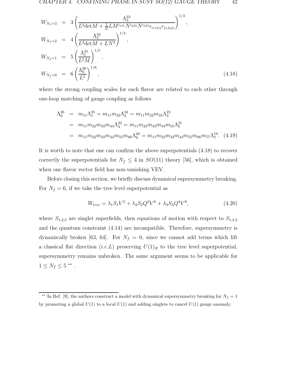$$
W_{N_f=3} = 3\left(\frac{\Lambda_3^{23}}{L^2 \det M + \frac{1}{2!}LM^{i_1j_1}N^{i_2j_2}N^{i_3j_3}\epsilon_{i_1i_2i_3}\epsilon_{j_1j_2j_3}}\right)^{1/3},
$$
  
\n
$$
W_{N_f=2} = 4\left(\frac{\Lambda_2^{24}}{L^2 \det M + LN^2}\right)^{1/4},
$$
  
\n
$$
W_{N_f=1} = 5\left(\frac{\Lambda_1^{25}}{L^2M}\right)^{1/5},
$$
  
\n
$$
W_{N_f=0} = 6\left(\frac{\Lambda_0^{26}}{L^2}\right)^{1/6},
$$
\n(4.18)

where the strong coupling scales for each flavor are related to each other through one-loop matching of gauge coupling as follows

$$
\Lambda_0^{26} = m_{11} \Lambda_1^{25} = m_{11} m_{22} \Lambda_2^{24} = m_{11} m_{22} m_{33} \Lambda_3^{23}
$$
  
=  $m_{11} m_{22} m_{33} m_{44} \Lambda_4^{22} = m_{11} m_{22} m_{33} m_{44} m_{55} \Lambda_5^{21}$   
=  $m_{11} m_{22} m_{33} m_{44} m_{55} m_{66} \Lambda_6^{20} = m_{11} m_{22} m_{33} m_{44} m_{55} m_{66} m_{77} \Lambda_7^{19}$ . (4.19)

It is worth to note that one can confirm the above superpotentials (4.18) to recover correctly the superpotentials for  $N_f \leq 4$  in  $SO(11)$  theory [56], which is obtained when one flavor vector field has non-vanishing VEV.

Before closing this section, we briefly discuss dynamical supersymmetry breaking. For  $N_f = 6$ , if we take the tree level superpotential as

$$
W_{tree} = \lambda_1 S_1 V^2 + \lambda_2 S_2 Q^2 V^6 + \lambda_3 S_3 Q^4 V^6, \tag{4.20}
$$

where  $S_{1,2,3}$  are singlet superfields, then equations of motion with respect to  $S_{1,2,3}$ and the quantum constraint (4.14) are incompatible. Therefore, supersymmetry is dynamically broken [63, 64]. For  $N_f = 0$ , since we cannot add terms which lift a classical flat direction (i.e. L) preserving  $U(1)_R$  to the tree level superpotential, supersymmetry remains unbroken. The same argument seems to be applicable for  $1\leq N_f\leq 5$ \*\* .

<sup>&</sup>lt;sup>\*\*</sup> In Ref. [9], the authors construct a model with dynamical supersymmetry breaking for  $N_f = 1$ by promoting a global  $U(1)$  to a local  $U(1)$  and adding singlets to cancel  $U(1)$  gauge anomaly.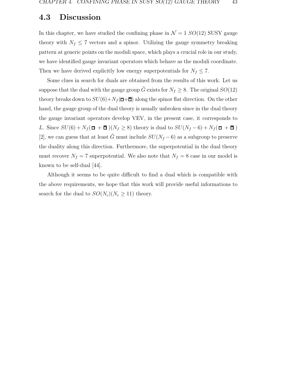#### **4.3 Discussion**

In this chapter, we have studied the confining phase in  $\mathcal{N} = 1$  SO(12) SUSY gauge theory with  $N_f \leq 7$  vectors and a spinor. Utilizing the gauge symmetry breaking pattern at generic points on the moduli space, which plays a crucial role in our study, we have identified gauge invariant operators which behave as the moduli coordinate. Then we have derived explicitly low energy superpotentials for  $N_f \leq 7$ .

Some clues in search for duals are obtained from the results of this work. Let us suppose that the dual with the gauge group  $\tilde{G}$  exists for  $N_f \geq 8$ . The original  $SO(12)$ theory breaks down to  $SU(6)+N_f(\Box+\Box)$  along the spinor flat direction. On the other hand, the gauge group of the dual theory is usually unbroken since in the dual theory the gauge invariant operators develop VEV, in the present case, it corresponds to L. Since  $SU(6) + N_f$  ( $\Box$  +  $\Box$ )( $N_f \geq 8$ ) theory is dual to  $SU(N_f - 6) + N_f$  ( $\Box$  +  $\Box$ ) [2], we can guess that at least  $\tilde{G}$  must include  $SU(N_f-6)$  as a subgroup to preserve the duality along this direction. Furthermore, the superpotential in the dual theory must recover  $N_f = 7$  superpotential. We also note that  $N_f = 8$  case in our model is known to be self-dual [44].

Although it seems to be quite difficult to find a dual which is compatible with the above requirements, we hope that this work will provide useful informations to search for the dual to  $SO(N_c)(N_c \geq 11)$  theory.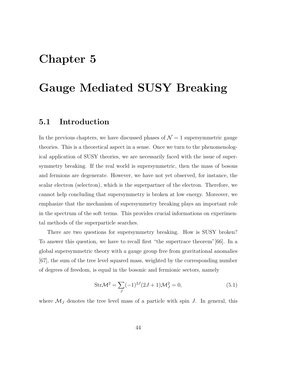## **Chapter 5**

### **Gauge Mediated SUSY Breaking**

#### **5.1 Introduction**

In the previous chapters, we have discussed phases of  $\mathcal{N}=1$  supersymmetric gauge theories. This is a theoretical aspect in a sense. Once we turn to the phenomenological application of SUSY theories, we are necessarily faced with the issue of supersymmetry breaking. If the real world is supersymmetric, then the mass of bosons and fermions are degenerate. However, we have not yet observed, for instance, the scalar electron (selectron), which is the superpartner of the electron. Therefore, we cannot help concluding that supersymmetry is broken at low energy. Moreover, we emphasize that the mechanism of supersymmetry breaking plays an important role in the spectrum of the soft terms. This provides crucial informations on experimental methods of the superparticle searches.

There are two questions for supersymmetry breaking. How is SUSY broken? To answer this question, we have to recall first "the supertrace theorem"[66]. In a global supersymmetric theory with a gauge group free from gravitational anomalies [67], the sum of the tree level squared mass, weighted by the corresponding number of degrees of freedom, is equal in the bosonic and fermionic sectors, namely

$$
Str\mathcal{M}^2 = \sum_{J} (-1)^{2J} (2J+1)\mathcal{M}_J^2 = 0,
$$
\n(5.1)

where  $\mathcal{M}_J$  denotes the tree level mass of a particle with spin J. In general, this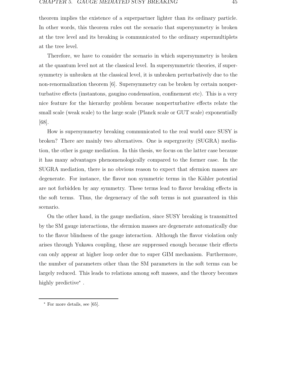theorem implies the existence of a superpartner lighter than its ordinary particle. In other words, this theorem rules out the scenario that supersymmetry is broken at the tree level and its breaking is communicated to the ordinary supermultiplets at the tree level.

Therefore, we have to consider the scenario in which supersymmetry is broken at the quantum level not at the classical level. In supersymmetric theories, if supersymmetry is unbroken at the classical level, it is unbroken perturbatively due to the non-renormalization theorem [6]. Supersymmetry can be broken by certain nonperturbative effects (instantons, gaugino condensation, confinement etc). This is a very nice feature for the hierarchy problem because nonperturbative effects relate the small scale (weak scale) to the large scale (Planck scale or GUT scale) exponentially [68].

How is supersymmetry breaking communicated to the real world once SUSY is broken? There are mainly two alternatives. One is supergravity (SUGRA) mediation, the other is gauge mediation. In this thesis, we focus on the latter case because it has many advantages phenomenologically compared to the former case. In the SUGRA mediation, there is no obvious reason to expect that sfermion masses are degenerate. For instance, the flavor non symmetric terms in the Kähler potential are not forbidden by any symmetry. These terms lead to flavor breaking effects in the soft terms. Thus, the degeneracy of the soft terms is not guaranteed in this scenario.

On the other hand, in the gauge mediation, since SUSY breaking is transmitted by the SM gauge interactions, the sfermion masses are degenerate automatically due to the flavor blindness of the gauge interaction. Although the flavor violation only arises through Yukawa coupling, these are suppressed enough because their effects can only appear at higher loop order due to super GIM mechanism. Furthermore, the number of parameters other than the SM parameters in the soft terms can be largely reduced. This leads to relations among soft masses, and the theory becomes highly predictive<sup>∗</sup>.

<sup>∗</sup> For more details, see [65].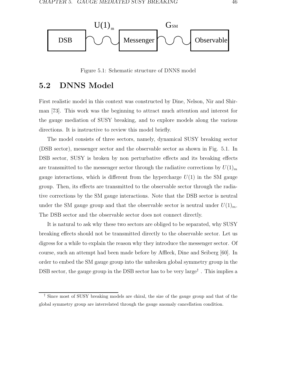

Figure 5.1: Schematic structure of DNNS model

#### **5.2 DNNS Model**

First realistic model in this context was constructed by Dine, Nelson, Nir and Shirman [73]. This work was the beginning to attract much attention and interest for the gauge mediation of SUSY breaking, and to explore models along the various directions. It is instructive to review this model briefly.

The model consists of three sectors, namely, dynamical SUSY breaking sector (DSB sector), messenger sector and the observable sector as shown in Fig. 5.1. In DSB sector, SUSY is broken by non perturbative effects and its breaking effects are transmitted to the messenger sector through the radiative corrections by  $U(1)<sub>m</sub>$ gauge interactions, which is different from the hypercharge  $U(1)$  in the SM gauge group. Then, its effects are transmitted to the observable sector through the radiative corrections by the SM gauge interactions. Note that the DSB sector is neutral under the SM gauge group and that the observable sector is neutral under  $U(1)<sub>m</sub>$ . The DSB sector and the observable sector does not connect directly.

It is natural to ask why these two sectors are obliged to be separated, why SUSY breaking effects should not be transmitted directly to the observable sector. Let us digress for a while to explain the reason why they introduce the messenger sector. Of course, such an attempt had been made before by Affleck, Dine and Seiberg [60]. In order to embed the SM gauge group into the unbroken global symmetry group in the DSB sector, the gauge group in the DSB sector has to be very large<sup>†</sup>. This implies a

<sup>†</sup> Since most of SUSY breaking models are chiral, the size of the gauge group and that of the global symmetry group are interrelated through the gauge anomaly cancellation condition.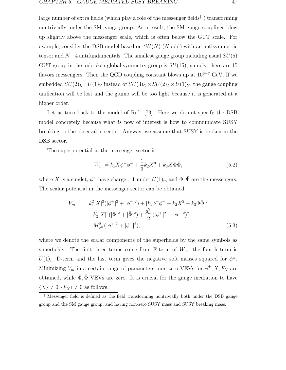large number of extra fields (which play a role of the messenger fields<sup> $\ddagger$ </sup>) transforming nontrivially under the SM gauge group. As a result, the SM gauge couplings blow up slightly above the messenger scale, which is often below the GUT scale. For example, consider the DSB model based on  $SU(N)$  (N:odd) with an antisymmetric tensor and  $N-4$  antifundamentals. The smallest gauge group including usual  $SU(5)$ GUT group in the unbroken global symmetry group is  $SU(15)$ , namely, there are 15 flavors messengers. Then the QCD coupling constant blows up at  $10^{6-7}$  GeV. If we embedded  $SU(2)_L \times U(1)_Y$  instead of  $SU(3)_C \times SU(2)_L \times U(1)_Y$ , the gauge coupling unification will be lost and the gluino will be too light because it is generated at a higher order.

Let us turn back to the model of Ref. [73]. Here we do not specify the DSB model concretely because what is now of interest is how to communicate SUSY breaking to the observable sector. Anyway, we assume that SUSY is broken in the DSB sector.

The superpotential in the messenger sector is

$$
W_m = k_1 X \phi^+ \phi^- + \frac{1}{3} k_2 X^3 + k_3 X \Phi \bar{\Phi}, \tag{5.2}
$$

where X is a singlet,  $\phi^{\pm}$  have charge  $\pm 1$  under  $U(1)_m$  and  $\Phi$ ,  $\bar{\Phi}$  are the messengers. The scalar potential in the messenger sector can be obtained

$$
V_m = k_1^2 |X|^2 (|\phi^+|^2 + |\phi^-|^2) + |k_1 \phi^+ \phi^- + k_2 X^2 + k_3 \Phi \bar{\Phi}|^2
$$
  
+  $k_3^2 |X|^2 (|\Phi|^2 + |\bar{\Phi}|^2) + \frac{g_m^2}{2} (|\phi^+|^2 - |\phi^-|^2)^2$   
+  $M_{\phi^{\pm}}^2 (|\phi^+|^2 + |\phi^-|^2),$  (5.3)

where we denote the scalar components of the superfields by the same symbols as superfields. The first three terms come from F-term of  $W_m$ , the fourth term is  $U(1)_m$  D-term and the last term gives the negative soft masses squared for  $\phi^{\pm}$ . Minimizing  $V_m$  in a certain range of parameters, non-zero VEVs for  $\phi^{\pm}$ , X,  $F_X$  are obtained, while  $\Phi$ ,  $\bar{\Phi}$  VEVs are zero. It is crucial for the gauge mediation to have  $\langle X \rangle \neq 0, \langle F_X \rangle \neq 0$  as follows.

<sup>‡</sup> Messenger field is defined as the field transforming nontrivially both under the DSB gauge group and the SM gauge group, and having non-zero SUSY mass and SUSY breaking mass.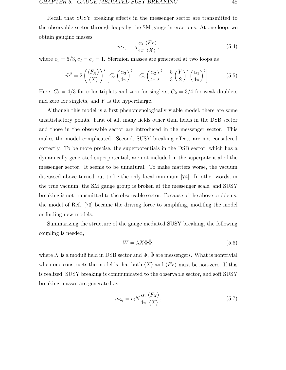Recall that SUSY breaking effects in the messenger sector are transmitted to the observable sector through loops by the SM gauge interactions. At one loop, we obtain gaugino masses

$$
m_{\lambda_i} = c_i \frac{\alpha_i}{4\pi} \frac{\langle F_X \rangle}{\langle X \rangle},\tag{5.4}
$$

where  $c_1 = 5/3, c_2 = c_3 = 1$ . Sfermion masses are generated at two loops as

$$
\tilde{m}^2 = 2\left(\frac{\langle F_X \rangle}{\langle X \rangle}\right)^2 \left[ C_3 \left(\frac{\alpha_3}{4\pi}\right)^2 + C_2 \left(\frac{\alpha_2}{4\pi}\right)^2 + \frac{5}{3} \left(\frac{Y}{2}\right)^2 \left(\frac{\alpha_1}{4\pi}\right)^2 \right].
$$
 (5.5)

Here,  $C_3 = 4/3$  for color triplets and zero for singlets,  $C_2 = 3/4$  for weak doublets and zero for singlets, and  $Y$  is the hypercharge.

Although this model is a first phenomenologically viable model, there are some unsatisfactory points. First of all, many fields other than fields in the DSB sector and those in the observable sector are introduced in the messenger sector. This makes the model complicated. Second, SUSY breaking effects are not considered correctly. To be more precise, the superpotentials in the DSB sector, which has a dynamically generated superpotential, are not included in the superpotential of the messenger sector. It seems to be unnatural. To make matters worse, the vacuum discussed above turned out to be the only local minimum [74]. In other words, in the true vacuum, the SM gauge group is broken at the messenger scale, and SUSY breaking is not transmitted to the observable sector. Because of the above problems, the model of Ref. [73] became the driving force to simplifing, modifing the model or finding new models.

Summarizing the structure of the gauge mediated SUSY breaking, the following coupling is needed,

$$
W = \lambda X \Phi \bar{\Phi},\tag{5.6}
$$

where X is a moduli field in DSB sector and  $\Phi$ ,  $\bar{\Phi}$  are messengers. What is nontrivial when one constructs the model is that both  $\langle X \rangle$  and  $\langle F_X \rangle$  must be non-zero. If this is realized, SUSY breaking is communicated to the observable sector, and soft SUSY breaking masses are generated as

$$
m_{\lambda_i} = c_i N \frac{\alpha_i}{4\pi} \frac{\langle F_X \rangle}{\langle X \rangle},\tag{5.7}
$$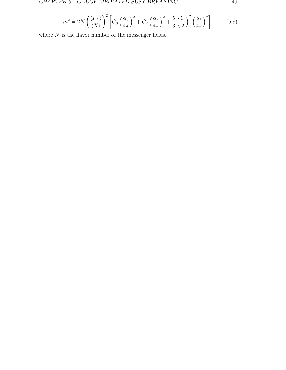$$
\tilde{m}^2 = 2N \left(\frac{\langle F_X \rangle}{\langle X \rangle}\right)^2 \left[ C_3 \left(\frac{\alpha_3}{4\pi}\right)^2 + C_2 \left(\frac{\alpha_2}{4\pi}\right)^2 + \frac{5}{3} \left(\frac{Y}{2}\right)^2 \left(\frac{\alpha_1}{4\pi}\right)^2 \right],\tag{5.8}
$$

where  ${\cal N}$  is the flavor number of the messenger fields.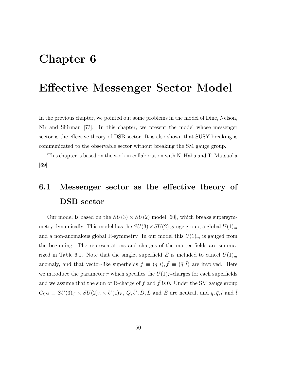### **Chapter 6**

### **Effective Messenger Sector Model**

In the previous chapter, we pointed out some problems in the model of Dine, Nelson, Nir and Shirman [73]. In this chapter, we present the model whose messenger sector is the effective theory of DSB sector. It is also shown that SUSY breaking is communicated to the observable sector without breaking the SM gauge group.

This chapter is based on the work in collaboration with N. Haba and T. Matsuoka [69].

### **6.1 Messenger sector as the effective theory of DSB sector**

Our model is based on the  $SU(3) \times SU(2)$  model [60], which breaks supersymmetry dynamically. This model has the  $SU(3) \times SU(2)$  gauge group, a global  $U(1)_m$ and a non-anomalous global R-symmetry. In our model this  $U(1)<sub>m</sub>$  is gauged from the beginning. The representations and charges of the matter fields are summarized in Table 6.1. Note that the singlet superfield  $\overline{E}$  is included to cancel  $U(1)_m$ anomaly, and that vector-like superfields  $f \equiv (q, l), \bar{f} \equiv (\bar{q}, \bar{l})$  are involved. Here we introduce the parameter r which specifies the  $U(1)_R$ -charges for each superfields and we assume that the sum of R-charge of  $f$  and  $\bar{f}$  is 0. Under the SM gauge group  $G_{\rm SM} \equiv SU(3)_C \times SU(2)_L \times U(1)_Y, Q, \bar{U}, \bar{D}, L$  and  $\bar{E}$  are neutral, and  $q, \bar{q}, l$  and  $\bar{l}$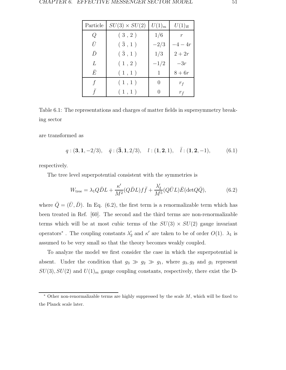| Particle  | $SU(3) \times SU(2)$ | $U(1)_m$ | $U(1)_R$       |
|-----------|----------------------|----------|----------------|
| Q         | (3, 2)               | 1/6      | $\mathfrak{r}$ |
| Ū         | $({\bar 3}, 1)$      | $-2/3$   | $-4-4r$        |
| $\bar{D}$ | $({\bar 3}, 1)$      | 1/3      | $2+2r$         |
| L         | (1, 2)               | $-1/2$   | $-3r$          |
| Ē         | (1,1)                | 1        | $8+6r$         |
|           | (1,1)                | $\theta$ | $r_f$          |
|           | (1,1)                |          | $r_{\bar{f}}$  |

Table 6.1: The representations and charges of matter fields in supersymmetry breaking sector

are transformed as

$$
q:(\mathbf{3},\mathbf{1},-2/3), \quad \bar{q}:(\mathbf{\bar{3}},\mathbf{1},2/3), \quad l:(\mathbf{1},\mathbf{2},1), \quad \bar{l}:(\mathbf{1},\mathbf{2},-1), \tag{6.1}
$$

respectively.

The tree level superpotential consistent with the symmetries is

$$
W_{\text{tree}} = \lambda_1 Q \bar{D}L + \frac{\kappa'}{M^2} (Q \bar{D}L) f \bar{f} + \frac{\lambda'_2}{M^5} (Q \bar{U}L) \bar{E} (\text{det}Q \bar{Q}), \tag{6.2}
$$

where  $\overline{Q} = (\overline{U}, \overline{D})$ . In Eq. (6.2), the first term is a renormalizable term which has been treated in Ref. [60]. The second and the third terms are non-renormalizable terms which will be at most cubic terms of the  $SU(3) \times SU(2)$  gauge invariant operators<sup>\*</sup>. The coupling constants  $\lambda'_2$  and  $\kappa'$  are taken to be of order  $O(1)$ .  $\lambda_1$  is assumed to be very small so that the theory becomes weakly coupled.

To analyze the model we first consider the case in which the superpotential is absent. Under the condition that  $g_3 \gg g_2 \gg g_1$ , where  $g_3, g_2$  and  $g_1$  represent  $SU(3)$ ,  $SU(2)$  and  $U(1)<sub>m</sub>$  gauge coupling constants, respectively, there exist the D-

Other non-renormalizable terms are highly suppressed by the scale  $M$ , which will be fixed to the Planck scale later.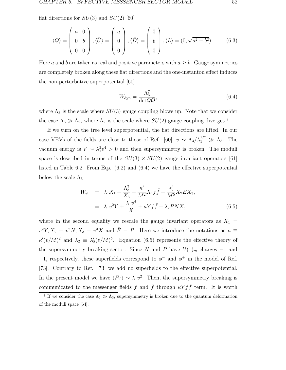flat directions for  $SU(3)$  and  $SU(2)$  [60]

$$
\langle Q \rangle = \begin{pmatrix} a & 0 \\ 0 & b \\ 0 & 0 \end{pmatrix}, \langle \bar{U} \rangle = \begin{pmatrix} a \\ 0 \\ 0 \end{pmatrix}, \langle \bar{D} \rangle = \begin{pmatrix} 0 \\ b \\ 0 \end{pmatrix}, \langle L \rangle = (0, \sqrt{a^2 - b^2}). \tag{6.3}
$$

Here a and b are taken as real and positive parameters with  $a \geq b$ . Gauge symmetries are completely broken along these flat directions and the one-instanton effect induces the non-perturbative superpotential [60]

$$
W_{\rm dyn} = \frac{\Lambda_3^7}{\det Q \bar{Q}},\tag{6.4}
$$

where  $\Lambda_3$  is the scale where  $SU(3)$  gauge coupling blows up. Note that we consider the case  $\Lambda_3 \gg \Lambda_2$ , where  $\Lambda_2$  is the scale where  $SU(2)$  gauge coupling diverges <sup>†</sup>.

If we turn on the tree level superpotential, the flat directions are lifted. In our case VEVs of the fields are close to those of Ref. [60],  $v \sim \Lambda_3/\lambda_1^{1/7} \gg \Lambda_3$ . The vacuum energy is  $V \sim \lambda_1^2 v^4 > 0$  and then supersymmetry is broken. The moduli space is described in terms of the  $SU(3) \times SU(2)$  gauge invariant operators [61] listed in Table 6.2. From Eqs. (6.2) and (6.4) we have the effective superpotential below the scale  $\Lambda_3$ 

$$
W_{\text{eff}} = \lambda_1 X_1 + \frac{\Lambda_3^7}{X_3} + \frac{\kappa'}{M^2} X_1 f \bar{f} + \frac{\lambda'_2}{M^5} X_2 \bar{E} X_3,
$$
  

$$
= \lambda_1 v^2 Y + \frac{\lambda_1 v^4}{X} + \kappa Y f \bar{f} + \lambda_2 P N X,
$$
 (6.5)

where in the second equality we rescale the gauge invariant operators as  $X_1 =$  $v^2Y, X_2 = v^2N, X_3 = v^3X$  and  $\overline{E} = P$ . Here we introduce the notations as  $\kappa \equiv$  $\kappa'(v/M)^2$  and  $\lambda_2 \equiv \lambda'_2(v/M)^5$ . Equation (6.5) represents the effective theory of the supersymmetry breaking sector. Since N and P have  $U(1)<sub>m</sub>$  charges  $-1$  and +1, respectively, these superfields correspond to  $\phi^-$  and  $\phi^+$  in the model of Ref. [73]. Contrary to Ref. [73] we add no superfields to the effective superpotential. In the present model we have  $\langle F_Y \rangle \sim \lambda_1 v^2$ . Then, the supersymmetry breaking is communicated to the messenger fields f and  $\bar{f}$  through  $\kappa Y f \bar{f}$  term. It is worth

<sup>&</sup>lt;sup>†</sup> If we consider the case  $\Lambda_2 \gg \Lambda_3$ , supersymmetry is broken due to the quantum deformation of the moduli space [64].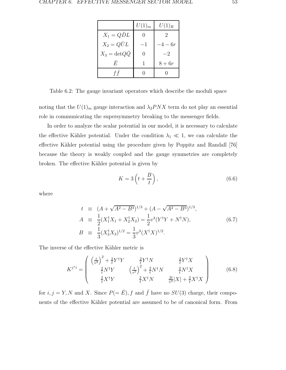|                          | $U(1)_m$ | $U(1)_R$ |
|--------------------------|----------|----------|
| $X_1 = Q\bar{D}L$        |          | 2        |
| $X_2 = Q\bar{U}L$        | $-1$     | $-4-6r$  |
| $X_3 = detQ\overline{Q}$ |          | $-2$     |
| F,                       |          | $8+6r$   |
| f f                      |          |          |

Table 6.2: The gauge invariant operators which describe the moduli space

noting that the  $U(1)_m$  gauge interaction and  $\lambda_2 PNX$  term do not play an essential role in communicating the supersymmetry breaking to the messenger fields.

In order to analyze the scalar potential in our model, it is necessary to calculate the effective Kähler potential. Under the condition  $\lambda_1 \ll 1$ , we can calculate the effective Kähler potential using the procedure given by Poppitz and Randall [76] because the theory is weakly coupled and the gauge symmetries are completely broken. The effective Kähler potential is given by

$$
K = 3\left(t + \frac{B}{t}\right),\tag{6.6}
$$

where

$$
t \equiv (A + \sqrt{A^2 - B^3})^{1/3} + (A - \sqrt{A^2 - B^3})^{1/3},
$$
  
\n
$$
A \equiv \frac{1}{2}(X_1^{\dagger}X_1 + X_2^{\dagger}X_2) = \frac{1}{2}v^4(Y^{\dagger}Y + N^{\dagger}N),
$$
  
\n
$$
B \equiv \frac{1}{3}(X_3^{\dagger}X_3)^{1/2} = \frac{1}{3}v^3(X^{\dagger}X)^{1/2}.
$$
\n(6.7)

The inverse of the effective Kähler metric is

$$
K^{j^*i} = \begin{pmatrix} \left(\frac{t}{v^2}\right)^2 + \frac{2}{t}Y^{\dagger}Y & \frac{2}{t}Y^{\dagger}N & \frac{2}{t}Y^{\dagger}X\\ \frac{2}{t}N^{\dagger}Y & \left(\frac{t}{v^2}\right)^2 + \frac{2}{t}N^{\dagger}N & \frac{2}{t}N^{\dagger}X\\ \frac{2}{t}X^{\dagger}Y & \frac{2}{t}X^{\dagger}N & \frac{2t}{v^3}|X| + \frac{2}{t}X^{\dagger}X \end{pmatrix}
$$
(6.8)

for  $i, j = Y, N$  and X. Since  $P(= \bar{E}), f$  and  $\bar{f}$  have no  $SU(3)$  charge, their components of the effective Kähler potential are assumed to be of canonical form. From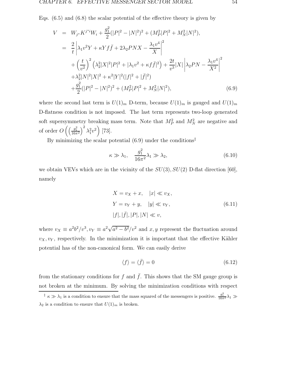Eqs. (6.5) and (6.8) the scalar potential of the effective theory is given by

$$
V = W_{j*} K^{j*} W_i + \frac{g_1^2}{2} (|P|^2 - |N|^2)^2 + (M_P^2 |P|^2 + M_N^2 |N|^2),
$$
  
\n
$$
= \frac{2}{t} \left| \lambda_1 v^2 Y + \kappa Y f \bar{f} + 2 \lambda_2 P N X - \frac{\lambda_1 v^4}{X} \right|^2
$$
  
\n
$$
+ \left( \frac{t}{v^2} \right)^2 \left( \lambda_2^2 |X|^2 |P|^2 + |\lambda_1 v^2 + \kappa f \bar{f}|^2 \right) + \frac{2t}{v^3} |X| \left| \lambda_2 P N - \frac{\lambda_1 v^4}{X^2} \right|^2
$$
  
\n
$$
+ \lambda_2^2 |N|^2 |X|^2 + \kappa^2 |Y|^2 (|f|^2 + |\bar{f}|^2)
$$
  
\n
$$
+ \frac{g_1^2}{2} (|P|^2 - |N|^2)^2 + (M_P^2 |P|^2 + M_N^2 |N|^2),
$$
  
\n(6.9)

where the second last term is  $U(1)_m$  D-term, because  $U(1)_m$  is gauged and  $U(1)_m$ D-flatness condition is not imposed. The last term represents two-loop generated soft supersymmetry breaking mass term. Note that  $M_P^2$  and  $M_N^2$  are negative and of order  $O\left(\left(\frac{g_1^2}{16\pi^2}\right)^2 \lambda_1^2 v^2\right)$  [73].

By minimizing the scalar potential  $(6.9)$  under the conditions<sup> $\ddagger$ </sup>

$$
\kappa \gg \lambda_1, \quad \frac{g_1^2}{16\pi^2} \lambda_1 \gg \lambda_2,\tag{6.10}
$$

we obtain VEVs which are in the vicinity of the  $SU(3)$ ,  $SU(2)$  D-flat direction [60], namely

$$
X = v_X + x, \quad |x| \ll v_X,
$$
  
\n
$$
Y = v_Y + y, \quad |y| \ll v_Y,
$$
  
\n
$$
|f|, |\bar{f}|, |P|, |N| \ll v,
$$
\n(6.11)

where  $v_X \equiv a^2b^2/v^3$ ,  $v_Y \equiv a^2\sqrt{a^2 - b^2}/v^2$  and  $x, y$  represent the fluctuation around  $v_X, v_Y$ , respectively. In the minimization it is important that the effective Kähler potential has of the non-canonical form. We can easily derive

$$
\langle f \rangle = \langle \bar{f} \rangle = 0 \tag{6.12}
$$

from the stationary conditions for f and  $\bar{f}$ . This shows that the SM gauge group is not broken at the minimum. By solving the minimization conditions with respect

<sup>&</sup>lt;sup>‡</sup>  $\kappa \gg \lambda_1$  is a condition to ensure that the mass squared of the messengers is positive.  $\frac{g_1^2}{16\pi^2}\lambda_1 \gg$  $\lambda_2$  is a condition to ensure that  $U(1)_m$  is broken.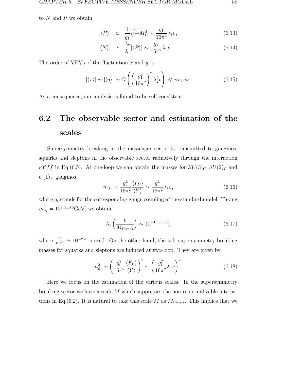to  $N$  and  $P$  we obtain

$$
|\langle P \rangle| \simeq \frac{1}{g_1} \sqrt{-M_P^2} \sim \frac{g_1}{16\pi^2} \lambda_1 v,\tag{6.13}
$$

$$
|\langle N \rangle| \simeq \frac{\lambda_2}{\lambda_1} |\langle P \rangle| \sim \frac{g_1}{16\pi^2} \lambda_2 v \tag{6.14}
$$

The order of VEVs of the fluctuation x and  $y$  is

$$
|\langle x \rangle| \sim |\langle y \rangle| \sim O\left(\left(\frac{g_1^2}{16\pi^2}\right)^2 \lambda_2^2 v\right) \ll v_X, v_Y.
$$
 (6.15)

As a consequence, our analysis is found to be self-consistent.

## **6.2 The observable sector and estimation of the scales**

Supersymmetry breaking in the messenger sector is transmitted to gauginos, squarks and sleptons in the observable sector radiatively through the interaction  $\kappa Y f \bar{f}$  in Eq.(6.5). At one-loop we can obtain the masses for  $SU(3)_C, SU(2)_L$  and  $U(1)_Y$  gauginos

$$
m_{\lambda_i} \sim \frac{g_i^2}{16\pi^2} \frac{\langle F_Y \rangle}{\langle Y \rangle} \sim \frac{g_i^2}{16\pi^2} \lambda_1 v,\tag{6.16}
$$

where  $g_i$  stands for the corresponding gauge coupling of the standard model. Taking  $m_{\lambda_i} = 10^{2.5 \pm 0.5} \text{GeV}$ , we obtain

$$
\lambda_1 \left( \frac{v}{M_{\text{Planck}}} \right) \sim 10^{-13.3 \pm 0.5},\tag{6.17}
$$

where  $\frac{g_i^2}{16\pi^2} \simeq 10^{-2.5}$  is used. On the other hand, the soft supersymmetry breaking masses for squarks and sleptons are induced at two-loop. They are given by

$$
m_{\phi_i}^2 \sim \left(\frac{g_i^2}{16\pi^2} \frac{\langle F_Y \rangle}{\langle Y \rangle}\right)^2 \sim \left(\frac{g_i^2}{16\pi^2} \lambda_1 v\right)^2.
$$
 (6.18)

Here we focus on the estimation of the various scales. In the supersymmetry breaking sector we have a scale M which suppresses the non-renormalizable interactions in Eq.(6.2). It is natural to take this scale M as  $M_{\text{Planck}}$ . This implies that we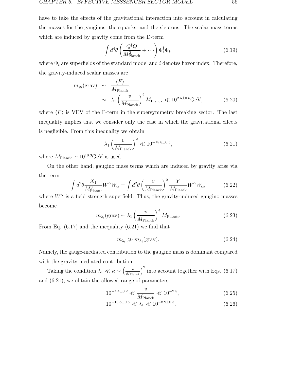have to take the effects of the gravitational interaction into account in calculating the masses for the gauginos, the squarks, and the sleptons. The scalar mass terms which are induced by gravity come from the D-term

$$
\int d^4\theta \left(\frac{Q^{\dagger}Q}{M_{\text{Planck}}^2} + \cdots \right) \Phi_i^{\dagger} \Phi_i, \tag{6.19}
$$

where  $\Phi_i$  are superfields of the standard model and i denotes flavor index. Therefore, the gravity-induced scalar masses are

$$
m_{\phi_i}(\text{grav}) \sim \frac{\langle F \rangle}{M_{\text{Planck}}},
$$
  
 
$$
\sim \lambda_1 \left(\frac{v}{M_{\text{Planck}}}\right)^2 M_{\text{Planck}} \ll 10^{2.5 \pm 0.5} \text{GeV}, \quad (6.20)
$$

where  $\langle F \rangle$  is VEV of the F-term in the supersymmetry breaking sector. The last inequality implies that we consider only the case in which the gravitational effects is negligible. From this inequality we obtain

$$
\lambda_1 \left(\frac{v}{M_{\text{Planck}}}\right)^2 \ll 10^{-15.8 \pm 0.5},
$$
\n(6.21)

where  $M_{\rm Planck} \simeq 10^{18.3} \rm GeV$  is used.

On the other hand, gaugino mass terms which are induced by gravity arise via the term

$$
\int d^2\theta \frac{X_1}{M_{\text{Planck}}^3} W^{\alpha} W_{\alpha} = \int d^2\theta \left(\frac{v}{M_{\text{Planck}}}\right)^2 \frac{Y}{M_{\text{Planck}}} W^{\alpha} W_{\alpha},\tag{6.22}
$$

where  $W^{\alpha}$  is a field strength superfield. Thus, the gravity-induced gaugino masses become

$$
m_{\lambda_i}(\text{grav}) \sim \lambda_1 \left(\frac{v}{M_{\text{Planck}}}\right)^4 M_{\text{Planck}}.\tag{6.23}
$$

From Eq.  $(6.17)$  and the inequality  $(6.21)$  we find that

$$
m_{\lambda_i} \gg m_{\lambda_i} \text{(grav)}.\tag{6.24}
$$

Namely, the gauge-mediated contribution to the gaugino mass is dominant compared with the gravity-mediated contribution.

Taking the condition  $\lambda_1 \ll \kappa \sim \left(\frac{v}{M_{\text{Planck}}}\right)^2$  into account together with Eqs. (6.17) and (6.21), we obtain the allowed range of parameters

$$
10^{-4.4 \pm 0.2} \ll \frac{v}{M_{\text{Planck}}} \ll 10^{-2.5},\tag{6.25}
$$

$$
10^{-10.8 \pm 0.5} \ll \lambda_1 \ll 10^{-8.9 \pm 0.3}.
$$
\n(6.26)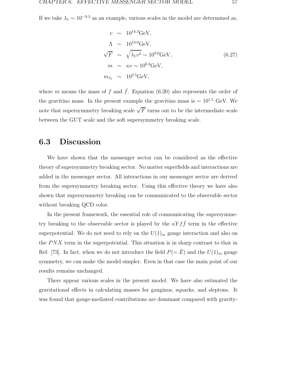If we take  $\lambda_1 \sim 10^{-9.3}$  as an example, various scales in the model are determined as,

$$
v \sim 10^{14.3} \text{GeV},
$$
  
\n
$$
\Lambda \sim 10^{13.0} \text{GeV},
$$
  
\n
$$
\sqrt{F} \sim \sqrt{\lambda_1 v^2} \sim 10^{9.6} \text{GeV},
$$
  
\n
$$
m \sim \kappa v \sim 10^{6.3} \text{GeV},
$$
  
\n
$$
m_{\lambda_i} \sim 10^{2.5} \text{GeV},
$$
  
\n(6.27)

where m means the mass of f and  $\bar{f}$ . Equation (6.20) also represents the order of the gravitino mass. In the present example the gravitino mass is  $\sim 10^{1.5}$  GeV. We note that supersymmetry breaking scale  $\sqrt{F}$  turns out to be the intermediate scale between the GUT scale and the soft supersymmetry breaking scale.

#### **6.3 Discussion**

We have shown that the messenger sector can be considered as the effective theory of supersymmetry breaking sector. No matter superfields and interactions are added in the messenger sector. All interactions in our messenger sector are derived from the supersymmetry breaking sector. Using this effective theory we have also shown that supersymmetry breaking can be communicated to the observable sector without breaking QCD color.

In the present framework, the essential role of communicating the supersymmetry breaking to the observable sector is played by the  $\kappa Y f \bar{f}$  term in the effective superpotential. We do not need to rely on the  $U(1)_m$  gauge interaction and also on the  $P\mathbb{N}X$  term in the superpotential. This situation is in sharp contrast to that in Ref. [73]. In fact, when we do not introduce the field  $P(=\bar{E})$  and the  $U(1)_m$  gauge symmetry, we can make the model simpler. Even in that case the main point of our results remains unchanged.

There appear various scales in the present model. We have also estimated the gravitational effects in calculating masses for gauginos, squarks, and sleptons. It was found that gauge-mediated contributions are dominant compared with gravity-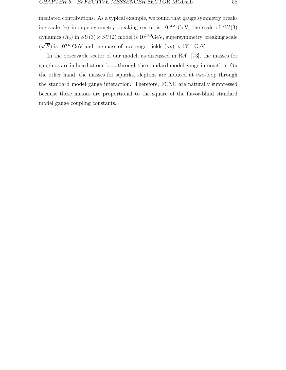mediated contributions. As a typical example, we found that gauge symmetry breaking scale (v) in supersymmetry breaking sector is  $10^{14.3}$  GeV, the scale of  $SU(3)$ dynamics  $(\Lambda_3)$  in  $SU(3) \times SU(2)$  model is  $10^{13.0}$ GeV, supersymmetry breaking scale (  $\sqrt{F}$ ) is 10<sup>9.6</sup> GeV and the mass of messenger fields (κv) is 10<sup>6.3</sup> GeV.

In the observable sector of our model, as discussed in Ref. [73], the masses for gauginos are induced at one-loop through the standard model gauge interaction. On the other hand, the masses for squarks, sleptons are induced at two-loop through the standard model gauge interaction. Therefore, FCNC are naturally suppressed because these masses are proportional to the square of the flavor-blind standard model gauge coupling constants.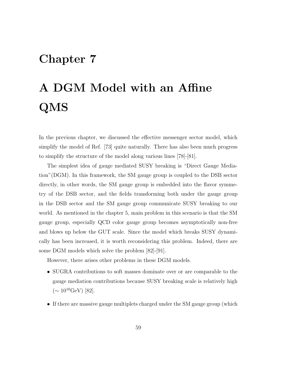# **Chapter 7**

# **A DGM Model with an Affine QMS**

In the previous chapter, we discussed the effective messenger sector model, which simplify the model of Ref. [73] quite naturally. There has also been much progress to simplify the structure of the model along various lines [78]-[81].

The simplest idea of gauge mediated SUSY breaking is "Direct Gauge Mediation"(DGM). In this framework, the SM gauge group is coupled to the DSB sector directly, in other words, the SM gauge group is embedded into the flavor symmetry of the DSB sector, and the fields transforming both under the gauge group in the DSB sector and the SM gauge group communicate SUSY breaking to our world. As mentioned in the chapter 5, main problem in this scenario is that the SM gauge group, especially QCD color gauge group becomes asymptotically non-free and blows up below the GUT scale. Since the model which breaks SUSY dynamically has been increased, it is worth reconsidering this problem. Indeed, there are some DGM models which solve the problem [82]-[91].

However, there arises other problems in these DGM models.

- SUGRA contributions to soft masses dominate over or are comparable to the gauge mediation contributions because SUSY breaking scale is relatively high  $({\sim 10^{10} \text{GeV}})$  [82].
- If there are massive gauge multiplets charged under the SM gauge group (which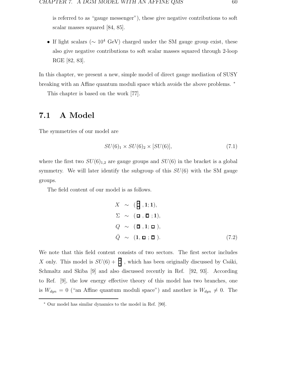is referred to as "gauge messenger"), these give negative contributions to soft scalar masses squared [84, 85].

• If light scalars ( $\sim 10^4$  GeV) charged under the SM gauge group exist, these also give negative contributions to soft scalar masses squared through 2-loop RGE [82, 83].

In this chapter, we present a new, simple model of direct gauge mediation of SUSY breaking with an Affine quantum moduli space which avoids the above problems.  $*$ 

This chapter is based on the work [77].

#### **7.1 A Model**

The symmetries of our model are

$$
SU(6)_1 \times SU(6)_2 \times [SU(6)],\tag{7.1}
$$

where the first two  $SU(6)_{1,2}$  are gauge groups and  $SU(6)$  in the bracket is a global symmetry. We will later identify the subgroup of this  $SU(6)$  with the SM gauge groups.

The field content of our model is as follows.

$$
X \sim (\mathbf{H}, 1; 1),
$$
  
\n
$$
\Sigma \sim (\mathbf{L}, \mathbf{\bar{L}}; 1),
$$
  
\n
$$
Q \sim (\mathbf{\bar{L}}, 1; \mathbf{\bar{L}}),
$$
  
\n
$$
\bar{Q} \sim (1, \mathbf{\bar{L}}; \mathbf{\bar{L}}).
$$
\n(7.2)

We note that this field content consists of two sectors. The first sector includes X only. This model is  $SU(6) + \frac{1}{2}$ , which has been originally discussed by Csáki, Schmaltz and Skiba [9] and also discussed recently in Ref. [92, 93]. According to Ref. [9], the low energy effective theory of this model has two branches, one is  $W_{dyn} = 0$  ("an Affine quantum moduli space") and another is  $W_{dyn} \neq 0$ . The

<sup>∗</sup> Our model has similar dynamics to the model in Ref. [90].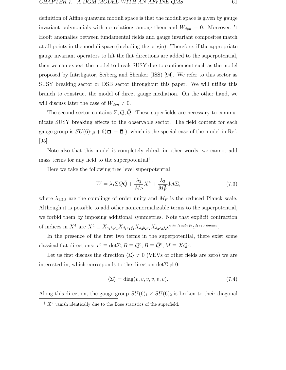definition of Affine quantum moduli space is that the moduli space is given by gauge invariant polynomials with no relations among them and  $W_{dyn} = 0$ . Moreover, 't Hooft anomalies between fundamental fields and gauge invariant composites match at all points in the moduli space (including the origin). Therefore, if the appropriate gauge invariant operators to lift the flat directions are added to the superpotential, then we can expect the model to break SUSY due to confinement such as the model proposed by Intriligator, Seiberg and Shenker (ISS) [94]. We refer to this sector as SUSY breaking sector or DSB sector throughout this paper. We will utilize this branch to construct the model of direct gauge mediation. On the other hand, we will discuss later the case of  $W_{dyn} \neq 0$ .

The second sector contains  $\Sigma, Q, Q$ . These superfields are necessary to communicate SUSY breaking effects to the observable sector. The field content for each gauge group is  $SU(6)_{1,2} + 6(\square + \overline{\square})$ , which is the special case of the model in Ref. [95].

Note also that this model is completely chiral, in other words, we cannot add mass terms for any field to the superpotential† .

Here we take the following tree level superpotential

$$
W = \lambda_1 \Sigma Q \bar{Q} + \frac{\lambda_2}{M_P} X^4 + \frac{\lambda_3}{M_P^3} \text{det} \Sigma,
$$
\n(7.3)

where  $\lambda_{1,2,3}$  are the couplings of order unity and  $M_P$  is the reduced Planck scale. Although it is possible to add other nonrenormalizable terms to the superpotential, we forbid them by imposing additional symmetries. Note that explicit contraction of indices in  $X^4$  are  $X^4 \equiv X_{a_1b_1c_1}X_{d_1e_1f_1}X_{a_2b_2c_2}X_{d_2e_2f_2}\epsilon^{a_1b_1f_1a_2b_2f_2}\epsilon^{d_1e_1c_1d_2e_2c_2}$ .

In the presence of the first two terms in the superpotential, there exist some classical flat directions:  $v^6 \equiv \det \Sigma$ ,  $B \equiv Q^6$ ,  $B \equiv \bar{Q}^6$ ,  $M \equiv XQ^3$ .

Let us first discuss the direction  $\langle \Sigma \rangle \neq 0$  (VEVs of other fields are zero) we are interested in, which corresponds to the direction det  $\Sigma \neq 0$ ;

$$
\langle \Sigma \rangle = \text{diag}(v, v, v, v, v, v). \tag{7.4}
$$

Along this direction, the gauge group  $SU(6)_1 \times SU(6)_2$  is broken to their diagonal

 $\dagger$  X<sup>2</sup> vanish identically due to the Bose statistics of the superfield.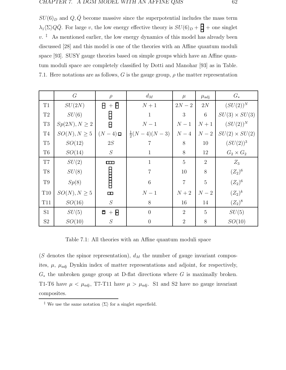$SU(6)_D$  and  $Q, \bar{Q}$  become massive since the superpotential includes the mass term  $\lambda_1 \langle \Sigma \rangle Q \bar{Q}$ . For large v, the low energy effective theory is  $SU(6)_D + \frac{1}{\Box} +$  one singlet  $v.$ <sup> $\ddagger$ </sup> As mentioned earlier, the low energy dynamics of this model has already been discussed [28] and this model is one of the theories with an Affine quantum moduli space [93]. SUSY gauge theories based on simple groups which have an Affine quantum moduli space are completely classified by Dotti and Manohar [93] as in Table. 7.1. Here notations are as follows, G is the gauge group,  $\rho$  the matter representation

|           | G                  | $\rho$                        | $d_M$                   | $\mu$          | $\mu_{\rm adj}$ | $G_*$                |
|-----------|--------------------|-------------------------------|-------------------------|----------------|-----------------|----------------------|
| T1        | SU(2N)             | $+$ $\bar{H}$<br>$\mathsf{H}$ | $N+1$                   | $2N-2$         | $2{\cal N}$     | $(SU(2))^N$          |
| T2        | SU(6)              | E                             | $\mathbf{1}$            | 3              | $6\phantom{.}6$ | $SU(3) \times SU(3)$ |
| $\rm{T}3$ | $Sp(2N), N \geq 2$ | $\overline{H}$                | $N-1$                   | $N-1$          | $N+1$           | $(SU(2))^N$          |
| T4        | $SO(N), N \geq 5$  | $(N-4)$ $\Box$                | $\frac{1}{2}(N-4)(N-3)$ | $N-4$          | $N-2$           | $SU(2) \times SU(2)$ |
| $\rm{T}5$ | SO(12)             | 2S                            | 7                       | 8              | 10              | $(SU(2))^3$          |
| T6        | SO(14)             | ${\cal S}$                    | $\mathbf{1}$            | 8              | 12              | $G_2 \times G_2$     |
| T7        | SU(2)              | $\Box$                        | $\mathbf{1}$            | $\overline{5}$ | $\overline{2}$  | $Z_3$                |
| $\rm{T}8$ | SU(8)              |                               | $\overline{7}$          | 10             | 8               | $(Z_2)^6$            |
| T9        | Sp(8)              | <b>HELLET</b>                 | $6\phantom{.}6$         | $\overline{7}$ | 5               | $(Z_2)^6$            |
| $\rm T10$ | $SO(N), N \geq 5$  | $\Box$                        | $N-1$                   | $N+2$          | $N-2$           | $(Z_2)^k$            |
| T11       | SO(16)             | S                             | 8                       | 16             | 14              | $(Z_2)^8$            |
| S1        | SU(5)              | $\bar{p}$ + $\bar{H}$         | $\overline{0}$          | $\overline{2}$ | $\overline{5}$  | SU(5)                |
| $\rm S2$  | SO(10)             | S                             | $\overline{0}$          | $\overline{2}$ | 8               | SO(10)               |

Table 7.1: All theories with an Affine quantum moduli space

(S denotes the spinor representation),  $d_M$  the number of gauge invariant composites,  $\mu$ ,  $\mu_{adj}$  Dynkin index of matter representations and adjoint, for respectively,  $G_*$  the unbroken gauge group at D-flat directions where G is maximally broken. T1-T6 have  $\mu < \mu_{adj}$ , T7-T11 have  $\mu > \mu_{adj}$ . S1 and S2 have no gauge invariant composites.

<sup>&</sup>lt;sup>‡</sup> We use the same notation  $\langle \Sigma \rangle$  for a singlet superfield.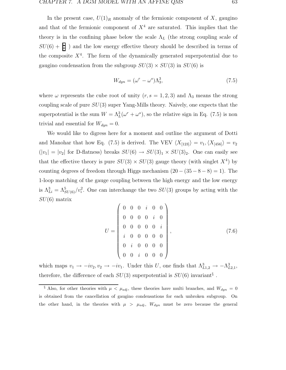In the present case,  $U(1)_R$  anomaly of the fermionic component of X, gaugino and that of the fermionic component of  $X<sup>4</sup>$  are saturated. This implies that the theory is in the confining phase below the scale  $\Lambda_L$  (the strong coupling scale of  $SU(6) + \Box$ ) and the low energy effective theory should be described in terms of the composite  $X<sup>4</sup>$ . The form of the dynamically generated superpotential due to gaugino condensation from the subgroup  $SU(3) \times SU(3)$  in  $SU(6)$  is

$$
W_{dyn} = (\omega^r - \omega^s) \Lambda_3^3,\tag{7.5}
$$

where  $\omega$  represents the cube root of unity  $(r, s = 1, 2, 3)$  and  $\Lambda_3$  means the strong coupling scale of pure  $SU(3)$  super Yang-Mills theory. Naively, one expects that the superpotential is the sum  $W = \Lambda_L^3(\omega^r + \omega^s)$ , so the relative sign in Eq. (7.5) is non trivial and essential for  $W_{dyn} = 0$ .

We would like to digress here for a moment and outline the argument of Dotti and Manohar that how Eq. (7.5) is derived. The VEV  $\langle X_{[123]}\rangle = v_1, \langle X_{[456]}\rangle = v_2$  $(|v_1| = |v_2|$  for D-flatness) breaks  $SU(6) \rightarrow SU(3)_1 \times SU(3)_2$ . One can easily see that the effective theory is pure  $SU(3) \times SU(3)$  gauge theory (with singlet  $X<sup>4</sup>$ ) by counting degrees of freedom through Higgs mechanism  $(20 - (35 - 8 - 8) = 1)$ . The 1-loop matching of the gauge coupling between the high energy and the low energy is  $\Lambda_{Li}^3 = \Lambda_{SU(6)}^5/v_i^2$ . One can interchange the two  $SU(3)$  groups by acting with the  $SU(6)$  matrix

$$
U = \begin{pmatrix} 0 & 0 & 0 & i & 0 & 0 \\ 0 & 0 & 0 & 0 & i & 0 \\ 0 & 0 & 0 & 0 & 0 & i \\ i & 0 & 0 & 0 & 0 & 0 \\ 0 & i & 0 & 0 & 0 & 0 \\ 0 & 0 & i & 0 & 0 & 0 \end{pmatrix},
$$
(7.6)

which maps  $v_1 \to -iv_2, v_2 \to -iv_1$ . Under this U, one finds that  $\Lambda_{L1,2}^3 \to -\Lambda_{L2,1}^3$ , therefore, the difference of each  $SU(3)$  superpotential is  $SU(6)$  invariant<sup>§</sup>.

<sup>§</sup> Also, for other theories with  $\mu < \mu_{adj}$ , these theories have multi branches, and  $W_{dyn} = 0$ is obtained from the cancellation of gaugino condensations for each unbroken subgroup. On the other hand, in the theories with  $\mu > \mu_{adj}$ ,  $W_{dyn}$  must be zero because the general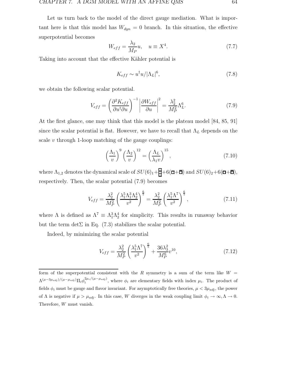Let us turn back to the model of the direct gauge mediation. What is important here is that this model has  $W_{dyn} = 0$  branch. In this situation, the effective superpotential becomes

$$
W_{eff} = \frac{\lambda_2}{M_P} u, \quad u \equiv X^4. \tag{7.7}
$$

Taking into account that the effective Kähler potential is

$$
K_{eff} \sim u^{\dagger} u / |\Lambda_L|^6, \tag{7.8}
$$

we obtain the following scalar potential.

$$
V_{eff} = \left(\frac{\partial^2 K_{eff}}{\partial u^{\dagger} \partial u}\right)^{-1} \left|\frac{\partial W_{eff}}{\partial u}\right|^2 = \frac{\lambda_2^2}{M_P^2} \Lambda_L^6.
$$
 (7.9)

At the first glance, one may think that this model is the plateau model [84, 85, 91] since the scalar potential is flat. However, we have to recall that  $\Lambda_L$  depends on the scale  $v$  through 1-loop matching of the gauge couplings:

$$
\left(\frac{\Lambda_1}{v}\right)^9 \left(\frac{\Lambda_2}{v}\right)^{12} = \left(\frac{\Lambda_L}{\lambda_1 v}\right)^{15},\tag{7.10}
$$

where  $\Lambda_{1,2}$  denotes the dynamical scale of  $SU(6)_1 + \frac{1}{2} + 6(\square + \overline{\square})$  and  $SU(6)_2 + 6(\square + \overline{\square})$ , respectively. Then, the scalar potential (7.9) becomes

$$
V_{eff} = \frac{\lambda_2^2}{M_P^2} \left(\frac{\lambda_1^5 \Lambda_1^3 \Lambda_2^4}{v^2}\right)^{\frac{6}{5}} = \frac{\lambda_2^2}{M_P^2} \left(\frac{\lambda_1^5 \Lambda^7}{v^2}\right)^{\frac{6}{5}},\tag{7.11}
$$

where  $\Lambda$  is defined as  $\Lambda^7 \equiv \Lambda_1^3 \Lambda_2^4$  for simplicity. This results in runaway behavior but the term det  $\Sigma$  in Eq. (7.3) stabilizes the scalar potential.

Indeed, by minimizing the scalar potential

$$
V_{eff} = \frac{\lambda_2^2}{M_P^2} \left(\frac{\lambda_1^5 \Lambda^7}{v^2}\right)^{\frac{6}{5}} + \frac{36\lambda_3^2}{M_P^6} v^{10},\tag{7.12}
$$

form of the superpotential consistent with the R symmetry is a sum of the term like  $W =$  $\Lambda^{(\mu-3\mu_{adj})/(\mu-\mu_{adj})}\Pi_i\phi_i^{2\mu_i/(\mu-\mu_{adj})}$ , where  $\phi_i$  are elementary fields with index  $\mu_i$ . The product of fields  $\phi_i$  must be gauge and flavor invariant. For asymptotically free theories,  $\mu < 3\mu_{adj}$ , the power of  $\Lambda$  is negative if  $\mu > \mu_{adj}$ . In this case, W diverges in the weak coupling limit  $\phi_i \to \infty, \Lambda \to 0$ . Therefore, W must vanish.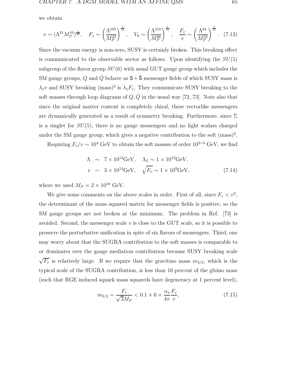we obtain

$$
v \sim (\Lambda^{21} M_P^{10})^{\frac{1}{31}}, \quad F_v \sim \left(\frac{\Lambda^{105}}{M_P^{43}}\right)^{\frac{1}{31}}, \quad V_0 \sim \left(\frac{\Lambda^{210}}{M_P^{86}}\right)^{\frac{1}{31}}, \quad \frac{F_v}{v} \sim \left(\frac{\Lambda^{84}}{M_P^{53}}\right)^{\frac{1}{31}}.
$$
 (7.13)

Since the vacuum energy is non-zero, SUSY is certainly broken. This breaking effect is communicated to the observable sector as follows. Upon identifying the  $SU(5)$ subgroup of the flavor group  $SU(6)$  with usual GUT gauge group which includes the SM gauge groups, Q and  $\overline{Q}$  behave as  $5+\overline{5}$  messenger fields of which SUSY mass is  $\lambda_1 v$  and SUSY breaking (mass)<sup>2</sup> is  $\lambda_1 F_v$ . They communicate SUSY breaking to the soft masses through loop diagrams of  $Q, \bar{Q}$  in the usual way [72, 73]. Note also that since the original matter content is completely chiral, these vectorlike messengers are dynamically generated as a result of symmetry breaking. Furthermore, since  $\Sigma$ is a singlet for  $SU(5)$ , there is no gauge messengers and no light scalars charged under the SM gauge group, which gives a negative contribution to the soft  $(mass)^2$ .

Requiring  $F_v/v \sim 10^4$  GeV to obtain the soft masses of order  $10^{2 \sim 3}$  GeV, we find

$$
\Lambda \sim 7 \times 10^{12} \text{GeV}, \quad \Lambda_L \sim 1 \times 10^{12} \text{GeV},
$$
  
\n
$$
v \sim 3 \times 10^{14} \text{GeV}, \quad \sqrt{F_v} \sim 1 \times 10^9 \text{GeV}, \tag{7.14}
$$

where we used  $M_P = 2 \times 10^{18}$  GeV.

We give some comments on the above scales in order. First of all, since  $F_v < v^2$ , the determinant of the mass squared matrix for messenger fields is positive, so the SM gauge groups are not broken at the minimum. The problem in Ref. [73] is avoided. Second, the messenger scale  $v$  is close to the GUT scale, so it is possible to preserve the perturbative unification in spite of six flavors of messengers. Third, one may worry about that the SUGRA contribution to the soft masses is comparable to or dominates over the gauge mediation contribution because SUSY breaking scale  $\sqrt{F_v}$  is relatively large. If we require that the gravitino mass  $m_{3/2}$ , which is the typical scale of the SUGRA contribution, is less than 10 percent of the gluino mass (such that RGE induced squark mass squareds have degeneracy at 1 percent level),

$$
m_{3/2} = \frac{F_v}{\sqrt{3}M_P} < 0.1 \times 6 \times \frac{\alpha_s}{4\pi} \frac{F_v}{v},\tag{7.15}
$$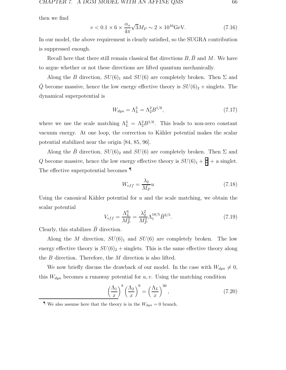then we find

$$
v < 0.1 \times 6 \times \frac{\alpha_s}{4\pi} \sqrt{3} M_P \sim 2 \times 10^{16} \text{GeV}.\tag{7.16}
$$

In our model, the above requirement is clearly satisfied, so the SUGRA contribution is suppressed enough.

Recall here that there still remain classical flat directions  $B, \bar{B}$  and M. We have to argue whether or not these directions are lifted quantum mechanically.

Along the B direction,  $SU(6)_1$  and  $SU(6)$  are completely broken. Then  $\Sigma$  and  $\overline{Q}$  become massive, hence the low energy effective theory is  $SU(6)_2 +$  singlets. The dynamical superpotential is

$$
W_{dyn} = \Lambda_L^3 = \Lambda_2^2 B^{1/6},\tag{7.17}
$$

where we use the scale matching  $\Lambda_L^3 = \Lambda_2^2 B^{1/6}$ . This leads to non-zero constant vacuum energy. At one loop, the correction to Kähler potential makes the scalar potential stabilized near the origin [84, 85, 96].

Along the  $\bar{B}$  direction,  $SU(6)_{2}$  and  $SU(6)$  are completely broken. Then  $\Sigma$  and Q become massive, hence the low energy effective theory is  $SU(6)_1 + \frac{1}{2} + \alpha$  singlet. The effective superpotential becomes ¶

$$
W_{eff} = \frac{\lambda_2}{M_P} u \tag{7.18}
$$

Using the canonical Kähler potential for  $u$  and the scale matching, we obtain the scalar potential

$$
V_{eff} = \frac{\Lambda_L^6}{M_P^2} = \frac{\lambda_2^2}{M_P^2} \Lambda_1^{18/5} \bar{B}^{2/5}.
$$
 (7.19)

Clearly, this stabilizes  $\bar{B}$  direction.

Along the M direction,  $SU(6)_1$  and  $SU(6)$  are completely broken. The low energy effective theory is  $SU(6)_2 +$  singlets. This is the same effective theory along the B direction. Therefore, the M direction is also lifted.

We now briefly discuss the drawback of our model. In the case with  $W_{dyn} \neq 0$ , this  $W_{dyn}$  becomes a runaway potential for  $u, v$ . Using the matching condition

$$
\left(\frac{\Lambda_1}{x}\right)^9 \left(\frac{\Lambda_2}{x}\right)^9 = \left(\frac{\Lambda_L}{x}\right)^{30},\tag{7.20}
$$

 $\P$  We also assume here that the theory is in the  $W_{dyn} = 0$  branch.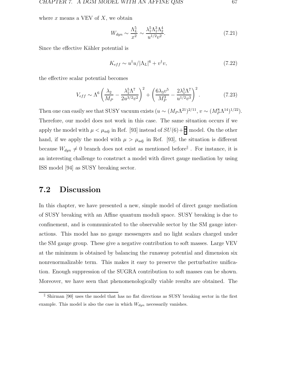where  $x$  means a VEV of  $X$ , we obtain

$$
W_{dyn} \sim \frac{\Lambda_L^5}{x^2} \sim \frac{\lambda_1^5 \Lambda_1^3 \Lambda_2^4}{u^{1/2} v^2}.
$$
\n(7.21)

Since the effective Kähler potential is

$$
K_{eff} \sim u^{\dagger} u / |\Lambda_L|^6 + v^{\dagger} v,\tag{7.22}
$$

the effective scalar potential becomes

$$
V_{eff} \sim \Lambda^6 \left(\frac{\lambda_2}{M_P} - \frac{\lambda_1^5 \Lambda^7}{2u^{3/2}v^2}\right)^2 + \left(\frac{6\lambda_3 v^5}{M_P^3} - \frac{2\lambda_1^5 \Lambda^7}{u^{1/2}v^3}\right)^2.
$$
 (7.23)

Then one can easily see that SUSY vacuum exists  $(u \sim (M_P \Lambda^{21})^{2/11}, v \sim (M_P^8 \Lambda^{14})^{1/22}).$ Therefore, our model does not work in this case. The same situation occurs if we apply the model with  $\mu < \mu_{adj}$  in Ref. [93] instead of  $SU(6) + \frac{1}{2}$  model. On the other hand, if we apply the model with  $\mu > \mu_{adj}$  in Ref. [93], the situation is different because  $W_{dyn} \neq 0$  branch does not exist as mentioned before<sup> $\parallel$ </sup>. For instance, it is an interesting challenge to construct a model with direct gauge mediation by using ISS model [94] as SUSY breaking sector.

#### **7.2 Discussion**

In this chapter, we have presented a new, simple model of direct gauge mediation of SUSY breaking with an Affine quantum moduli space. SUSY breaking is due to confinement, and is communicated to the observable sector by the SM gauge interactions. This model has no gauge messengers and no light scalars charged under the SM gauge group. These give a negative contribution to soft masses. Large VEV at the minimum is obtained by balancing the runaway potential and dimension six nonrenormalizable term. This makes it easy to preserve the perturbative unification. Enough suppression of the SUGRA contribution to soft masses can be shown. Moreover, we have seen that phenomenologically viable results are obtained. The

Shirman [90] uses the model that has no flat directions as SUSY breaking sector in the first example. This model is also the case in which  $W_{dyn}$  necessarily vanishes.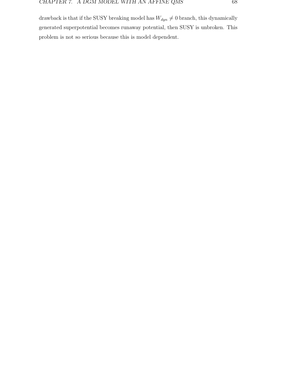drawback is that if the SUSY breaking model has  $W_{dyn}\neq 0$  branch, this dynamically generated superpotential becomes runaway potential, then SUSY is unbroken. This problem is not so serious because this is model dependent.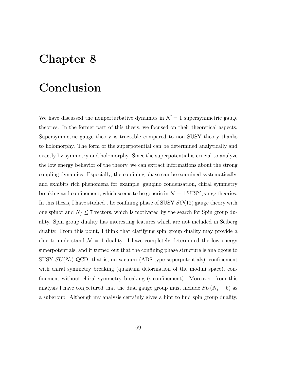# **Chapter 8**

### **Conclusion**

We have discussed the nonperturbative dynamics in  $\mathcal{N}=1$  supersymmetric gauge theories. In the former part of this thesis, we focused on their theoretical aspects. Supersymmetric gauge theory is tractable compared to non SUSY theory thanks to holomorphy. The form of the superpotential can be determined analytically and exactly by symmetry and holomorphy. Since the superpotential is crucial to analyze the low energy behavior of the theory, we can extract informations about the strong coupling dynamics. Especially, the confining phase can be examined systematically, and exhibits rich phenomena for example, gaugino condensation, chiral symmetry breaking and confinement, which seems to be generic in  $\mathcal{N} = 1$  SUSY gauge theories. In this thesis, I have studied t he confining phase of SUSY  $SO(12)$  gauge theory with one spinor and  $N_f \leq 7$  vectors, which is motivated by the search for Spin group duality. Spin group duality has interesting features which are not included in Seiberg duality. From this point, I think that clarifying spin group duality may provide a clue to understand  $\mathcal{N} = 1$  duality. I have completely determined the low energy superpotentials, and it turned out that the confining phase structure is analogous to SUSY  $SU(N_c)$  QCD, that is, no vacuum (ADS-type superpotentials), confinement with chiral symmetry breaking (quantum deformation of the moduli space), confinement without chiral symmetry breaking (s-confinement). Moreover, from this analysis I have conjectured that the dual gauge group must include  $SU(N_f - 6)$  as a subgroup. Although my analysis certainly gives a hint to find spin group duality,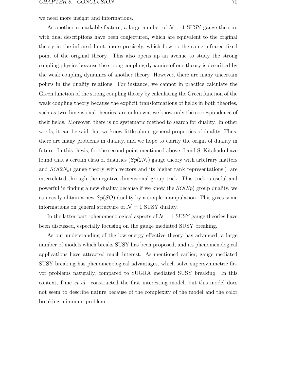we need more insight and informations.

As another remarkable feature, a large number of  $\mathcal{N} = 1$  SUSY gauge theories with dual descriptions have been conjectured, which are equivalent to the original theory in the infrared limit, more precisely, which flow to the same infrared fixed point of the original theory. This also opens up an avenue to study the strong coupling physics because the strong coupling dynamics of one theory is described by the weak coupling dynamics of another theory. However, there are many uncertain points in the duality relations. For instance, we cannot in practice calculate the Green function of the strong coupling theory by calculating the Green function of the weak coupling theory because the explicit transformations of fields in both theories, such as two dimensional theories, are unknown, we know only the correspondence of their fields. Moreover, there is no systematic method to search for duality. In other words, it can be said that we know little about general properties of duality. Thus, there are many problems in duality, and we hope to clarify the origin of duality in future. In this thesis, for the second point mentioned above, I and S. Kitakado have found that a certain class of dualities  $(Sp(2N_c)$  gauge theory with arbitrary matters and  $SO(2N_c)$  gauge theory with vectors and its higher rank representations.) are interrelated through the negative dimensional group trick. This trick is useful and powerful in finding a new duality because if we know the  $SO(Sp)$  group duality, we can easily obtain a new  $Sp(SO)$  duality by a simple manipulation. This gives some informations on general structure of  $\mathcal{N} = 1$  SUSY duality.

In the latter part, phenomenological aspects of  $\mathcal{N}=1$  SUSY gauge theories have been discussed, especially focusing on the gauge mediated SUSY breaking.

As our understanding of the low energy effective theory has advanced, a large number of models which breaks SUSY has been proposed, and its phenomenological applications have attracted much interest. As mentioned earlier, gauge mediated SUSY breaking has phenomenological advantages, which solve supersymmetric flavor problems naturally, compared to SUGRA mediated SUSY breaking. In this context, Dine et al. constructed the first interesting model, but this model does not seem to describe nature because of the complexity of the model and the color breaking minimum problem.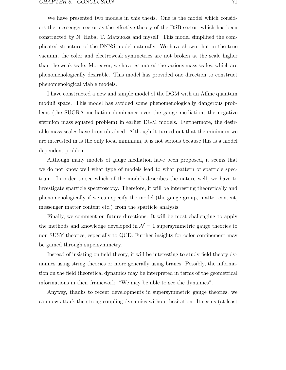We have presented two models in this thesis. One is the model which considers the messenger sector as the effective theory of the DSB sector, which has been constructed by N. Haba, T. Matsuoka and myself. This model simplified the complicated structure of the DNNS model naturally. We have shown that in the true vacuum, the color and electroweak symmetries are not broken at the scale higher than the weak scale. Moreover, we have estimated the various mass scales, which are phenomenologically desirable. This model has provided one direction to construct phenomenological viable models.

I have constructed a new and simple model of the DGM with an Affine quantum moduli space. This model has avoided some phenomenologically dangerous problems (the SUGRA mediation dominance over the gauge mediation, the negative sfermion mass squared problem) in earlier DGM models. Furthermore, the desirable mass scales have been obtained. Although it turned out that the minimum we are interested in is the only local minimum, it is not serious because this is a model dependent problem.

Although many models of gauge mediation have been proposed, it seems that we do not know well what type of models lead to what pattern of sparticle spectrum. In order to see which of the models describes the nature well, we have to investigate sparticle spectroscopy. Therefore, it will be interesting theoretically and phenomenologically if we can specify the model (the gauge group, matter content, messenger matter content etc.) from the sparticle analysis.

Finally, we comment on future directions. It will be most challenging to apply the methods and knowledge developed in  $\mathcal{N}=1$  supersymmetric gauge theories to non SUSY theories, especially to QCD. Further insights for color confinement may be gained through supersymmetry.

Instead of insisting on field theory, it will be interesting to study field theory dynamics using string theories or more generally using branes. Possibly, the information on the field theoretical dynamics may be interpreted in terms of the geometrical informations in their framework, "We may be able to see the dynamics".

Anyway, thanks to recent developments in supersymmetric gauge theories, we can now attack the strong coupling dynamics without hesitation. It seems (at least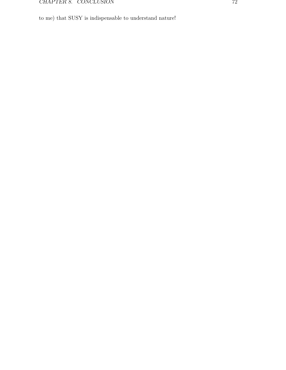to me) that SUSY is indispensable to understand nature!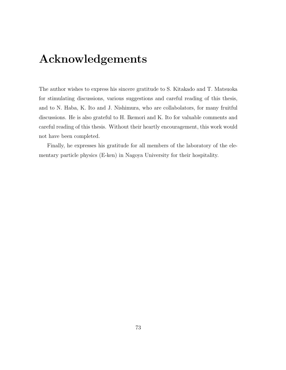# **Acknowledgements**

The author wishes to express his sincere gratitude to S. Kitakado and T. Matsuoka for stimulating discussions, various suggestions and careful reading of this thesis, and to N. Haba, K. Ito and J. Nishimura, who are collabolators, for many fruitful discussions. He is also grateful to H. Ikemori and K. Ito for valuable comments and careful reading of this thesis. Without their heartly encouragement, this work would not have been completed.

Finally, he expresses his gratitude for all members of the laboratory of the elementary particle physics (E-ken) in Nagoya University for their hospitality.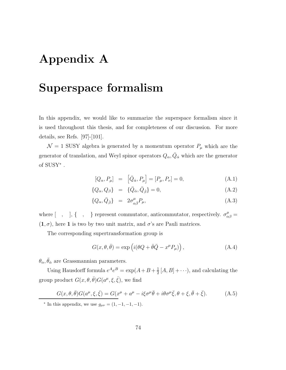# **Appendix A**

### **Superspace formalism**

In this appendix, we would like to summarize the superspace formalism since it is used throughout this thesis, and for completeness of our discussion. For more details, see Refs. [97]-[101].

 $\mathcal{N} = 1$  SUSY algebra is generated by a momentum operator  $P_{\mu}$  which are the generator of translation, and Weyl spinor operators  $Q_{\alpha}, \bar{Q}_{\dot{\alpha}}$  which are the generator of SUSY<sup>∗</sup> .

$$
[Q_{\alpha}, P_{\mu}] = [\bar{Q}_{\dot{\alpha}}, P_{\mu}] = [P_{\mu}, P_{\nu}] = 0,
$$
 (A.1)

$$
\{Q_{\alpha}, Q_{\beta}\} = \{\bar{Q}_{\dot{\alpha}}, \bar{Q}_{\dot{\beta}}\} = 0, \tag{A.2}
$$

$$
\{Q_{\alpha}, \bar{Q}_{\dot{\beta}}\} = 2\sigma^{\mu}_{\alpha\dot{\beta}}P_{\mu},\tag{A.3}
$$

where  $[ , ], { , }$ ,  $]$ ,  $[ , ]$  represent commutator, anticommutator, respectively.  $\sigma^{\mu}_{\alpha\beta} =$  $(1, \sigma)$ , here 1 is two by two unit matrix, and  $\sigma$ 's are Pauli matrices.

The corresponding supertransformation group is

$$
G(x, \theta, \bar{\theta}) = \exp\left(i(\theta Q + \bar{\theta}\bar{Q} - x^{\mu}P_{\mu})\right), \tag{A.4}
$$

 $\theta_{\alpha}, \bar{\theta}_{\dot{\alpha}}$  are Grassmannian parameters.

Using Hausdorff formula  $e^A e^B = \exp(A + B + \frac{1}{2}[A, B] + \cdots)$ , and calculating the group product  $G(x, \theta, \bar{\theta}) G(a^{\mu}, \xi, \bar{\xi})$ , we find

$$
G(x,\theta,\bar{\theta})G(a^{\mu},\xi,\bar{\xi}) = G(x^{\mu} + a^{\mu} - i\xi\sigma^{\mu}\bar{\theta} + i\theta\sigma^{\mu}\bar{\xi},\theta + \xi,\bar{\theta} + \bar{\xi}).
$$
 (A.5)

<sup>\*</sup> In this appendix, we use  $g_{\mu\nu} = (1, -1, -1, -1)$ .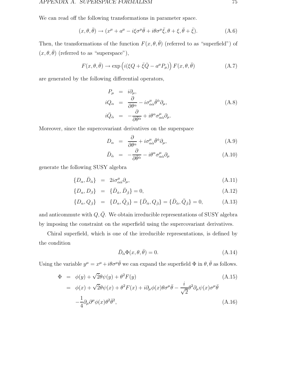We can read off the following transformations in parameter space.

$$
(x,\theta,\bar{\theta}) \to (x^{\mu} + a^{\mu} - i\xi\sigma^{\mu}\bar{\theta} + i\theta\sigma^{\mu}\bar{\xi}, \theta + \xi, \bar{\theta} + \bar{\xi}). \tag{A.6}
$$

Then, the transformations of the function  $F(x, \theta, \bar{\theta})$  (referred to as "superfield") of  $(x, \theta, \bar{\theta})$  (referred to as "superspace"),

$$
F(x, \theta, \bar{\theta}) \to \exp\left(i(\xi Q + \bar{\xi}\bar{Q} - a^{\mu}P_{\mu})\right)F(x, \theta, \bar{\theta})
$$
 (A.7)

are generated by the following differential operators,

$$
P_{\mu} = i\partial_{\mu},
$$
  
\n
$$
iQ_{\alpha} = \frac{\partial}{\partial \theta^{\alpha}} - i\sigma^{\mu}_{\alpha\dot{\alpha}}\bar{\theta}^{\dot{\alpha}}\partial_{\mu},
$$
  
\n
$$
i\bar{Q}_{\dot{\alpha}} = -\frac{\partial}{\partial \bar{\theta}^{\dot{\alpha}}} + i\theta^{\alpha}\sigma^{\mu}_{\alpha\dot{\alpha}}\partial_{\mu}.
$$
\n(A.8)

Moreover, since the supercovariant derivatives on the superspace

$$
D_{\alpha} = \frac{\partial}{\partial \theta^{\alpha}} + i \sigma^{\mu}_{\alpha \dot{\alpha}} \bar{\theta}^{\dot{\alpha}} \partial_{\mu}, \tag{A.9}
$$

$$
\bar{D}_{\dot{\alpha}} = -\frac{\partial}{\partial \bar{\theta}^{\dot{\alpha}}} - i\theta^{\alpha} \sigma^{\mu}_{\alpha \dot{\alpha}} \partial_{\mu} \tag{A.10}
$$

generate the following SUSY algebra

$$
\{D_{\alpha}, \bar{D}_{\dot{\alpha}}\} = 2i\sigma^{\mu}_{\alpha\dot{\alpha}}\partial_{\mu},\tag{A.11}
$$

$$
\{D_{\alpha}, D_{\beta}\} = \{\bar{D}_{\dot{\alpha}}, \bar{D}_{\dot{\beta}}\} = 0, \tag{A.12}
$$

$$
\{D_{\alpha}, Q_{\dot{\beta}}\} = \{D_{\alpha}, \bar{Q}_{\dot{\beta}}\} = \{\bar{D}_{\dot{\alpha}}, Q_{\dot{\beta}}\} = \{\bar{D}_{\dot{\alpha}}, \bar{Q}_{\dot{\beta}}\} = 0, \tag{A.13}
$$

and anticommute with  $Q,\bar Q.$  We obtain irreducible representations of SUSY algebra by imposing the constraint on the superfield using the supercovariant derivatives.

Chiral superfield, which is one of the irreducible representations, is defined by the condition

$$
\bar{D}_{\dot{\alpha}}\Phi(x,\theta,\bar{\theta}) = 0. \tag{A.14}
$$

Using the variable  $y^{\mu} = x^{\mu} + i\theta \sigma^{\mu} \bar{\theta}$  we can expand the superfield  $\Phi$  in  $\theta, \bar{\theta}$  as follows.

$$
\Phi = \phi(y) + \sqrt{2}\theta\psi(y) + \theta^2 F(y) \tag{A.15}
$$
\n
$$
= \phi(x) + \sqrt{2}\theta\psi(x) + \theta^2 F(x) + i\partial_\mu\phi(x)\theta\sigma^\mu\bar{\theta} - \frac{i}{\sqrt{2}}\theta^2\partial_\mu\psi(x)\sigma^\mu\bar{\theta} \tag{A.16}
$$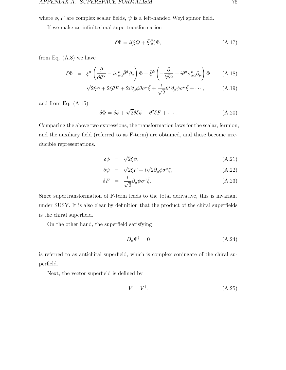where  $\phi$ , F are complex scalar fields,  $\psi$  is a left-handed Weyl spinor field.

If we make an infinitesimal supertransformation

$$
\delta \Phi = i(\xi Q + \bar{\xi}\bar{Q})\Phi, \tag{A.17}
$$

from Eq.  $(A.8)$  we have

$$
\delta \Phi = \xi^{\alpha} \left( \frac{\partial}{\partial \theta^{\alpha}} - i \sigma^{\mu}_{\alpha \dot{\alpha}} \bar{\theta}^{\dot{\alpha}} \partial_{\mu} \right) \Phi + \bar{\xi}^{\dot{\alpha}} \left( - \frac{\partial}{\partial \bar{\theta}^{\dot{\alpha}}} + i \theta^{\alpha} \sigma^{\mu}_{\alpha \dot{\alpha}} \partial_{\mu} \right) \Phi \qquad (A.18)
$$

$$
= \sqrt{2}\xi\psi + 2\xi\theta F + 2i\partial_{\mu}\phi\theta\sigma^{\mu}\bar{\xi} + \frac{i}{\sqrt{2}}\theta^{2}\partial_{\mu}\psi\sigma^{\mu}\bar{\xi} + \cdots, \qquad (A.19)
$$

and from Eq. (A.15)

$$
\delta\Phi = \delta\phi + \sqrt{2}\theta\delta\psi + \theta^2\delta F + \cdots
$$
 (A.20)

Comparing the above two expressions, the transformation laws for the scalar, fermion, and the auxiliary field (referred to as F-term) are obtained, and these become irreducible representations.

$$
\delta \phi = \sqrt{2}\xi \psi, \tag{A.21}
$$

$$
\delta \psi = \sqrt{2} \xi F + i \sqrt{2} \partial_{\mu} \phi \sigma^{\mu} \bar{\xi}, \qquad (A.22)
$$

$$
\delta F = \frac{i}{\sqrt{2}} \partial_{\mu} \psi \sigma^{\mu} \bar{\xi}.
$$
\n(A.23)

Since supertransformation of F-term leads to the total derivative, this is invariant under SUSY. It is also clear by definition that the product of the chiral superfields is the chiral superfield.

On the other hand, the superfield satisfying

$$
D_{\alpha} \Phi^{\dagger} = 0 \tag{A.24}
$$

is referred to as antichiral superfield, which is complex conjugate of the chiral superfield.

Next, the vector superfield is defined by

$$
V = V^{\dagger}.\tag{A.25}
$$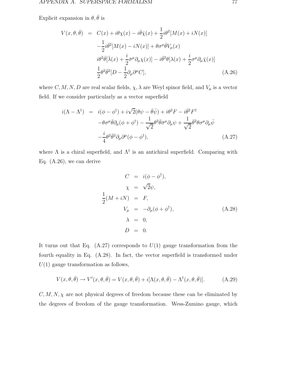Explicit expansion in  $\theta, \bar{\theta}$  is

$$
V(x,\theta,\bar{\theta}) = C(x) + i\theta\chi(x) - i\bar{\theta}\bar{\chi}(x) + \frac{1}{2}i\theta^2[M(x) + iN(x)]
$$
  

$$
-\frac{1}{2}i\bar{\theta}^2[M(x) - iN(x)] + \theta\sigma^\mu\bar{\theta}V_\mu(x)
$$
  

$$
i\theta^2\bar{\theta}[\bar{\lambda}(x) + \frac{i}{2}\bar{\sigma}^\mu\partial_\mu\chi(x)] - i\bar{\theta}^2\theta[\lambda(x) + \frac{i}{2}\sigma^\mu\partial_\mu\bar{\chi}(x)]
$$
  

$$
\frac{1}{2}\theta^2\bar{\theta}^2[D - \frac{1}{2}\partial_\mu\partial^\mu C],
$$
 (A.26)

where  $C, M, N, D$  are real scalar fields,  $\chi, \lambda$  are Weyl spinor field, and  $V_{\mu}$  is a vector field. If we consider particularly as a vector superfield

$$
i(\Lambda - \Lambda^{\dagger}) = i(\phi - \phi^{\dagger}) + i\sqrt{2}(\theta\psi - \bar{\theta}\bar{\psi}) + i\theta^2 F - i\bar{\theta}^2 F^{\dagger} -\theta\sigma^{\mu}\bar{\theta}\partial_{\mu}(\phi + \phi^{\dagger}) - \frac{1}{\sqrt{2}}\theta^2\bar{\theta}\bar{\sigma}^{\mu}\partial_{\mu}\psi + \frac{1}{\sqrt{2}}\bar{\theta}^2\theta\sigma^{\mu}\partial_{\mu}\bar{\psi} - \frac{i}{4}\theta^2\bar{\theta}^2\partial_{\mu}\partial^{\mu}(\phi - \phi^{\dagger}),
$$
 (A.27)

where  $\Lambda$  is a chiral superfield, and  $\Lambda^{\dagger}$  is an antichiral superfield. Comparing with Eq. (A.26), we can derive

$$
C = i(\phi - \phi^{\dagger}),
$$
  
\n
$$
\chi = \sqrt{2}\psi,
$$
  
\n
$$
\frac{1}{2}(M + iN) = F,
$$
  
\n
$$
V_{\mu} = -\partial_{\mu}(\phi + \phi^{\dagger}),
$$
  
\n
$$
\lambda = 0,
$$
  
\n
$$
D = 0.
$$
  
\n(A.28)

It turns out that Eq.  $(A.27)$  corresponds to  $U(1)$  gauge transformation from the fourth equality in Eq. (A.28). In fact, the vector superfield is transformed under  $U(1)$  gauge transformation as follows,

$$
V(x,\theta,\bar{\theta}) \to V'(x,\theta,\bar{\theta}) = V(x,\theta,\bar{\theta}) + i[\Lambda(x,\theta,\bar{\theta}) - \Lambda^{\dagger}(x,\theta,\bar{\theta})]. \tag{A.29}
$$

 $C, M, N, \chi$  are not physical degrees of freedom because these can be eliminated by the degrees of freedom of the gauge transformation. Wess-Zumino gauge, which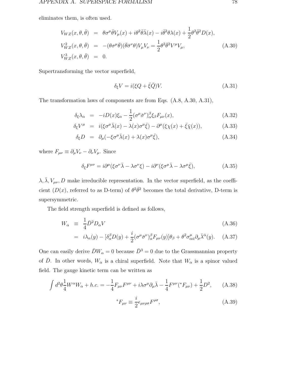eliminates them, is often used.

$$
V_{WZ}(x,\theta,\bar{\theta}) = \theta \sigma^{\mu} \bar{\theta} V_{\mu}(x) + i \theta^2 \bar{\theta} \bar{\lambda}(x) - i \bar{\theta}^2 \theta \lambda(x) + \frac{1}{2} \theta^2 \bar{\theta}^2 D(x),
$$
  
\n
$$
V_{WZ}^2(x,\theta,\bar{\theta}) = -(\theta \sigma^{\mu} \bar{\theta}) (\bar{\theta} \bar{\sigma}^{\nu} \theta) V_{\mu} V_{\nu} = \frac{1}{2} \theta^2 \bar{\theta}^2 V^{\mu} V_{\mu},
$$
  
\n
$$
V_{WZ}^3(x,\theta,\bar{\theta}) = 0.
$$
\n(A.30)

Supertransforming the vector superfield,

$$
\delta_{\xi} V = i(\xi Q + \bar{\xi}\bar{Q})V. \tag{A.31}
$$

The transformation laws of components are from Eqs. (A.8, A.30, A.31),

$$
\delta_{\xi}\lambda_{\alpha} = -iD(x)\xi_{\alpha} - \frac{1}{2}(\sigma^{\mu}\bar{\sigma}^{\nu})_{\alpha}^{\beta}\xi_{\beta}F_{\mu\nu}(x), \tag{A.32}
$$

$$
\delta_{\xi}V^{\mu} = i(\xi\sigma^{\mu}\bar{\lambda}(x) - \lambda(x)\sigma^{\mu}\bar{\xi}) - \partial^{\mu}(\xi\chi(x) + \bar{\xi}\bar{\chi}(x)), \tag{A.33}
$$

$$
\delta_{\xi}D = \partial_{\mu}(-\xi \sigma^{\mu} \bar{\lambda}(x) + \lambda(x) \sigma^{\mu} \bar{\xi}), \qquad (A.34)
$$

where  $F_{\mu\nu} \equiv \partial_{\mu}V_{\nu} - \partial_{\nu}V_{\mu}$ . Since

$$
\delta_{\xi} F^{\mu\nu} = i \partial^{\mu} (\xi \sigma^{\nu} \bar{\lambda} - \lambda \sigma^{\nu} \xi) - i \partial^{\nu} (\xi \sigma^{\mu} \bar{\lambda} - \lambda \sigma^{\mu} \bar{\xi}), \tag{A.35}
$$

 $\lambda, \bar{\lambda}, V_{\mu\nu}, D$  make irreducible representation. In the vector superfield, as the coefficient  $(D(x))$ , referred to as D-term) of  $\theta^2 \bar{\theta}^2$  becomes the total derivative, D-term is supersymmetric.

The field strength superfield is defined as follows,

$$
W_{\alpha} \equiv \frac{1}{4} \bar{D}^2 D_{\alpha} V \tag{A.36}
$$

$$
= i\lambda_{\alpha}(y) - [\delta^{\beta}_{\alpha}D(y) + \frac{i}{2}(\sigma^{\mu}\bar{\sigma}^{\nu})^{\beta}_{\alpha}F_{\mu\nu}(y)]\theta_{\beta} + \theta^{2}\sigma^{\mu}_{\alpha\dot{\alpha}}\partial_{\mu}\bar{\lambda}^{\dot{\alpha}}(y). \quad (A.37)
$$

One can easily derive  $\bar{D}W_\alpha = 0$  because  $\bar{D}^3 = 0$  due to the Grassmannian property of  $\bar{D}$ . In other words,  $W_{\alpha}$  is a chiral superfield. Note that  $W_{\alpha}$  is a spinor valued field. The gauge kinetic term can be written as

$$
\int d^2\theta \frac{1}{4} W^{\alpha} W_{\alpha} + h.c. = -\frac{1}{4} F_{\mu\nu} F^{\mu\nu} + i\lambda \sigma^{\mu} \partial_{\mu} \bar{\lambda} - \frac{1}{4} F^{\mu\nu}({}^* F_{\mu\nu}) + \frac{1}{2} D^2, \quad (A.38)
$$

$$
{}^*F_{\mu\nu} \equiv \frac{i}{2} \epsilon_{\mu\nu\rho\sigma} F^{\rho\sigma}, \tag{A.39}
$$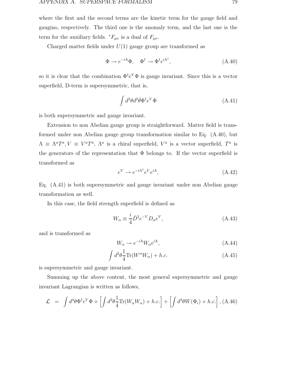where the first and the second terms are the kinetic term for the gauge field and gaugino, respectively. The third one is the anomaly term, and the last one is the term for the auxiliary fields.  $*F_{\mu\nu}$  is a dual of  $F_{\mu\nu}$ .

Charged matter fields under  $U(1)$  gauge group are transformed as

$$
\Phi \to e^{-i\Lambda} \Phi, \quad \Phi^{\dagger} \to \Phi^{\dagger} e^{i\Lambda^{\dagger}}, \tag{A.40}
$$

so it is clear that the combination  $\Phi^{\dagger}e^V\Phi$  is gauge invariant. Since this is a vector superfield, D-term is supersymmetric, that is,

$$
\int d^2\theta d^2\bar{\theta}\Phi^\dagger e^V\Phi\tag{A.41}
$$

is both supersymmetric and gauge invariant.

Extension to non Abelian gauge group is straightforward. Matter field is transformed under non Abelian gauge group transformation similar to Eq. (A.40), but  $\Lambda \equiv \Lambda^a T^a, V \equiv V^a T^a, \Lambda^a$  is a chiral superfield,  $V^a$  is a vector superfield,  $T^a$  is the generators of the representation that  $\Phi$  belongs to. If the vector superfield is transformed as

$$
e^V \to e^{-i\Lambda^\dagger} e^V e^{i\Lambda},\tag{A.42}
$$

Eq. (A.41) is both supersymmetric and gauge invariant under non Abelian gauge transformation as well.

In this case, the field strength superfield is defined as

$$
W_{\alpha} \equiv \frac{i}{4} \bar{D}^2 e^{-V} D_{\alpha} e^V, \qquad (A.43)
$$

and is transformed as

$$
W_{\alpha} \to e^{-i\Lambda} W_{\alpha} e^{i\Lambda}, \tag{A.44}
$$

$$
\int d^2\theta \frac{1}{4} \text{Tr}(W^{\alpha}W_{\alpha}) + h.c.
$$
 (A.45)

is supersymmetric and gauge invariant.

Summing up the above content, the most general supersymmetric and gauge invariant Lagrangian is written as follows,

$$
\mathcal{L} = \int d^4\theta \Phi^\dagger e^V \Phi + \left[ \int d^2\theta \frac{1}{4} \text{Tr}(W_\alpha W_\alpha) + h.c. \right] + \left[ \int d^2\theta W(\Phi_i) + h.c. \right], \text{(A.46)}
$$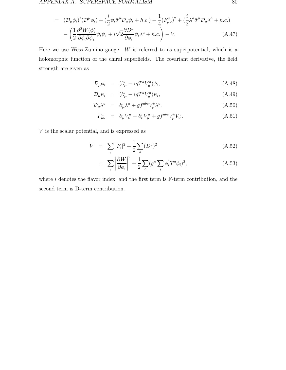#### APPENDIX A. SUPERSPACE FORMALISM 80

$$
= (\mathcal{D}_{\mu}\phi_i)^{\dagger}(\mathcal{D}^{\mu}\phi_i) + (\frac{i}{2}\bar{\psi}_i\bar{\sigma}^{\mu}\mathcal{D}_{\mu}\psi_i + h.c.) - \frac{1}{4}(F^a_{\mu\nu})^2 + (\frac{i}{2}\bar{\lambda}^a\bar{\sigma}^{\mu}\mathcal{D}_{\mu}\lambda^a + h.c.) - (\frac{1}{2}\frac{\partial^2 W(\phi)}{\partial \phi_i\partial \phi_j}\psi_i\psi_j + i\sqrt{2}\frac{\partial D^a}{\partial \phi_i}\psi_i\lambda^a + h.c.) - V.
$$
\n(A.47)

Here we use Wess-Zumino gauge.  $W$  is referred to as superpotential, which is a holomorphic function of the chiral superfields. The covariant derivative, the field strength are given as

$$
\mathcal{D}_{\mu}\phi_i = (\partial_{\mu} - igT^a V^a_{\mu})\phi_i, \qquad (A.48)
$$

$$
\mathcal{D}_{\mu}\psi_{i} = (\partial_{\mu} - igT^{a}V_{\mu}^{a})\psi_{i}, \qquad (A.49)
$$

$$
\mathcal{D}_{\mu} \lambda^{a} = \partial_{\mu} \lambda^{a} + gf^{abc} V_{\mu}^{b} \lambda^{c}, \qquad (A.50)
$$

$$
F_{\mu\nu}^a = \partial_{\mu} V_{\nu}^a - \partial_{\nu} V_{\mu}^a + gf^{abc} V_{\mu}^b V_{\nu}^c. \tag{A.51}
$$

V is the scalar potential, and is expressed as

$$
V = \sum_{i} |F_{i}|^{2} + \frac{1}{2} \sum_{a} (D^{a})^{2}
$$
 (A.52)

$$
= \sum_{i} \left| \frac{\partial W}{\partial \phi_i} \right|^2 + \frac{1}{2} \sum_{a} (g^a \sum_{i} \phi_i^{\dagger} T^a \phi_i)^2, \tag{A.53}
$$

where  $i$  denotes the flavor index, and the first term is F-term contribution, and the second term is D-term contribution.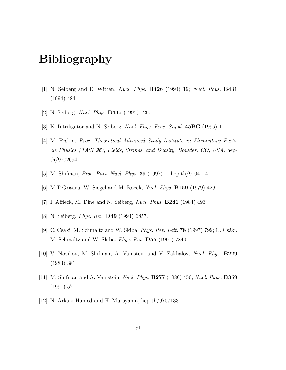# **Bibliography**

- [1] N. Seiberg and E. Witten, Nucl. Phys. **B426** (1994) 19; Nucl. Phys. **B431** (1994) 484
- [2] N. Seiberg, Nucl. Phys. **B435** (1995) 129.
- [3] K. Intriligator and N. Seiberg, Nucl. Phys. Proc. Suppl. **45BC** (1996) 1.
- [4] M. Peskin, Proc. Theoretical Advanced Study Institute in Elementary Particle Physics (TASI 96), Fields, Strings, and Duality, Boulder, CO, USA, hepth/9702094.
- [5] M. Shifman, Proc. Part. Nucl. Phys. **39** (1997) 1; hep-th/9704114.
- [6] M.T.Grisaru, W. Siegel and M. Roˇcek, Nucl. Phys. **B159** (1979) 429.
- [7] I. Affleck, M. Dine and N. Seiberg, Nucl. Phys. **B241** (1984) 493
- [8] N. Seiberg, Phys. Rev. **D49** (1994) 6857.
- [9] C. Csáki, M. Schmaltz and W. Skiba, *Phys. Rev. Lett.* **78** (1997) 799; C. Csáki, M. Schmaltz and W. Skiba, Phys. Rev. **D55** (1997) 7840.
- [10] V. Novikov, M. Shifman, A. Vainstein and V. Zakhalov, Nucl. Phys. **B229** (1983) 381.
- [11] M. Shifman and A. Vainstein, Nucl. Phys. **B277** (1986) 456; Nucl. Phys. **B359** (1991) 571.
- [12] N. Arkani-Hamed and H. Murayama, hep-th/9707133.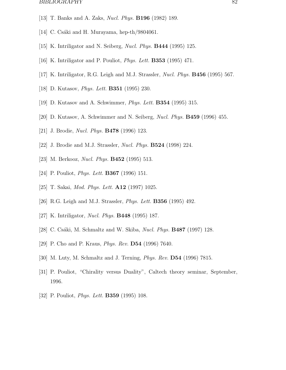#### BIBLIOGRAPHY 82

- [13] T. Banks and A. Zaks, Nucl. Phys. **B196** (1982) 189.
- [14] C. Csáki and H. Murayama, hep-th/9804061.
- [15] K. Intriligator and N. Seiberg, Nucl. Phys. **B444** (1995) 125.
- [16] K. Intriligator and P. Pouliot, Phys. Lett. **B353** (1995) 471.
- [17] K. Intriligator, R.G. Leigh and M.J. Strassler, Nucl. Phys. **B456** (1995) 567.
- [18] D. Kutasov, Phys. Lett. **B351** (1995) 230.
- [19] D. Kutasov and A. Schwimmer, Phys. Lett. **B354** (1995) 315.
- [20] D. Kutasov, A. Schwimmer and N. Seiberg, Nucl. Phys. **B459** (1996) 455.
- [21] J. Brodie, Nucl. Phys. **B478** (1996) 123.
- [22] J. Brodie and M.J. Strassler, Nucl. Phys. **B524** (1998) 224.
- [23] M. Berkooz, Nucl. Phys. **B452** (1995) 513.
- [24] P. Pouliot, Phys. Lett. **B367** (1996) 151.
- [25] T. Sakai, Mod. Phys. Lett. **A12** (1997) 1025.
- [26] R.G. Leigh and M.J. Strassler, Phys. Lett. **B356** (1995) 492.
- [27] K. Intriligator, Nucl. Phys. **B448** (1995) 187.
- [28] C. Csáki, M. Schmaltz and W. Skiba, *Nucl. Phys.* **B487** (1997) 128.
- [29] P. Cho and P. Kraus, Phys. Rev. **D54** (1996) 7640.
- [30] M. Luty, M. Schmaltz and J. Terning, Phys. Rev. **D54** (1996) 7815.
- [31] P. Pouliot, "Chirality versus Duality", Caltech theory seminar, September, 1996.
- [32] P. Pouliot, Phys. Lett. **B359** (1995) 108.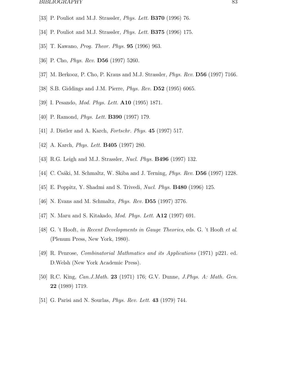#### BIBLIOGRAPHY 83

- [33] P. Pouliot and M.J. Strassler, Phys. Lett. **B370** (1996) 76.
- [34] P. Pouliot and M.J. Strassler, Phys. Lett. **B375** (1996) 175.
- [35] T. Kawano, Prog. Theor. Phys. **95** (1996) 963.
- [36] P. Cho, Phys. Rev. **D56** (1997) 5260.
- [37] M. Berkooz, P. Cho, P. Kraus and M.J. Strassler, Phys. Rev. **D56** (1997) 7166.
- [38] S.B. Giddings and J.M. Pierre, Phys. Rev. **D52** (1995) 6065.
- [39] I. Pesando, Mod. Phys. Lett. **A10** (1995) 1871.
- [40] P. Ramond, Phys. Lett. **B390** (1997) 179.
- [41] J. Distler and A. Karch, Fortschr. Phys. **45** (1997) 517.
- [42] A. Karch, Phys. Lett. **B405** (1997) 280.
- [43] R.G. Leigh and M.J. Strassler, Nucl. Phys. **B496** (1997) 132.
- [44] C. Csáki, M. Schmaltz, W. Skiba and J. Terning, *Phys. Rev.* **D56** (1997) 1228.
- [45] E. Poppitz, Y. Shadmi and S. Trivedi, Nucl. Phys. **B480** (1996) 125.
- [46] N. Evans and M. Schmaltz, Phys. Rev. **D55** (1997) 3776.
- [47] N. Maru and S. Kitakado, Mod. Phys. Lett. **A12** (1997) 691.
- [48] G. 't Hooft, in Recent Developments in Gauge Theories, eds. G. 't Hooft et al. (Plenum Press, New York, 1980).
- [49] R. Penrose, Combinatorial Mathmatics and its Applications (1971) p221. ed. D.Welsh (New York Academic Press).
- [50] R.C. King, Can.J.Math. **23** (1971) 176; G.V. Dunne, J.Phys. A: Math. Gen. **22** (1989) 1719.
- [51] G. Parisi and N. Sourlas, Phys. Rev. Lett. **43** (1979) 744.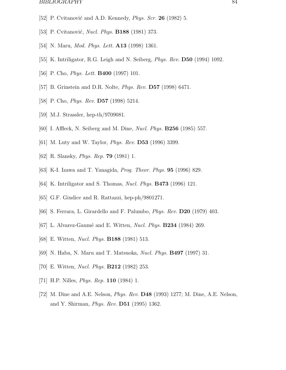#### BIBLIOGRAPHY 84

- [52] P. Cvitanović and A.D. Kennedy, *Phys. Scr.* **26** (1982) 5.
- [53] P. Cvitanović, *Nucl. Phys.* **B188** (1981) 373.
- [54] N. Maru, Mod. Phys. Lett. **A13** (1998) 1361.
- [55] K. Intriligator, R.G. Leigh and N. Seiberg, Phys. Rev. **D50** (1994) 1092.
- [56] P. Cho, Phys. Lett. **B400** (1997) 101.
- [57] B. Grinstein and D.R. Nolte, Phys. Rev. **D57** (1998) 6471.
- [58] P. Cho, Phys. Rev. **D57** (1998) 5214.
- [59] M.J. Strassler, hep-th/9709081.
- [60] I. Affleck, N. Seiberg and M. Dine, Nucl. Phys. **B256** (1985) 557.
- [61] M. Luty and W. Taylor, Phys. Rev. **D53** (1996) 3399.
- [62] R. Slansky, Phys. Rep. **79** (1981) 1.
- [63] K-I. Izawa and T. Yanagida, Prog. Theor. Phys. **95** (1996) 829.
- [64] K. Intriligator and S. Thomas, Nucl. Phys. **B473** (1996) 121.
- [65] G.F. Giudice and R. Rattazzi, hep-ph/9801271.
- [66] S. Ferrara, L. Girardello and F. Palumbo, Phys. Rev. **D20** (1979) 403.
- [67] L. Alvarez-Gaum´e and E. Witten, Nucl. Phys. **B234** (1984) 269.
- [68] E. Witten, Nucl. Phys. **B188** (1981) 513.
- [69] N. Haba, N. Maru and T. Matsuoka, Nucl. Phys. **B497** (1997) 31.
- [70] E. Witten, Nucl. Phys. **B212** (1982) 253.
- [71] H.P. Nilles, Phys. Rep. **110** (1984) 1.
- [72] M. Dine and A.E. Nelson, Phys. Rev. **D48** (1993) 1277; M. Dine, A.E. Nelson, and Y. Shirman, Phys. Rev. **D51** (1995) 1362.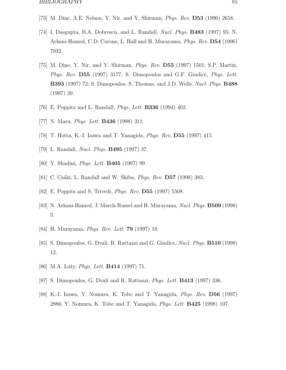- [73] M. Dine, A.E. Nelson, Y. Nir, and Y. Shirman, Phys. Rev. **D53** (1996) 2658.
- [74] I. Dasgupta, B.A. Dobrescu, and L. Randall, Nucl. Phys. **B483** (1997) 95; N. Arkani-Hamed, C.D. Carone, L. Hall and H. Murayama, Phys. Rev. **D54** (1996) 7032.
- [75] M. Dine, Y. Nir, and Y. Shirman, Phys. Rev. **D55** (1997) 1501; S.P. Martin, Phys. Rev. **D55** (1997) 3177; S. Dimopoulos and G.F. Giudice, Phys. Lett. **B393** (1997) 72; S. Dimopoulos, S. Thomas, and J.D. Wells, Nucl. Phys. **B488** (1997) 39.
- [76] E. Poppitz and L. Randall, Phys. Lett. **B336** (1994) 402.
- [77] N. Maru, Phys. Lett. **B436** (1998) 311.
- [78] T. Hotta, K.-I. Izawa and T. Yanagida, Phys. Rev. **D55** (1997) 415.
- [79] L. Randall, Nucl. Phys. **B495** (1997) 37.
- [80] Y. Shadmi, Phys. Lett. **B405** (1997) 99.
- [81] C. Csáki, L. Randall and W. Skiba, *Phys. Rev.* **D57** (1998) 383.
- [82] E. Poppits and S. Trivedi, Phys. Rev. **D55** (1997) 5508.
- [83] N. Arkani-Hamed, J. March-Russel and H. Murayama, Nucl. Phys. **B509** (1998) 3.
- [84] H. Murayama, Phys. Rev. Lett. **79** (1997) 18.
- [85] S. Dimopoulos, G. Dvali, R. Rattazzi and G. Giudice, Nucl. Phys. **B510** (1998) 12.
- [86] M.A. Luty, Phys. Lett. **B414** (1997) 71.
- [87] S. Dimopoulos, G. Dvali and R. Rattazzi, Phys. Lett. **B413** (1997) 336.
- [88] K.-I. Izawa, Y. Nomura, K. Tobe and T. Yanagida, Phys. Rev. **D56** (1997) 2886; Y. Nomura, K. Tobe and T. Yanagida, Phys. Lett. **B425** (1998) 107.